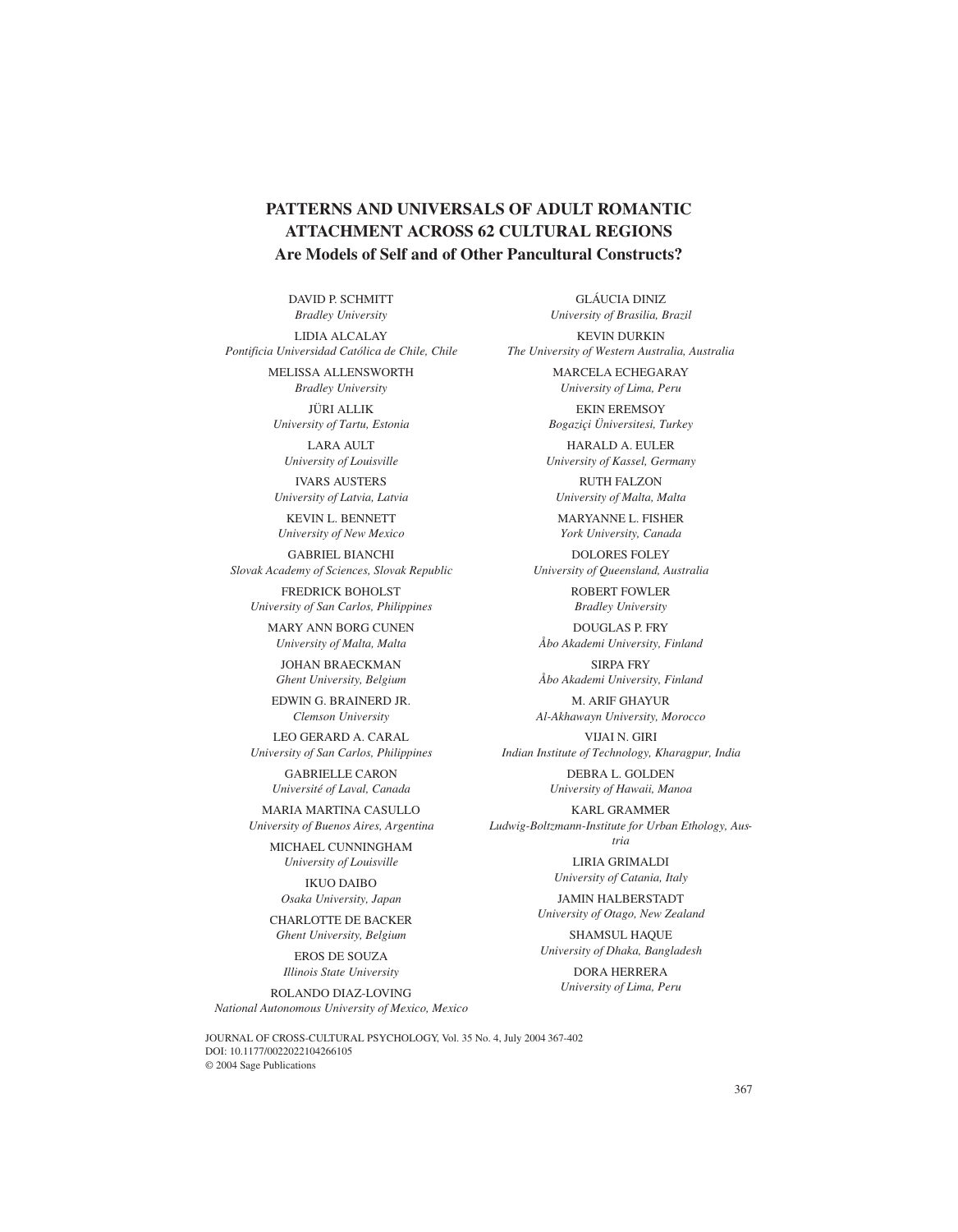# **PATTERNS AND UNIVERSALS OF ADULT ROMANTIC ATTACHMENT ACROSS 62 CULTURAL REGIONS Are Models of Self and of Other Pancultural Constructs?**

DAVID P. SCHMITT *Bradley University* LIDIA ALCALAY *Pontificia Universidad Católica de Chile, Chile* MELISSA ALLENSWORTH *Bradley University* JÜRI ALLIK *University of Tartu, Estonia* LARA AULT *University of Louisville* IVARS AUSTERS

*University of Latvia, Latvia* KEVIN L. BENNETT

*University of New Mexico* GABRIEL BIANCHI

*Slovak Academy of Sciences, Slovak Republic*

FREDRICK BOHOLST *University of San Carlos, Philippines*

MARY ANN BORG CUNEN *University of Malta, Malta*

JOHAN BRAECKMAN *Ghent University, Belgium*

EDWIN G. BRAINERD JR. *Clemson University*

LEO GERARD A. CARAL *University of San Carlos, Philippines*

> GABRIELLE CARON *Université of Laval, Canada*

MARIA MARTINA CASULLO *University of Buenos Aires, Argentina*

MICHAEL CUNNINGHAM *University of Louisville*

IKUO DAIBO *Osaka University, Japan*

CHARLOTTE DE BACKER *Ghent University, Belgium*

EROS DE SOUZA *Illinois State University*

ROLANDO DIAZ-LOVING *National Autonomous University of Mexico, Mexico*

JOURNAL OF CROSS-CULTURAL PSYCHOLOGY, Vol. 35 No. 4, July 2004 367-402 DOI: 10.1177/0022022104266105 © 2004 Sage Publications

*University of Brasilia, Brazil* KEVIN DURKIN *The University of Western Australia, Australia* MARCELA ECHEGARAY *University of Lima, Peru* EKIN EREMSOY *Bogaziçi Üniversitesi, Turkey* HARALD A. EULER *University of Kassel, Germany* RUTH FALZON *University of Malta, Malta* MARYANNE L. FISHER *York University, Canada* DOLORES FOLEY *University of Queensland, Australia* ROBERT FOWLER *Bradley University* DOUGLAS P. FRY *Åbo Akademi University, Finland* SIRPA FRY *Åbo Akademi University, Finland* M. ARIF GHAYUR *Al-Akhawayn University, Morocco* VIJAI N. GIRI *Indian Institute of Technology, Kharagpur, India* DEBRA L. GOLDEN

GLÁUCIA DINIZ

*University of Hawaii, Manoa*

KARL GRAMMER *Ludwig-Boltzmann-Institute for Urban Ethology, Austria*

LIRIA GRIMALDI

*University of Catania, Italy* JAMIN HALBERSTADT

*University of Otago, New Zealand*

SHAMSUL HAQUE *University of Dhaka, Bangladesh* DORA HERRERA *University of Lima, Peru*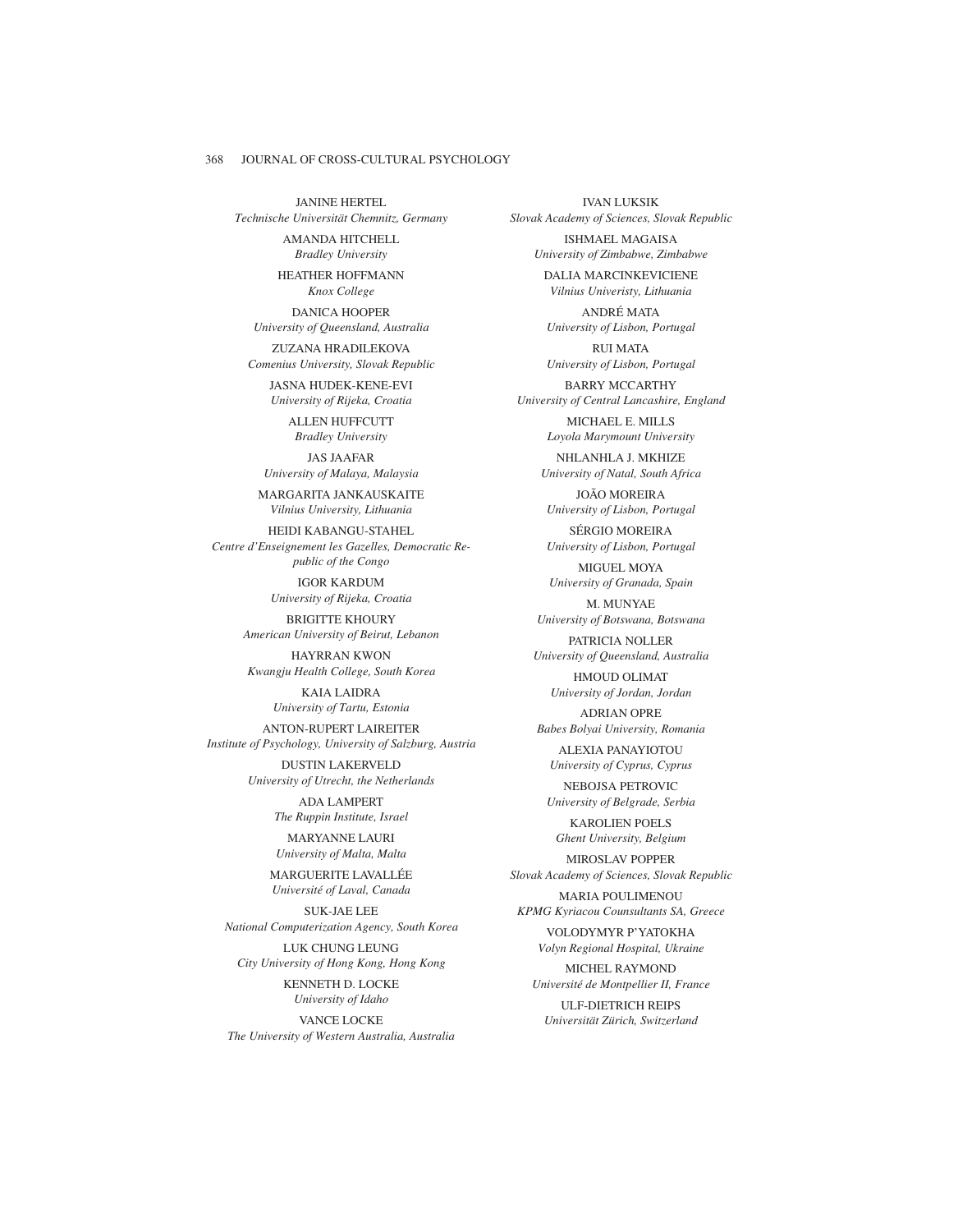JANINE HERTEL *Technische Universität Chemnitz, Germany* AMANDA HITCHELL *Bradley University* HEATHER HOFFMANN *Knox College* DANICA HOOPER *University of Queensland, Australia* ZUZANA HRADILEKOVA *Comenius University, Slovak Republic* JASNA HUDEK-KENE-EVI *University of Rijeka, Croatia* ALLEN HUFFCUTT *Bradley University* JAS JAAFAR *University of Malaya, Malaysia* MARGARITA JANKAUSKAITE *Vilnius University, Lithuania* HEIDI KABANGU-STAHEL *Centre d'Enseignement les Gazelles, Democratic Republic of the Congo*

> IGOR KARDUM *University of Rijeka, Croatia*

BRIGITTE KHOURY *American University of Beirut, Lebanon*

HAYRRAN KWON *Kwangju Health College, South Korea*

> KAIA LAIDRA *University of Tartu, Estonia*

ANTON-RUPERT LAIREITER *Institute of Psychology, University of Salzburg, Austria*

> DUSTIN LAKERVELD *University of Utrecht, the Netherlands*

> > ADA LAMPERT *The Ruppin Institute, Israel*

MARYANNE LAURI *University of Malta, Malta*

MARGUERITE LAVALLÉE *Université of Laval, Canada*

SUK-JAE LEE *National Computerization Agency, South Korea*

LUK CHUNG LEUNG *City University of Hong Kong, Hong Kong*

> KENNETH D. LOCKE *University of Idaho*

VANCE LOCKE *The University of Western Australia, Australia*

IVAN LUKSIK *Slovak Academy of Sciences, Slovak Republic* ISHMAEL MAGAISA *University of Zimbabwe, Zimbabwe* DALIA MARCINKEVICIENE *Vilnius Univeristy, Lithuania* ANDRÉ MATA *University of Lisbon, Portugal* RUI MATA *University of Lisbon, Portugal* BARRY MCCARTHY *University of Central Lancashire, England* MICHAEL E. MILLS *Loyola Marymount University* NHLANHLA J. MKHIZE *University of Natal, South Africa* JOÃO MOREIRA *University of Lisbon, Portugal* SÉRGIO MOREIRA *University of Lisbon, Portugal* MIGUEL MOYA *University of Granada, Spain* M. MUNYAE *University of Botswana, Botswana* PATRICIA NOLLER *University of Queensland, Australia* HMOUD OLIMAT *University of Jordan, Jordan* ADRIAN OPRE *Babes Bolyai University, Romania* ALEXIA PANAYIOTOU *University of Cyprus, Cyprus* NEBOJSA PETROVIC *University of Belgrade, Serbia* KAROLIEN POELS *Ghent University, Belgium* MIROSLAV POPPER *Slovak Academy of Sciences, Slovak Republic* MARIA POULIMENOU *KPMG Kyriacou Counsultants SA, Greece* VOLODYMYR P'YATOKHA *Volyn Regional Hospital, Ukraine* MICHEL RAYMOND *Université de Montpellier II, France* ULF-DIETRICH REIPS *Universität Zürich, Switzerland*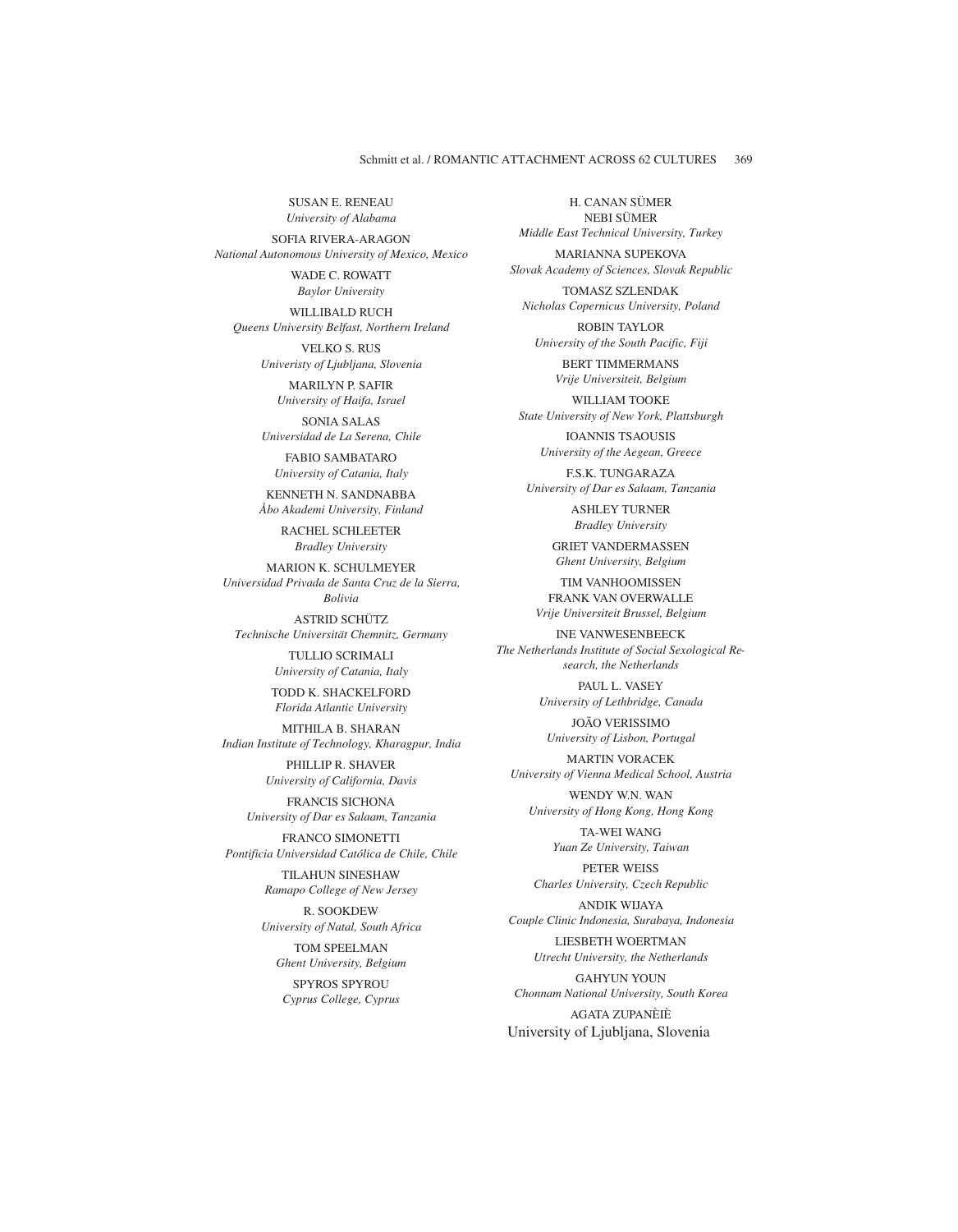#### Schmitt et al. / ROMANTIC ATTACHMENT ACROSS 62 CULTURES 369

SUSAN E. RENEAU *University of Alabama*

SOFIA RIVERA-ARAGON *National Autonomous University of Mexico, Mexico*

> WADE C. ROWATT *Baylor University*

WILLIBALD RUCH *Queens University Belfast, Northern Ireland*

> VELKO S. RUS *Univeristy of Ljubljana, Slovenia*

> > MARILYN P. SAFIR *University of Haifa, Israel* SONIA SALAS

*Universidad de La Serena, Chile* FABIO SAMBATARO

*University of Catania, Italy* KENNETH N. SANDNABBA

*Åbo Akademi University, Finland*

RACHEL SCHLEETER *Bradley University*

MARION K. SCHULMEYER *Universidad Privada de Santa Cruz de la Sierra, Bolivia*

ASTRID SCHÜTZ *Technische Universität Chemnitz, Germany*

> TULLIO SCRIMALI *University of Catania, Italy*

TODD K. SHACKELFORD *Florida Atlantic University*

MITHILA B. SHARAN *Indian Institute of Technology, Kharagpur, India*

> PHILLIP R. SHAVER *University of California, Davis*

FRANCIS SICHONA *University of Dar es Salaam, Tanzania*

FRANCO SIMONETTI *Pontificia Universidad Católica de Chile, Chile*

> TILAHUN SINESHAW *Ramapo College of New Jersey*

R. SOOKDEW *University of Natal, South Africa*

> TOM SPEELMAN *Ghent University, Belgium*

SPYROS SPYROU *Cyprus College, Cyprus*

H. CANAN SÜMER NEBI SÜMER *Middle East Technical University, Turkey*

MARIANNA SUPEKOVA *Slovak Academy of Sciences, Slovak Republic*

TOMASZ SZLENDAK *Nicholas Copernicus University, Poland*

ROBIN TAYLOR *University of the South Pacific, Fiji*

> BERT TIMMERMANS *Vrije Universiteit, Belgium*

WILLIAM TOOKE *State University of New York, Plattsburgh*

IOANNIS TSAOUSIS *University of the Aegean, Greece*

F.S.K. TUNGARAZA *University of Dar es Salaam, Tanzania*

> ASHLEY TURNER *Bradley University*

GRIET VANDERMASSEN *Ghent University, Belgium*

TIM VANHOOMISSEN FRANK VAN OVERWALLE *Vrije Universiteit Brussel, Belgium*

INE VANWESENBEECK *The Netherlands Institute of Social Sexological Research, the Netherlands*

> PAUL L. VASEY *University of Lethbridge, Canada* JOÃO VERISSIMO

*University of Lisbon, Portugal*

MARTIN VORACEK *University of Vienna Medical School, Austria*

WENDY W.N. WAN *University of Hong Kong, Hong Kong*

> TA-WEI WANG *Yuan Ze University, Taiwan*

PETER WEISS *Charles University, Czech Republic* ANDIK WIJAYA

*Couple Clinic Indonesia, Surabaya, Indonesia*

LIESBETH WOERTMAN *Utrecht University, the Netherlands* GAHYUN YOUN *Chonnam National University, South Korea* AGATA ZUPANÈIÈ University of Ljubljana, Slovenia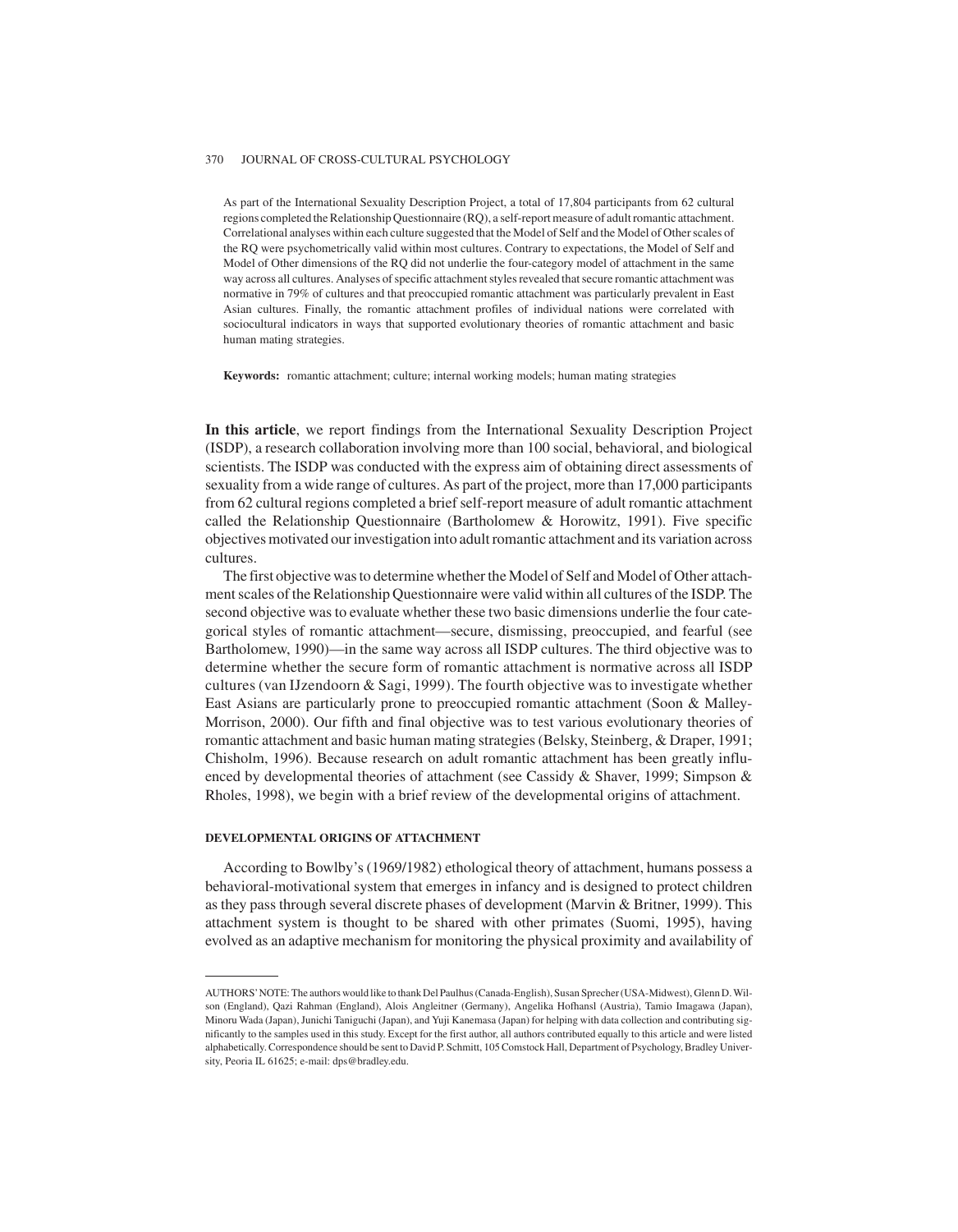As part of the International Sexuality Description Project, a total of 17,804 participants from 62 cultural regions completed the Relationship Questionnaire (RQ), a self-report measure of adult romantic attachment. Correlational analyses within each culture suggested that the Model of Self and the Model of Other scales of the RQ were psychometrically valid within most cultures. Contrary to expectations, the Model of Self and Model of Other dimensions of the RQ did not underlie the four-category model of attachment in the same way across all cultures. Analyses of specific attachment styles revealed that secure romantic attachment was normative in 79% of cultures and that preoccupied romantic attachment was particularly prevalent in East Asian cultures. Finally, the romantic attachment profiles of individual nations were correlated with sociocultural indicators in ways that supported evolutionary theories of romantic attachment and basic human mating strategies.

**Keywords:** romantic attachment; culture; internal working models; human mating strategies

**In this article**, we report findings from the International Sexuality Description Project (ISDP), a research collaboration involving more than 100 social, behavioral, and biological scientists. The ISDP was conducted with the express aim of obtaining direct assessments of sexuality from a wide range of cultures. As part of the project, more than 17,000 participants from 62 cultural regions completed a brief self-report measure of adult romantic attachment called the Relationship Questionnaire (Bartholomew & Horowitz, 1991). Five specific objectives motivated our investigation into adult romantic attachment and its variation across cultures.

The first objective was to determine whether the Model of Self and Model of Other attachment scales of the Relationship Questionnaire were valid within all cultures of the ISDP. The second objective was to evaluate whether these two basic dimensions underlie the four categorical styles of romantic attachment—secure, dismissing, preoccupied, and fearful (see Bartholomew, 1990)—in the same way across all ISDP cultures. The third objective was to determine whether the secure form of romantic attachment is normative across all ISDP cultures (van IJzendoorn  $\&$  Sagi, 1999). The fourth objective was to investigate whether East Asians are particularly prone to preoccupied romantic attachment (Soon & Malley-Morrison, 2000). Our fifth and final objective was to test various evolutionary theories of romantic attachment and basic human mating strategies (Belsky, Steinberg, & Draper, 1991; Chisholm, 1996). Because research on adult romantic attachment has been greatly influenced by developmental theories of attachment (see Cassidy & Shaver, 1999; Simpson & Rholes, 1998), we begin with a brief review of the developmental origins of attachment.

# **DEVELOPMENTAL ORIGINS OF ATTACHMENT**

According to Bowlby's (1969/1982) ethological theory of attachment, humans possess a behavioral-motivational system that emerges in infancy and is designed to protect children as they pass through several discrete phases of development (Marvin & Britner, 1999). This attachment system is thought to be shared with other primates (Suomi, 1995), having evolved as an adaptive mechanism for monitoring the physical proximity and availability of

AUTHORS'NOTE: The authors would like to thank Del Paulhus (Canada-English), Susan Sprecher (USA-Midwest), Glenn D. Wilson (England), Qazi Rahman (England), Alois Angleitner (Germany), Angelika Hofhansl (Austria), Tamio Imagawa (Japan), Minoru Wada (Japan), Junichi Taniguchi (Japan), and Yuji Kanemasa (Japan) for helping with data collection and contributing significantly to the samples used in this study. Except for the first author, all authors contributed equally to this article and were listed alphabetically. Correspondence should be sent to David P. Schmitt, 105 Comstock Hall, Department of Psychology, Bradley University, Peoria IL 61625; e-mail: dps@bradley.edu.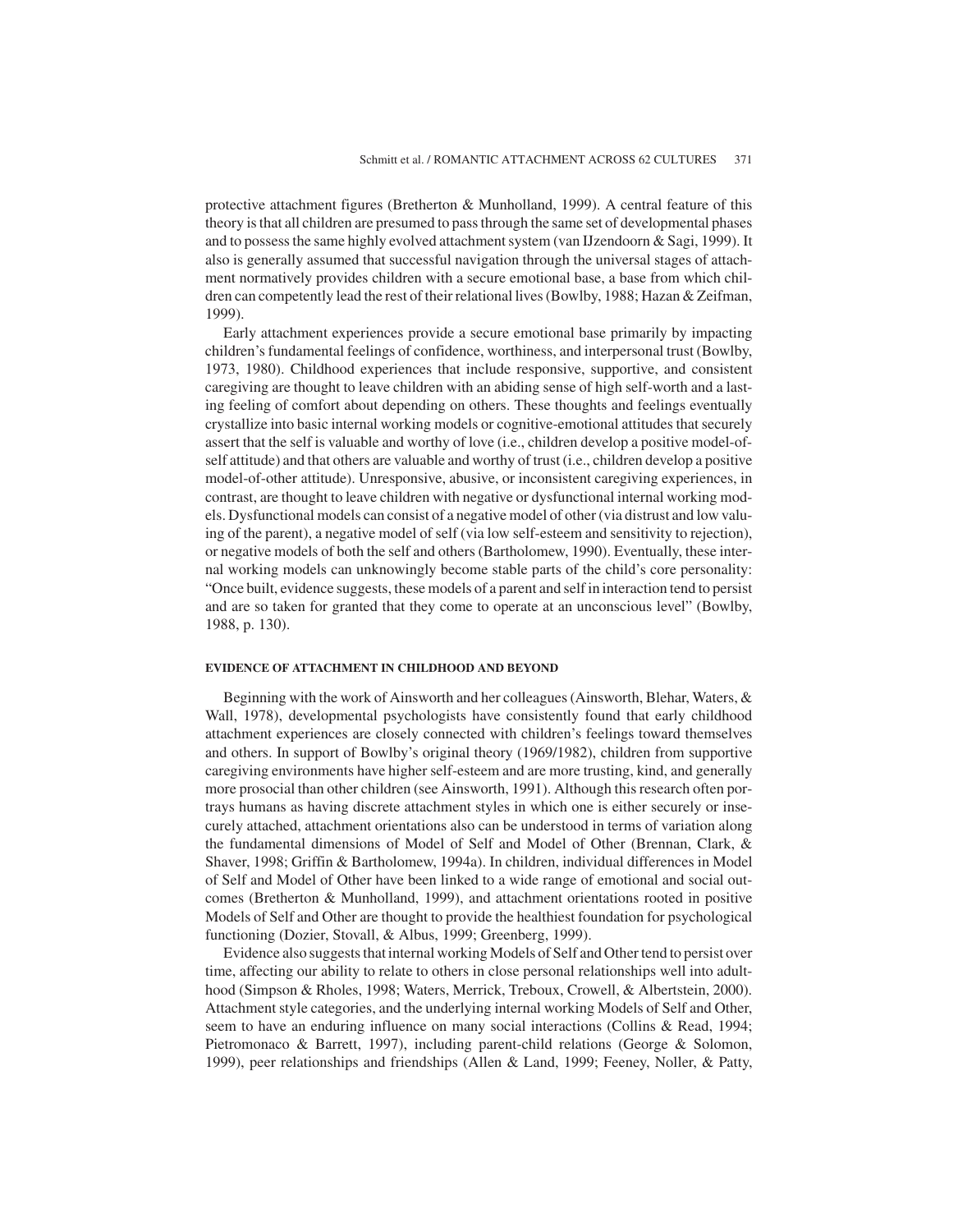protective attachment figures (Bretherton & Munholland, 1999). A central feature of this theory is that all children are presumed to pass through the same set of developmental phases and to possess the same highly evolved attachment system (van IJzendoorn & Sagi, 1999). It also is generally assumed that successful navigation through the universal stages of attachment normatively provides children with a secure emotional base, a base from which children can competently lead the rest of their relational lives (Bowlby, 1988; Hazan & Zeifman, 1999).

Early attachment experiences provide a secure emotional base primarily by impacting children's fundamental feelings of confidence, worthiness, and interpersonal trust (Bowlby, 1973, 1980). Childhood experiences that include responsive, supportive, and consistent caregiving are thought to leave children with an abiding sense of high self-worth and a lasting feeling of comfort about depending on others. These thoughts and feelings eventually crystallize into basic internal working models or cognitive-emotional attitudes that securely assert that the self is valuable and worthy of love (i.e., children develop a positive model-ofself attitude) and that others are valuable and worthy of trust (i.e., children develop a positive model-of-other attitude). Unresponsive, abusive, or inconsistent caregiving experiences, in contrast, are thought to leave children with negative or dysfunctional internal working models. Dysfunctional models can consist of a negative model of other (via distrust and low valuing of the parent), a negative model of self (via low self-esteem and sensitivity to rejection), or negative models of both the self and others (Bartholomew, 1990). Eventually, these internal working models can unknowingly become stable parts of the child's core personality: "Once built, evidence suggests, these models of a parent and self in interaction tend to persist and are so taken for granted that they come to operate at an unconscious level" (Bowlby, 1988, p. 130).

#### **EVIDENCE OF ATTACHMENT IN CHILDHOOD AND BEYOND**

Beginning with the work of Ainsworth and her colleagues (Ainsworth, Blehar, Waters, & Wall, 1978), developmental psychologists have consistently found that early childhood attachment experiences are closely connected with children's feelings toward themselves and others. In support of Bowlby's original theory (1969/1982), children from supportive caregiving environments have higher self-esteem and are more trusting, kind, and generally more prosocial than other children (see Ainsworth, 1991). Although this research often portrays humans as having discrete attachment styles in which one is either securely or insecurely attached, attachment orientations also can be understood in terms of variation along the fundamental dimensions of Model of Self and Model of Other (Brennan, Clark, & Shaver, 1998; Griffin & Bartholomew, 1994a). In children, individual differences in Model of Self and Model of Other have been linked to a wide range of emotional and social outcomes (Bretherton & Munholland, 1999), and attachment orientations rooted in positive Models of Self and Other are thought to provide the healthiest foundation for psychological functioning (Dozier, Stovall, & Albus, 1999; Greenberg, 1999).

Evidence also suggests that internal working Models of Self and Other tend to persist over time, affecting our ability to relate to others in close personal relationships well into adulthood (Simpson & Rholes, 1998; Waters, Merrick, Treboux, Crowell, & Albertstein, 2000). Attachment style categories, and the underlying internal working Models of Self and Other, seem to have an enduring influence on many social interactions (Collins & Read, 1994; Pietromonaco & Barrett, 1997), including parent-child relations (George & Solomon, 1999), peer relationships and friendships (Allen & Land, 1999; Feeney, Noller, & Patty,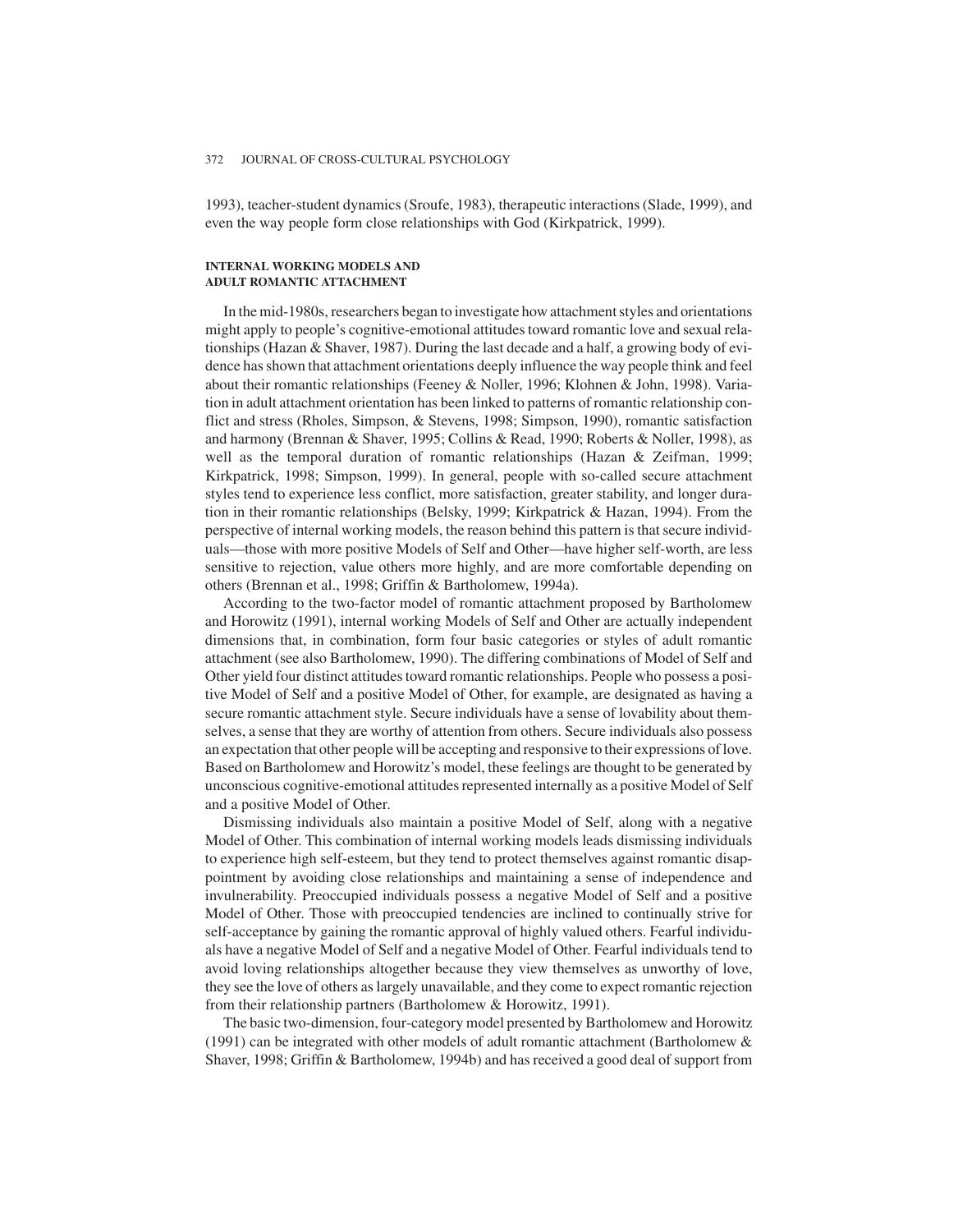1993), teacher-student dynamics (Sroufe, 1983), therapeutic interactions (Slade, 1999), and even the way people form close relationships with God (Kirkpatrick, 1999).

# **INTERNAL WORKING MODELS AND ADULT ROMANTIC ATTACHMENT**

In the mid-1980s, researchers began to investigate how attachment styles and orientations might apply to people's cognitive-emotional attitudes toward romantic love and sexual relationships (Hazan & Shaver, 1987). During the last decade and a half, a growing body of evidence has shown that attachment orientations deeply influence the way people think and feel about their romantic relationships (Feeney & Noller, 1996; Klohnen & John, 1998). Variation in adult attachment orientation has been linked to patterns of romantic relationship conflict and stress (Rholes, Simpson, & Stevens, 1998; Simpson, 1990), romantic satisfaction and harmony (Brennan & Shaver, 1995; Collins & Read, 1990; Roberts & Noller, 1998), as well as the temporal duration of romantic relationships (Hazan & Zeifman, 1999; Kirkpatrick, 1998; Simpson, 1999). In general, people with so-called secure attachment styles tend to experience less conflict, more satisfaction, greater stability, and longer duration in their romantic relationships (Belsky, 1999; Kirkpatrick & Hazan, 1994). From the perspective of internal working models, the reason behind this pattern isthat secure individuals—those with more positive Models of Self and Other—have higher self-worth, are less sensitive to rejection, value others more highly, and are more comfortable depending on others (Brennan et al., 1998; Griffin & Bartholomew, 1994a).

According to the two-factor model of romantic attachment proposed by Bartholomew and Horowitz (1991), internal working Models of Self and Other are actually independent dimensions that, in combination, form four basic categories or styles of adult romantic attachment (see also Bartholomew, 1990). The differing combinations of Model of Self and Other yield four distinct attitudes toward romantic relationships. People who possess a positive Model of Self and a positive Model of Other, for example, are designated as having a secure romantic attachment style. Secure individuals have a sense of lovability about themselves, a sense that they are worthy of attention from others. Secure individuals also possess an expectation that other people will be accepting and responsive to their expressions of love. Based on Bartholomew and Horowitz's model, these feelings are thought to be generated by unconscious cognitive-emotional attitudes represented internally as a positive Model of Self and a positive Model of Other.

Dismissing individuals also maintain a positive Model of Self, along with a negative Model of Other. This combination of internal working models leads dismissing individuals to experience high self-esteem, but they tend to protect themselves against romantic disappointment by avoiding close relationships and maintaining a sense of independence and invulnerability. Preoccupied individuals possess a negative Model of Self and a positive Model of Other. Those with preoccupied tendencies are inclined to continually strive for self-acceptance by gaining the romantic approval of highly valued others. Fearful individuals have a negative Model of Self and a negative Model of Other. Fearful individuals tend to avoid loving relationships altogether because they view themselves as unworthy of love, they see the love of others as largely unavailable, and they come to expect romantic rejection from their relationship partners (Bartholomew & Horowitz, 1991).

The basic two-dimension, four-category model presented by Bartholomew and Horowitz (1991) can be integrated with other models of adult romantic attachment (Bartholomew & Shaver, 1998; Griffin & Bartholomew, 1994b) and has received a good deal of support from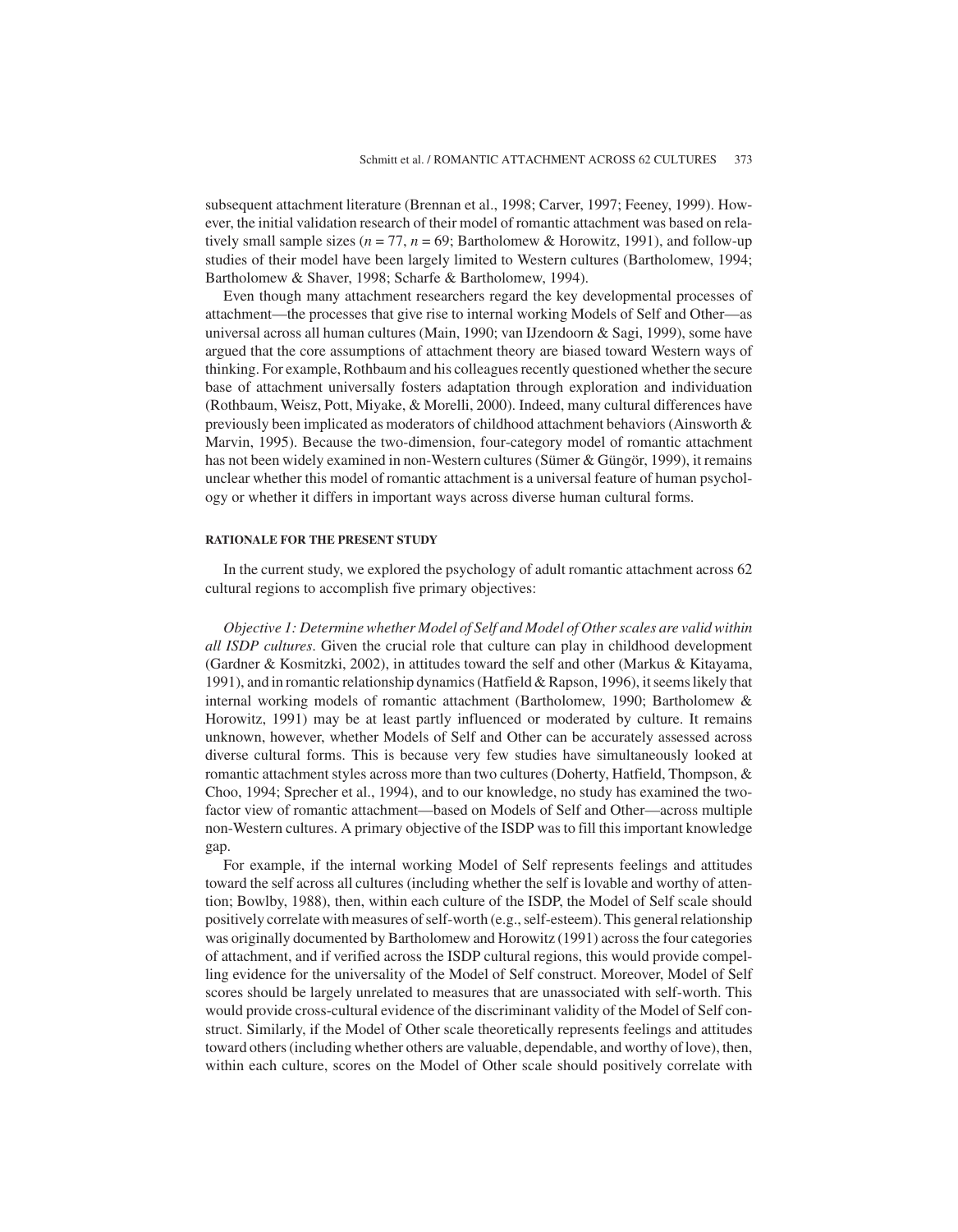subsequent attachment literature (Brennan et al., 1998; Carver, 1997; Feeney, 1999). However, the initial validation research of their model of romantic attachment was based on relatively small sample sizes ( $n = 77$ ,  $n = 69$ ; Bartholomew & Horowitz, 1991), and follow-up studies of their model have been largely limited to Western cultures (Bartholomew, 1994; Bartholomew & Shaver, 1998; Scharfe & Bartholomew, 1994).

Even though many attachment researchers regard the key developmental processes of attachment—the processes that give rise to internal working Models of Self and Other—as universal across all human cultures (Main, 1990; van IJzendoorn & Sagi, 1999), some have argued that the core assumptions of attachment theory are biased toward Western ways of thinking. For example, Rothbaum and his colleagues recently questioned whether the secure base of attachment universally fosters adaptation through exploration and individuation (Rothbaum, Weisz, Pott, Miyake, & Morelli, 2000). Indeed, many cultural differences have previously been implicated as moderators of childhood attachment behaviors (Ainsworth & Marvin, 1995). Because the two-dimension, four-category model of romantic attachment has not been widely examined in non-Western cultures (Sümer & Güngör, 1999), it remains unclear whether this model of romantic attachment is a universal feature of human psychology or whether it differs in important ways across diverse human cultural forms.

# **RATIONALE FOR THE PRESENT STUDY**

In the current study, we explored the psychology of adult romantic attachment across 62 cultural regions to accomplish five primary objectives:

*Objective 1: Determine whether Model of Self and Model of Other scales are valid within all ISDP cultures*. Given the crucial role that culture can play in childhood development (Gardner & Kosmitzki, 2002), in attitudes toward the self and other (Markus & Kitayama, 1991), and in romantic relationship dynamics (Hatfield & Rapson, 1996), it seems likely that internal working models of romantic attachment (Bartholomew, 1990; Bartholomew & Horowitz, 1991) may be at least partly influenced or moderated by culture. It remains unknown, however, whether Models of Self and Other can be accurately assessed across diverse cultural forms. This is because very few studies have simultaneously looked at romantic attachment styles across more than two cultures (Doherty, Hatfield, Thompson, & Choo, 1994; Sprecher et al., 1994), and to our knowledge, no study has examined the twofactor view of romantic attachment—based on Models of Self and Other—across multiple non-Western cultures. A primary objective of the ISDP was to fill this important knowledge gap.

For example, if the internal working Model of Self represents feelings and attitudes toward the self across all cultures (including whether the self is lovable and worthy of attention; Bowlby, 1988), then, within each culture of the ISDP, the Model of Self scale should positively correlate with measures of self-worth (e.g., self-esteem). This general relationship was originally documented by Bartholomew and Horowitz (1991) across the four categories of attachment, and if verified across the ISDP cultural regions, this would provide compelling evidence for the universality of the Model of Self construct. Moreover, Model of Self scores should be largely unrelated to measures that are unassociated with self-worth. This would provide cross-cultural evidence of the discriminant validity of the Model of Self construct. Similarly, if the Model of Other scale theoretically represents feelings and attitudes toward others (including whether others are valuable, dependable, and worthy of love), then, within each culture, scores on the Model of Other scale should positively correlate with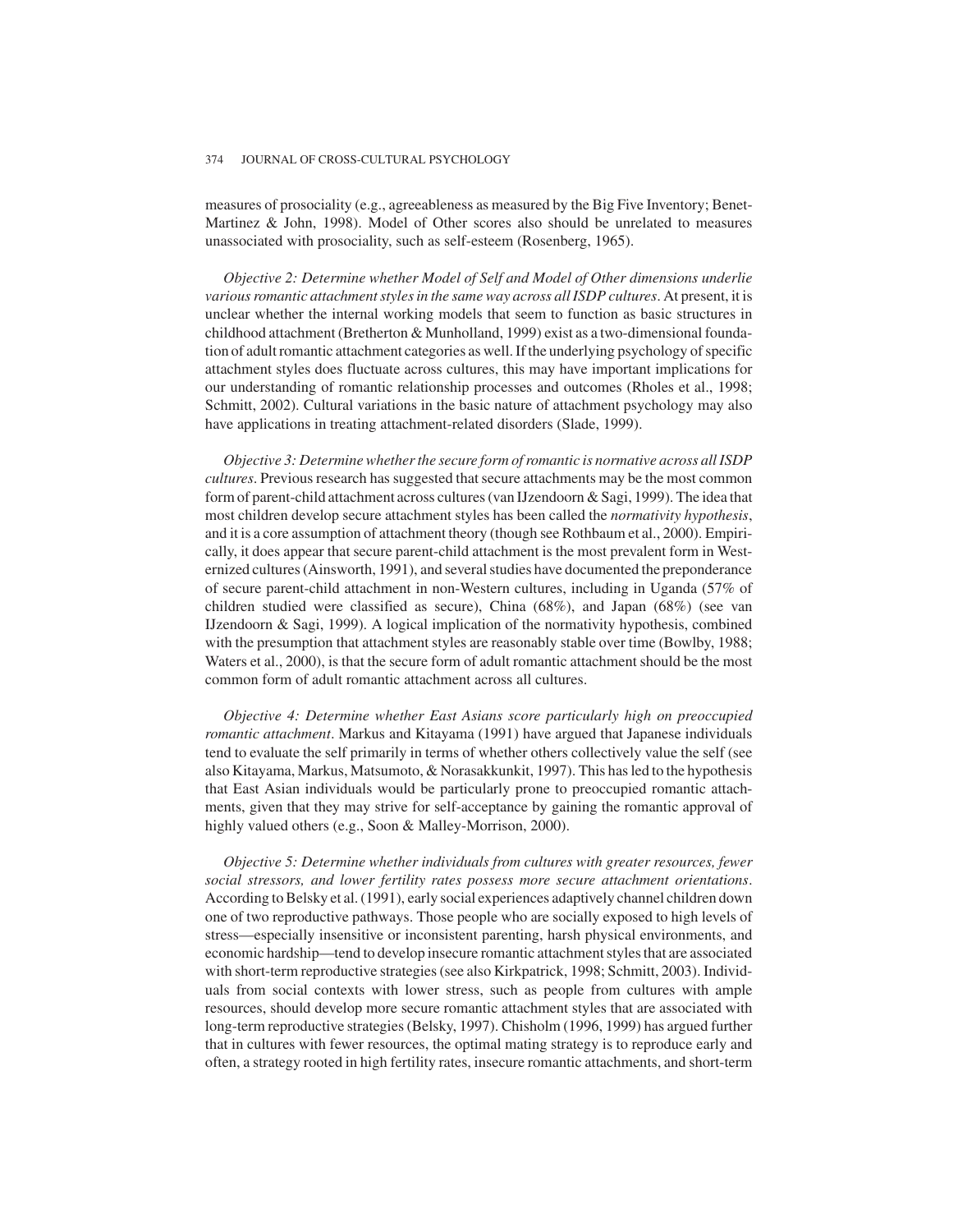measures of prosociality (e.g., agreeableness as measured by the Big Five Inventory; Benet-Martinez & John, 1998). Model of Other scores also should be unrelated to measures unassociated with prosociality, such as self-esteem (Rosenberg, 1965).

*Objective 2: Determine whether Model of Self and Model of Other dimensions underlie various romantic attachment styles in the same way across all ISDP cultures*. At present, it is unclear whether the internal working models that seem to function as basic structures in childhood attachment (Bretherton & Munholland, 1999) exist as a two-dimensional foundation of adult romantic attachment categories as well. If the underlying psychology of specific attachment styles does fluctuate across cultures, this may have important implications for our understanding of romantic relationship processes and outcomes (Rholes et al., 1998; Schmitt, 2002). Cultural variations in the basic nature of attachment psychology may also have applications in treating attachment-related disorders (Slade, 1999).

*Objective 3: Determine whether the secure form of romantic is normative across all ISDP cultures*. Previous research has suggested that secure attachments may be the most common form of parent-child attachment across cultures (van IJzendoorn & Sagi, 1999). The idea that most children develop secure attachment styles has been called the *normativity hypothesis*, and it is a core assumption of attachment theory (though see Rothbaum et al., 2000). Empirically, it does appear that secure parent-child attachment is the most prevalent form in Westernized cultures (Ainsworth, 1991), and several studies have documented the preponderance of secure parent-child attachment in non-Western cultures, including in Uganda (57% of children studied were classified as secure), China (68%), and Japan (68%) (see van IJzendoorn & Sagi, 1999). A logical implication of the normativity hypothesis, combined with the presumption that attachment styles are reasonably stable over time (Bowlby, 1988; Waters et al., 2000), is that the secure form of adult romantic attachment should be the most common form of adult romantic attachment across all cultures.

*Objective 4: Determine whether East Asians score particularly high on preoccupied romantic attachment*. Markus and Kitayama (1991) have argued that Japanese individuals tend to evaluate the self primarily in terms of whether others collectively value the self (see also Kitayama, Markus, Matsumoto, & Norasakkunkit, 1997). This has led to the hypothesis that East Asian individuals would be particularly prone to preoccupied romantic attachments, given that they may strive for self-acceptance by gaining the romantic approval of highly valued others (e.g., Soon & Malley-Morrison, 2000).

*Objective 5: Determine whether individuals from cultures with greater resources, fewer social stressors, and lower fertility rates possess more secure attachment orientations*. According to Belsky et al. (1991), early social experiences adaptively channel children down one of two reproductive pathways. Those people who are socially exposed to high levels of stress—especially insensitive or inconsistent parenting, harsh physical environments, and economic hardship—tend to develop insecure romantic attachment styles that are associated with short-term reproductive strategies (see also Kirkpatrick, 1998; Schmitt, 2003). Individuals from social contexts with lower stress, such as people from cultures with ample resources, should develop more secure romantic attachment styles that are associated with long-term reproductive strategies (Belsky, 1997). Chisholm (1996, 1999) has argued further that in cultures with fewer resources, the optimal mating strategy is to reproduce early and often, a strategy rooted in high fertility rates, insecure romantic attachments, and short-term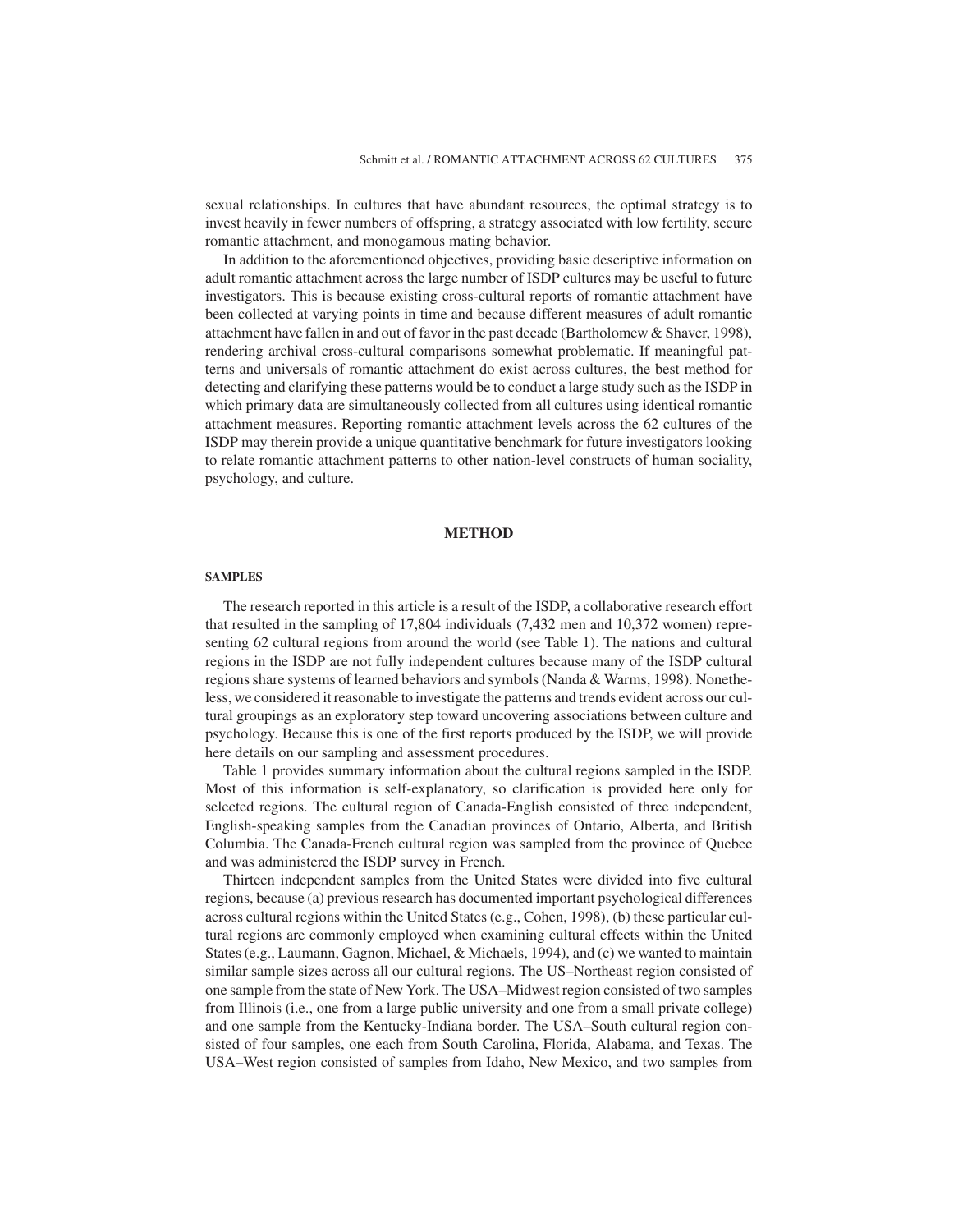sexual relationships. In cultures that have abundant resources, the optimal strategy is to invest heavily in fewer numbers of offspring, a strategy associated with low fertility, secure romantic attachment, and monogamous mating behavior.

In addition to the aforementioned objectives, providing basic descriptive information on adult romantic attachment across the large number of ISDP cultures may be useful to future investigators. This is because existing cross-cultural reports of romantic attachment have been collected at varying points in time and because different measures of adult romantic attachment have fallen in and out of favor in the past decade (Bartholomew & Shaver, 1998), rendering archival cross-cultural comparisons somewhat problematic. If meaningful patterns and universals of romantic attachment do exist across cultures, the best method for detecting and clarifying these patterns would be to conduct a large study such as the ISDP in which primary data are simultaneously collected from all cultures using identical romantic attachment measures. Reporting romantic attachment levels across the 62 cultures of the ISDP may therein provide a unique quantitative benchmark for future investigators looking to relate romantic attachment patterns to other nation-level constructs of human sociality, psychology, and culture.

# **METHOD**

# **SAMPLES**

The research reported in this article is a result of the ISDP, a collaborative research effort that resulted in the sampling of 17,804 individuals (7,432 men and 10,372 women) representing 62 cultural regions from around the world (see Table 1). The nations and cultural regions in the ISDP are not fully independent cultures because many of the ISDP cultural regions share systems of learned behaviors and symbols (Nanda & Warms, 1998). Nonetheless, we considered it reasonable to investigate the patterns and trends evident across our cultural groupings as an exploratory step toward uncovering associations between culture and psychology. Because this is one of the first reports produced by the ISDP, we will provide here details on our sampling and assessment procedures.

Table 1 provides summary information about the cultural regions sampled in the ISDP. Most of this information is self-explanatory, so clarification is provided here only for selected regions. The cultural region of Canada-English consisted of three independent, English-speaking samples from the Canadian provinces of Ontario, Alberta, and British Columbia. The Canada-French cultural region was sampled from the province of Quebec and was administered the ISDP survey in French.

Thirteen independent samples from the United States were divided into five cultural regions, because (a) previous research has documented important psychological differences across cultural regions within the United States (e.g., Cohen, 1998), (b) these particular cultural regions are commonly employed when examining cultural effects within the United States (e.g., Laumann, Gagnon, Michael, & Michaels, 1994), and (c) we wanted to maintain similar sample sizes across all our cultural regions. The US–Northeast region consisted of one sample from the state of New York. The USA–Midwest region consisted of two samples from Illinois (i.e., one from a large public university and one from a small private college) and one sample from the Kentucky-Indiana border. The USA–South cultural region consisted of four samples, one each from South Carolina, Florida, Alabama, and Texas. The USA–West region consisted of samples from Idaho, New Mexico, and two samples from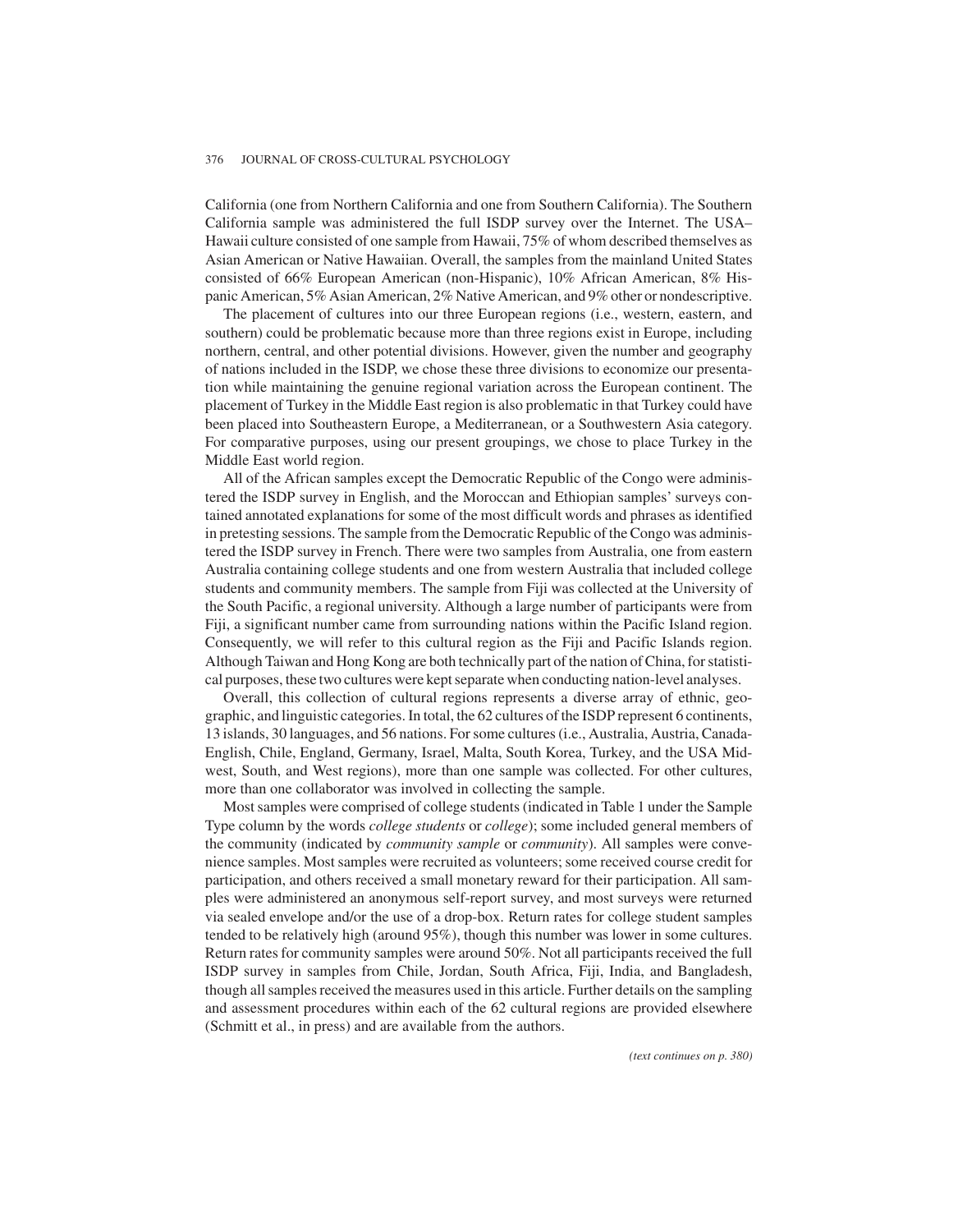California (one from Northern California and one from Southern California). The Southern California sample was administered the full ISDP survey over the Internet. The USA– Hawaii culture consisted of one sample from Hawaii, 75% of whom described themselves as Asian American or Native Hawaiian. Overall, the samples from the mainland United States consisted of 66% European American (non-Hispanic), 10% African American, 8% Hispanic American, 5% Asian American, 2% Native American, and 9% other or nondescriptive.

The placement of cultures into our three European regions (i.e., western, eastern, and southern) could be problematic because more than three regions exist in Europe, including northern, central, and other potential divisions. However, given the number and geography of nations included in the ISDP, we chose these three divisions to economize our presentation while maintaining the genuine regional variation across the European continent. The placement of Turkey in the Middle East region is also problematic in that Turkey could have been placed into Southeastern Europe, a Mediterranean, or a Southwestern Asia category. For comparative purposes, using our present groupings, we chose to place Turkey in the Middle East world region.

All of the African samples except the Democratic Republic of the Congo were administered the ISDP survey in English, and the Moroccan and Ethiopian samples' surveys contained annotated explanations for some of the most difficult words and phrases as identified in pretesting sessions. The sample from the Democratic Republic of the Congo was administered the ISDP survey in French. There were two samples from Australia, one from eastern Australia containing college students and one from western Australia that included college students and community members. The sample from Fiji was collected at the University of the South Pacific, a regional university. Although a large number of participants were from Fiji, a significant number came from surrounding nations within the Pacific Island region. Consequently, we will refer to this cultural region as the Fiji and Pacific Islands region. Although Taiwan and Hong Kong are both technically part of the nation of China, for statistical purposes, these two cultures were kept separate when conducting nation-level analyses.

Overall, this collection of cultural regions represents a diverse array of ethnic, geographic, and linguistic categories. In total, the 62 cultures of the ISDP represent 6 continents, 13 islands, 30 languages, and 56 nations. For some cultures (i.e., Australia, Austria, Canada-English, Chile, England, Germany, Israel, Malta, South Korea, Turkey, and the USA Midwest, South, and West regions), more than one sample was collected. For other cultures, more than one collaborator was involved in collecting the sample.

Most samples were comprised of college students (indicated in Table 1 under the Sample Type column by the words *college students* or *college*); some included general members of the community (indicated by *community sample* or *community*). All samples were convenience samples. Most samples were recruited as volunteers; some received course credit for participation, and others received a small monetary reward for their participation. All samples were administered an anonymous self-report survey, and most surveys were returned via sealed envelope and/or the use of a drop-box. Return rates for college student samples tended to be relatively high (around 95%), though this number was lower in some cultures. Return rates for community samples were around 50%. Not all participants received the full ISDP survey in samples from Chile, Jordan, South Africa, Fiji, India, and Bangladesh, though all samples received the measures used in this article. Further details on the sampling and assessment procedures within each of the 62 cultural regions are provided elsewhere (Schmitt et al., in press) and are available from the authors.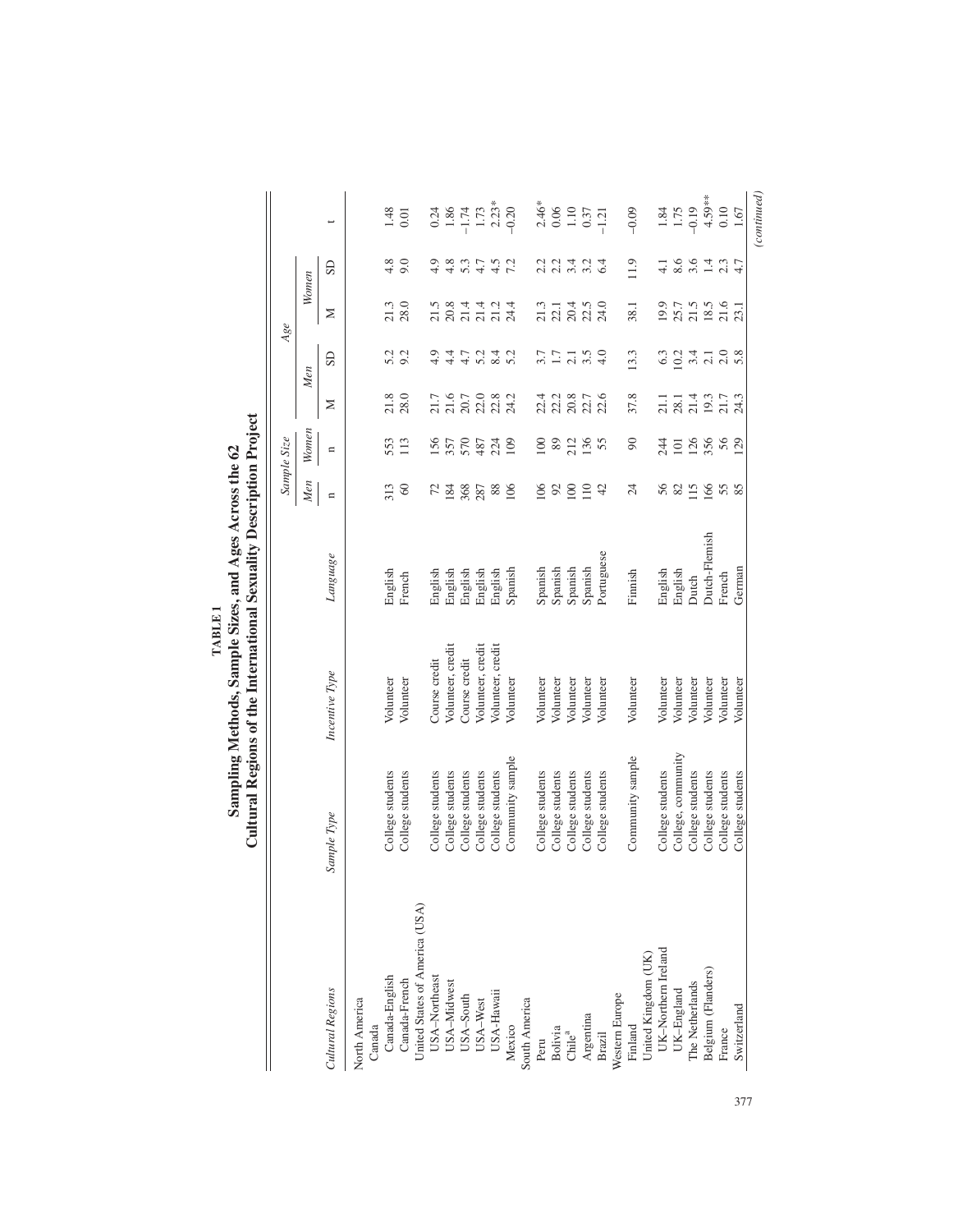|                                                 |                    | Cultural Regions of the International Sexuality Description Project |                   |                       |                   |                  |                         |                                           |               |                                          |
|-------------------------------------------------|--------------------|---------------------------------------------------------------------|-------------------|-----------------------|-------------------|------------------|-------------------------|-------------------------------------------|---------------|------------------------------------------|
|                                                 |                    |                                                                     |                   |                       | Sample Size       |                  |                         | Age                                       |               |                                          |
|                                                 |                    |                                                                     |                   | Men                   | Women             |                  | Men                     | Women                                     |               |                                          |
| Cultural Regions                                | Sample Type        | Incentive Type                                                      | Language          | $\mathbf{u}$          | $\mathbf{u}$      | Σ                | GS                      | Σ                                         | <b>GS</b>     |                                          |
| North America                                   |                    |                                                                     |                   |                       |                   |                  |                         |                                           |               |                                          |
| Canada-English<br>Canada                        |                    |                                                                     |                   |                       |                   |                  |                         |                                           |               |                                          |
|                                                 | College students   | Volunteer                                                           | English<br>French | 313<br>$\circledcirc$ | 553<br>113        | 28.0<br>21.8     | 5.2<br>9.2              | 21.3<br>28.0                              | 4.8<br>9.0    | 1.48<br>0.01                             |
| United States of America (USA)<br>Canada-French | College students   | Volunteer                                                           |                   |                       |                   |                  |                         |                                           |               |                                          |
| USA-Northeast                                   | College students   | Course credit                                                       | English           | 72                    | 156               |                  | 4.9                     |                                           | 4.9           |                                          |
| USA-Midwest                                     | College students   | Volunteer, credit                                                   | English           | 184                   | 357               | 21.7<br>21.6     | 4.4                     | 5 8 5 5 5 5<br>5 6 5 5 5 5<br>5 6 5 5 5 5 | 4.8           | $0.24$<br>1.86<br>1.74<br>1.73<br>1.73   |
| USA-South                                       | College students   | Course credit                                                       | English           | 368                   | 570               | $20.7$           | 4.7                     |                                           | 5.3           |                                          |
| USA-West                                        | College students   | Volunteer, credit                                                   | English           | 287                   | 487               | 22.0             | 5.2                     |                                           | 4.7           |                                          |
| USA-Hawaii                                      | College students   | Volunteer, credit                                                   | English           | 88                    | 224               | 22.8<br>24.2     | 8.4                     |                                           | 4.5           |                                          |
| Mexico                                          | Community sample   | Volunteer                                                           | Spanish           | 106                   | 109               |                  | 5.2                     |                                           | 7.2           | $-0.20$                                  |
| South America                                   |                    |                                                                     |                   |                       |                   |                  |                         |                                           |               |                                          |
| Peru                                            | College students   | Volunteer                                                           | Spanish           | 106                   | 100               | 22.4             | 3.7                     |                                           | 2.2           |                                          |
| Bolivia                                         | College students   | Volunteer                                                           | Spanish           | $\mathcal{S}$         | $89$              |                  |                         |                                           | 2.2           |                                          |
| $\mathrm{Chile}^{\mathrm{a}}$                   | College students   | Volunteer                                                           | Spanish           | 100                   | 212               | 22.2             | $1.7$<br>$2.1$<br>$3.5$ | <br>ភ្នាំ ភ្នំ ភ្នំ<br>ភ្នំ ភ្នំ ភ្នំ     | 3.4           | $2.46*$<br>0.06<br>0.10<br>1.10<br>1.21  |
|                                                 | College students   | Volunteer                                                           | Spanish           | $\overline{110}$      | 136               | 22.7             |                         |                                           | 3.2           |                                          |
| Argentina<br>Brazil                             | College students   | Volunteer                                                           | Portuguese        | $\overline{a}$        | 55                |                  | 4.0                     |                                           | 6.4           |                                          |
| Western Europe                                  |                    |                                                                     |                   |                       |                   |                  |                         |                                           |               |                                          |
| Finland                                         | Community sample   | Volunteer                                                           | Finnish           | $\overline{24}$       | $\infty$          | 37.8             | 13.3                    | 38.1                                      | 11.9          | $-0.09$                                  |
| United Kingdom (UK)                             |                    |                                                                     |                   |                       |                   |                  |                         |                                           |               |                                          |
| UK-Northern Ireland                             | College students   | Volunteer                                                           | English           | 56                    | 244               | 21.1             | 6.3                     | 19.9                                      | $\frac{1}{4}$ |                                          |
| UK-England                                      | College, community | Volunteer                                                           | English           | 82                    |                   | $28.1$<br>$21.4$ | $10.2$<br>3.4           | 25.7<br>21.5                              | 8.6           |                                          |
| The Netherlands                                 | College students   | Volunteer                                                           | Dutch             | 15                    | $\frac{101}{126}$ |                  |                         |                                           | 3.6           |                                          |
| Belgium (Flanders)                              | College students   | Volunteer                                                           | Dutch-Flemish     | 166                   | 356               | 19.3<br>21.7     | 2.1                     | $18.5$<br>21.6                            | 1.4           | 1.84<br>1.75<br>1.75<br>4.59**<br>4.59** |
| France                                          | College students   | Volunteer                                                           | French            | 55                    | 56                |                  | 2.0                     |                                           | 2.3           |                                          |
| Switzerland                                     | College students   | Volunteer                                                           | German            | 85                    | 129               | 24.3             | 5.8                     | 23.1                                      | 4.7           | 1.67                                     |

TABLE 1<br>Sampling Methods, Sample Sizes, and Ages Across the 62 **Sampling Methods, Sample Sizes, and Ages Across the 62 TABLE 1**

377

 $\left( continued\right)$ *(continued)*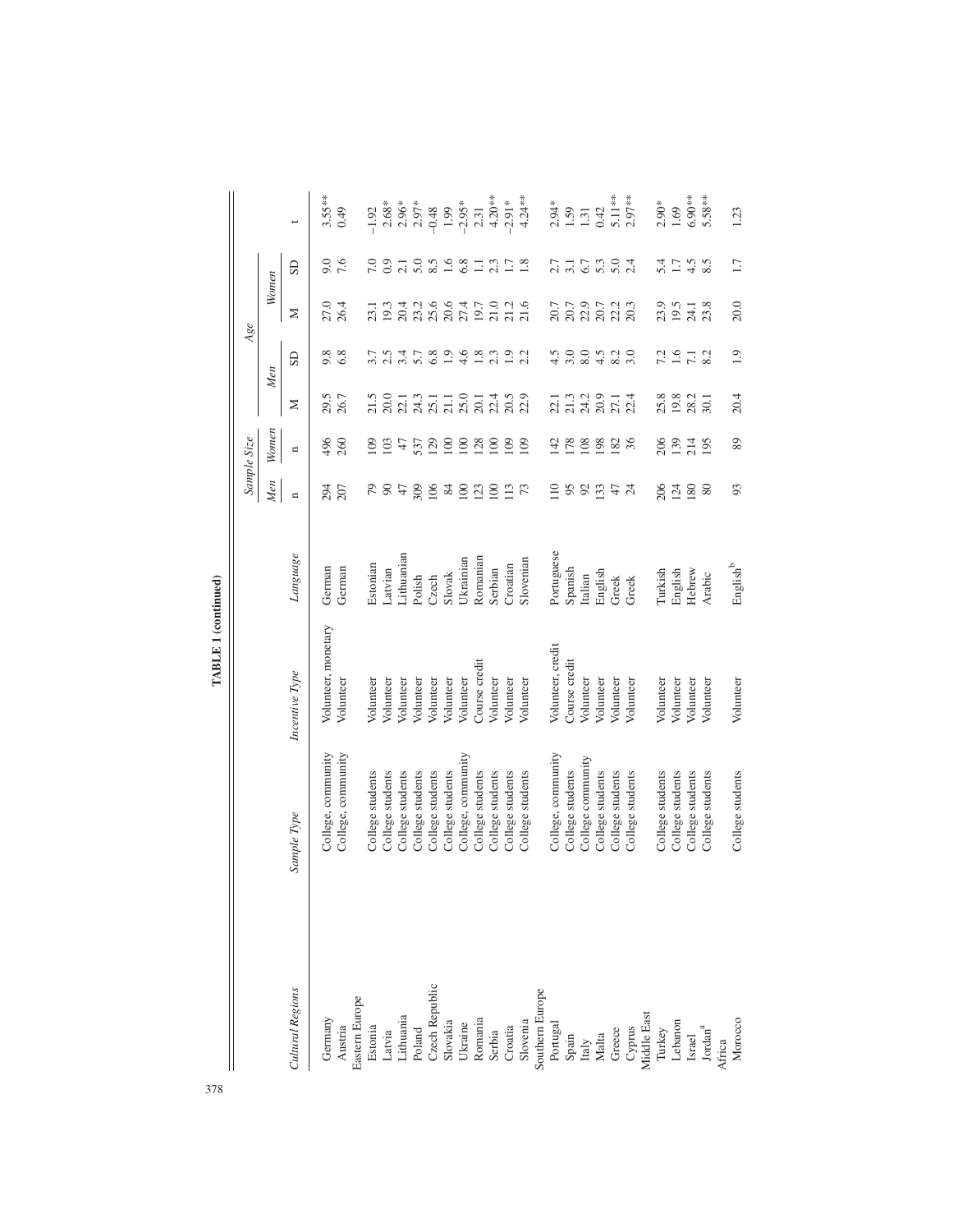|                                                                                                                                                                                                                                                                            |                    |                     |                      |                  | Sample Size |                              |                         | Age          |                          |                    |
|----------------------------------------------------------------------------------------------------------------------------------------------------------------------------------------------------------------------------------------------------------------------------|--------------------|---------------------|----------------------|------------------|-------------|------------------------------|-------------------------|--------------|--------------------------|--------------------|
|                                                                                                                                                                                                                                                                            |                    |                     |                      | Men              | Women       |                              | Men                     |              | Women                    |                    |
| Cultural Regions                                                                                                                                                                                                                                                           | Sample Type        | Incentive Type      | Language             | $\mathbf{u}$     | n           | Σ                            | SD                      | z            | SD                       | ↔                  |
| Germany                                                                                                                                                                                                                                                                    | College, community | Volunteer, monetary | German               | 294              | 496         | 29.5                         | 9.8                     | 27.0         | 9.0                      | $3.55***$          |
| Austria                                                                                                                                                                                                                                                                    | College, community | Volunteer           | German               | 207              | 260         | 26.7                         | 6.8                     | 26.4         | 7.6                      | 64.0               |
| astern Europe                                                                                                                                                                                                                                                              |                    |                     |                      |                  |             |                              |                         |              |                          |                    |
|                                                                                                                                                                                                                                                                            | College students   | Volunteer           | Estonian             | 56               | 109         | 21.5                         | 3.7                     | 23.1         | 7.0                      | $-1.92$            |
|                                                                                                                                                                                                                                                                            | College students   | Volunteer           | Latvian              | $\infty$         | 103         | 20.0                         |                         | 19.3         | 0.9                      | $2.68*$            |
|                                                                                                                                                                                                                                                                            | College students   | Volunteer           | ithuanian            | 41               | 47          |                              | $2.5$<br>$3.4$          | 20.4         |                          |                    |
|                                                                                                                                                                                                                                                                            | College students   | Volunteer           | Polish               | 309              | 537         | 13111011100<br>1311101110101 |                         |              | $2.1$<br>$5.0$<br>$8.5$  | $2.96*$<br>2.97*   |
|                                                                                                                                                                                                                                                                            | College students   | Volunteer           | Czech                | 106              | 129         |                              | 6.8                     | 23.2<br>25.6 |                          | $-0.48$            |
|                                                                                                                                                                                                                                                                            | College students   | Volunteer           | Slovak               | 84               | 100         |                              | 1.9                     | 20.6         | $1.6\,$                  | 1.99               |
|                                                                                                                                                                                                                                                                            | College, community | Volunteer           | Ukrainian            | 100              | 100         |                              | 4.6                     | 27.4         | 6.8                      | $-2.95*$           |
|                                                                                                                                                                                                                                                                            | College students   | Course credit       | Romanian             | 123              | 128         |                              |                         | 19.7         |                          | 2.31               |
|                                                                                                                                                                                                                                                                            | College students   | Volunteer           | Serbian              | $\overline{100}$ | 100         |                              | $1.8$<br>$2.3$<br>$1.9$ | 21.0         | $1.1$ $2.3$ $1.7$        | $4.20***$          |
|                                                                                                                                                                                                                                                                            | College students   | Volunteer           | Croatian             | 113              | 109         |                              |                         | 21.2         |                          | $-2.91*$<br>4.24** |
|                                                                                                                                                                                                                                                                            | College students   | Volunteer           | Slovenian            | 73               | 109         |                              | 2.2                     | 21.6         | 1.8                      |                    |
|                                                                                                                                                                                                                                                                            |                    |                     |                      |                  |             |                              |                         |              |                          |                    |
|                                                                                                                                                                                                                                                                            | College, community | Volunteer, credit   | Portuguese           | $\frac{10}{10}$  | 142         | 22.1                         | 4.5                     | 20.7         |                          | $2.94*$            |
|                                                                                                                                                                                                                                                                            | College students   | Course credit       | Spanish              | 95               | 178         | 21.3                         | 3.0                     | 20.7         | $2.7$<br>$3.1$<br>$6.7$  | 1.59               |
|                                                                                                                                                                                                                                                                            | College community  | Volunteer           | Italian              | 92               | 108         |                              | $8.0\,$                 | 22.9         |                          | 1.31               |
|                                                                                                                                                                                                                                                                            | College students   | Volunteer           | English              | 133              | 198         | 20.9                         | 4.5                     | 20.7         | 5.3                      | 0.42               |
|                                                                                                                                                                                                                                                                            | College students   | Volunteer           | Greek                | 47               | 182         | 27.1<br>22.4                 | 8.2                     | 22.3<br>20.3 | $5.\overline{0}$<br>2.4  | $5.11**$           |
|                                                                                                                                                                                                                                                                            | College students   | Volunteer           | Greek                | $\mathbb{Z}$     | 36          |                              | 3.0                     |              |                          | $2.97***$          |
|                                                                                                                                                                                                                                                                            |                    |                     |                      |                  |             |                              |                         |              |                          |                    |
|                                                                                                                                                                                                                                                                            | College students   | Volunteer           | Turkish              | 206              | 206         | 25.8                         |                         | 23.9         |                          | $2.90*$            |
|                                                                                                                                                                                                                                                                            | College students   | Volunteer           | English              | 124              | 139         | 19.8                         |                         | 19.5         | $5.15$<br>$4.7$<br>$4.5$ | 1.69               |
|                                                                                                                                                                                                                                                                            | College students   | Volunteer           | Hebrew               | 180              | 214         | 28.2                         | $7.4$ $-7.3$<br>$-7.3$  | 24.1         |                          | $6.90***$          |
|                                                                                                                                                                                                                                                                            | College students   | Volunteer           | Arabic               | 80               | 195         | 30.1                         |                         | 23.8         | 8.5                      | 5.58**             |
| Estonia<br>Latvia<br>Latvia<br>Lithuania<br>Deland<br>Czech Republic<br>Ocech Republic<br>Slovakia<br>Slovakia<br>Romania<br>Southern Europe<br>Southern Europe<br>Portugal<br>Malta<br>Malta<br>Malta<br>Malta<br>Malta<br>Malta<br>Turkey<br>Niddle East<br>Turkey<br>Tu |                    |                     |                      |                  |             |                              |                         |              |                          |                    |
|                                                                                                                                                                                                                                                                            | College students   | Volunteer           | English <sup>b</sup> | 93               | 89          | 20.4                         | 1.9                     | 20.0         | 1.7                      | 1.23               |

TABLE 1 (continued) **TABLE 1 (continued)**

378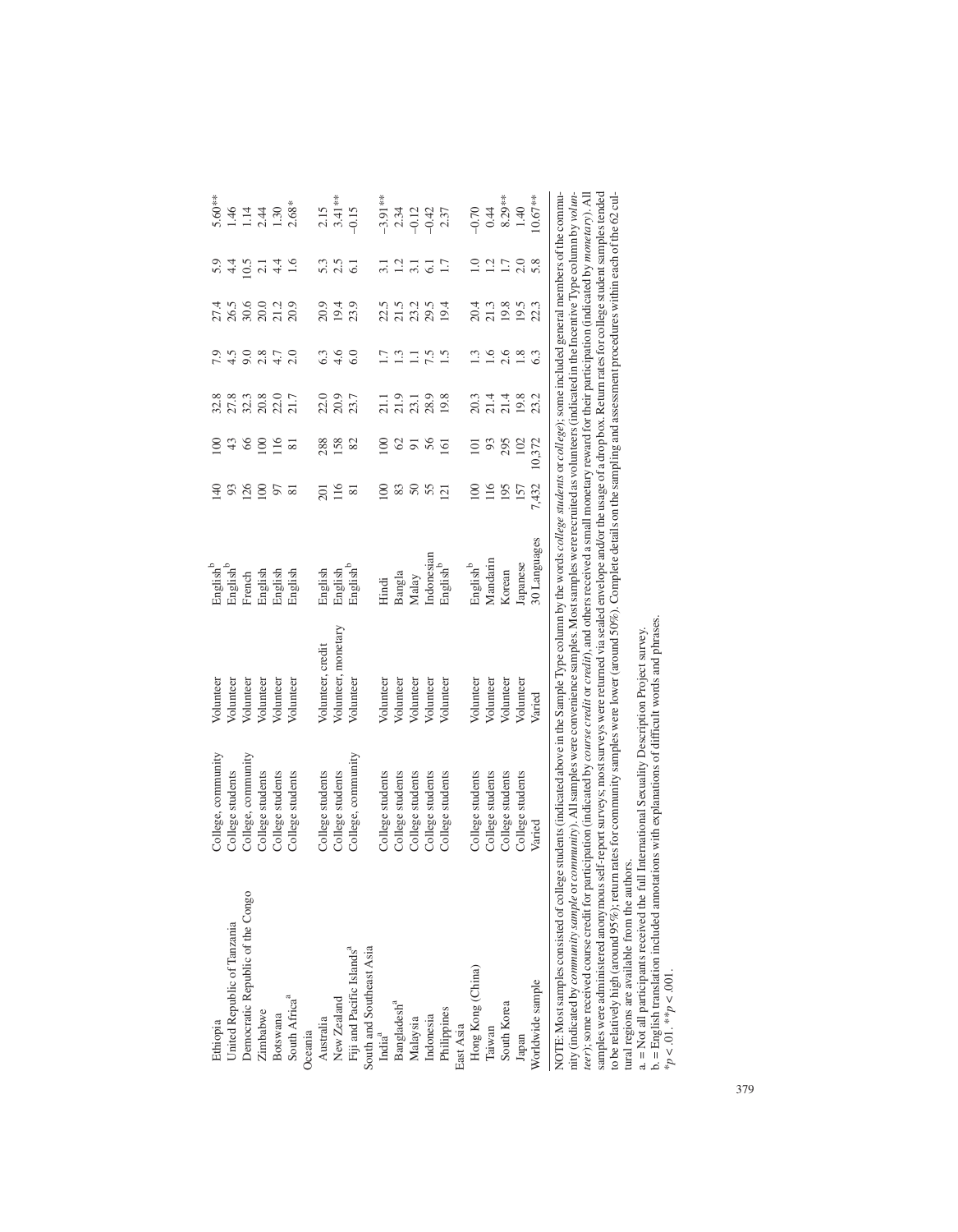| Ethiopia                                                                                                                                                                                                           | College, community | Volunteer           |                                              | $\frac{40}{5}$ | $\overline{0}$  | 32.8                 |                                                                |                        |                                                                                     | $5.60***$                               |
|--------------------------------------------------------------------------------------------------------------------------------------------------------------------------------------------------------------------|--------------------|---------------------|----------------------------------------------|----------------|-----------------|----------------------|----------------------------------------------------------------|------------------------|-------------------------------------------------------------------------------------|-----------------------------------------|
| United Republic of Tanzania                                                                                                                                                                                        | College students   | Volunteer           | English <sup>o</sup><br>English <sup>o</sup> | 93             | 43              |                      | 0. 40. 0. 40.<br>0. 40. 0. 40.                                 |                        | $4.4$<br>10.5                                                                       | 1.46                                    |
| Democratic Republic of the Congo                                                                                                                                                                                   | College, community | Volunteer           | French                                       | 126            | 66              |                      |                                                                |                        |                                                                                     |                                         |
| Zimbabwe                                                                                                                                                                                                           | College students   | Volunteer           | English                                      | $\approx$      | $\approx$       | 273<br>273<br>282    |                                                                |                        | $2.1$<br>$4.4$<br>$1.6$                                                             | $\frac{114}{2.43}$                      |
| Botswana                                                                                                                                                                                                           | College students   | Volunteer           | English                                      | 50             | 16              |                      |                                                                |                        |                                                                                     |                                         |
| South Africa <sup>a</sup>                                                                                                                                                                                          | College students   | Volunteer           | English                                      | $\approx$      | $\overline{81}$ | 21.7                 |                                                                |                        |                                                                                     | $2.68*$                                 |
| Oceania                                                                                                                                                                                                            |                    |                     |                                              |                |                 |                      |                                                                |                        |                                                                                     |                                         |
| Australia                                                                                                                                                                                                          | College students   | Volunteer, credit   | English                                      | $\overline{5}$ | 288             | 22.0                 |                                                                | 20.9                   |                                                                                     |                                         |
| New Zealand                                                                                                                                                                                                        | College students   | Volunteer, monetary |                                              | 116            | 158             | 20.9                 | $6.\overline{3}$<br>4.6                                        | 19.4<br>23.9           | 5.3<br>0.5<br>6.1                                                                   | $2.15$<br>3.41**                        |
| Fiji and Pacific Islands <sup>a</sup>                                                                                                                                                                              | College, community | Volunteer           | English<br>English <sup>b</sup>              | $\overline{8}$ | 82              | 23.7                 | 6.0                                                            |                        |                                                                                     | $-0.15$                                 |
|                                                                                                                                                                                                                    |                    |                     |                                              |                |                 |                      |                                                                |                        |                                                                                     |                                         |
| South and Southeast Asia<br>India <sup>a</sup>                                                                                                                                                                     | College students   | Volunteer           | Hindi                                        | $\infty$       | $\overline{0}$  | 21.1                 |                                                                |                        |                                                                                     | $-3.91**$                               |
| Bangladesh <sup>a</sup>                                                                                                                                                                                            | College students   | Volunteer           | Bangla                                       | 83             | $\infty$        | $21.9$<br>$23.1$     | $\begin{array}{c}\n 1.7 \\  1.3 \\  1.5 \\  0.5\n \end{array}$ |                        | $\frac{1}{2}$ $\frac{1}{2}$ $\frac{1}{2}$ $\frac{1}{2}$ $\frac{1}{2}$ $\frac{1}{2}$ |                                         |
| Malaysia                                                                                                                                                                                                           | College students   | Volunteer           | Malay                                        |                | 51              |                      |                                                                |                        |                                                                                     | $2.34$<br>$-0.12$<br>$-0.37$<br>$-0.37$ |
| Indonesia                                                                                                                                                                                                          | College students   | Volunteer           | Indonesiar                                   | 55             | 56              | 28.9                 |                                                                |                        |                                                                                     |                                         |
| Philippines                                                                                                                                                                                                        | College students   | Volunteer           | English <sup>b</sup>                         | 121            | $\overline{6}$  | 19.8                 |                                                                |                        |                                                                                     |                                         |
| East Asia                                                                                                                                                                                                          |                    |                     |                                              |                |                 |                      |                                                                |                        |                                                                                     |                                         |
| Hong Kong (China)                                                                                                                                                                                                  | College students   | Volunteer           | English <sup>b</sup>                         | $\overline{0}$ | $\Xi$           |                      |                                                                |                        |                                                                                     | $-0.70$<br>0.44                         |
| Taiwan                                                                                                                                                                                                             | College students   | Volunteer           | Mandarin                                     | 116            |                 | 20.3<br>21.4<br>21.4 | 1.6                                                            | 20.4<br>21.3<br>21.9.8 | $\frac{1}{2}$ $\frac{7}{1}$                                                         |                                         |
| South Korea                                                                                                                                                                                                        | College students   | Volunteer           | Korean                                       | 195            | 295             |                      | 2.6                                                            |                        |                                                                                     | $8.29***$                               |
| Japan                                                                                                                                                                                                              | College students   | Volunteer           | Japanese                                     | 157            | $\approx$       | 19.8                 | 1.8                                                            | 19.5                   | 2.0                                                                                 | 1.40                                    |
| Worldwide sample                                                                                                                                                                                                   | Varied             | Varied              | 30 Languages                                 | ,432           | 10,372          | 23.2                 | 6.3                                                            | 22.3                   | 5.8                                                                                 | $0.67**$                                |
| NOTE: Most samples consisted of college students (indicated above in the Sample Type column by the words <i>college students</i> or <i>college</i> ); some included general members of the commu-<br>アル・アルコウ しょうけい |                    |                     |                                              |                |                 |                      |                                                                |                        |                                                                                     | $\frac{1}{2}$                           |

nity (indicated by *community sample or community*). All samples were convenience samples. Most samples were recnited as volunteers (indicated in the Incentive Type column by *volunteer*); some received course credit for p nity (indicated by *community sample* or *community*). All samples were convenience samples. Most samples were recruited as volunteers (indicated in the Incentive Type column by *volun*teer); some received course credit for participation (indicated by *course credit or credit)*, and others received a small monetary reward for their participation (indicated by *monetary*). All samples were administered anonymous self-report surveys; most surveys were returned via sealed envelope and/or the usage of a drop box. Return rates for college student samples tended to be relatively high (around 95%); return rates for community samples were lower (around 50%). Complete details on the sampling and assessment procedures within each of the 62 cultural regions are available from the authors.

a. = Not all participants received the full International Sexuality Description Project survey.

b. = English translation included annotations with explanations of difficult words and phrases.

\**p* < .01. \*\**p* < .001.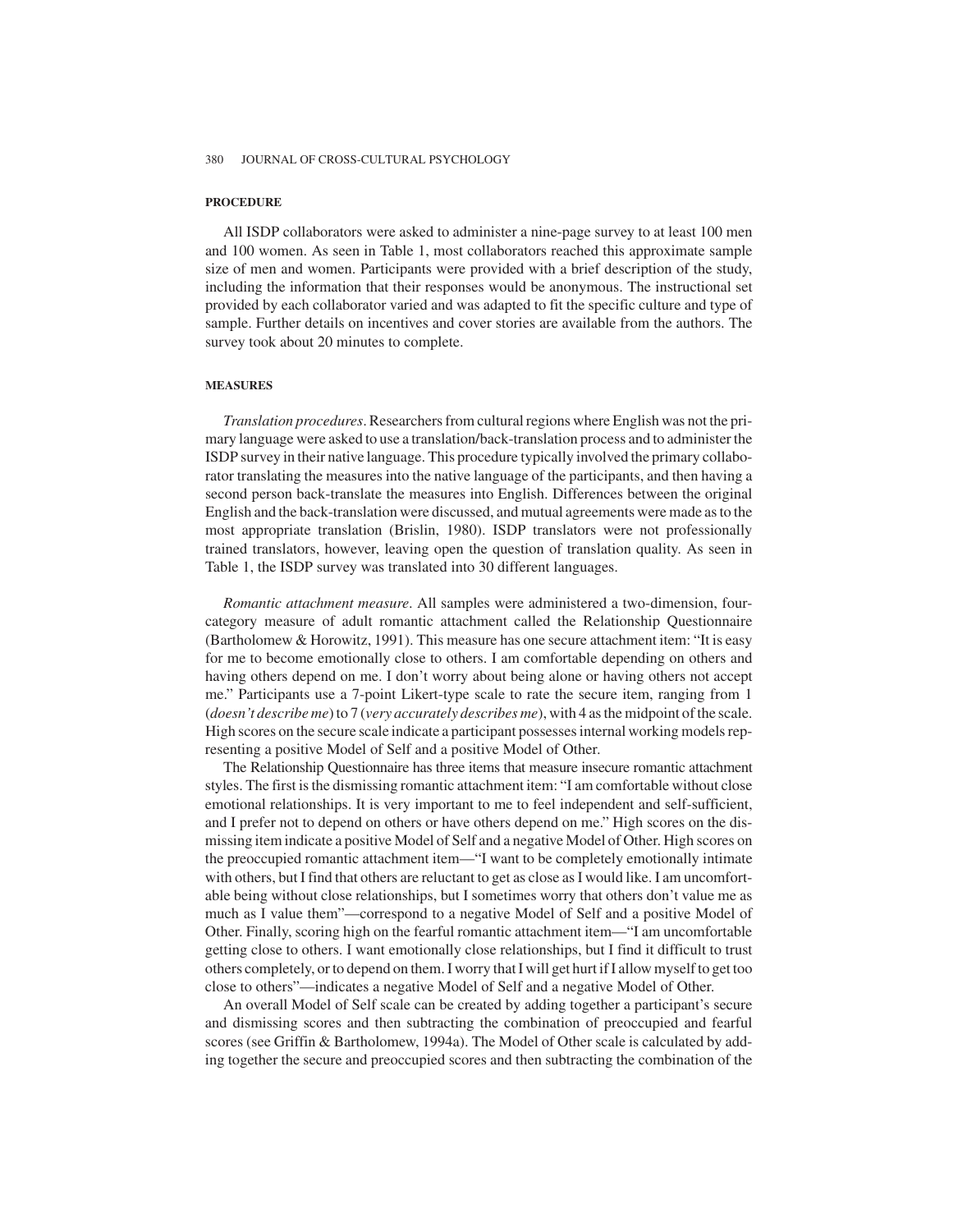#### **PROCEDURE**

All ISDP collaborators were asked to administer a nine-page survey to at least 100 men and 100 women. As seen in Table 1, most collaborators reached this approximate sample size of men and women. Participants were provided with a brief description of the study, including the information that their responses would be anonymous. The instructional set provided by each collaborator varied and was adapted to fit the specific culture and type of sample. Further details on incentives and cover stories are available from the authors. The survey took about 20 minutes to complete.

### **MEASURES**

*Translation procedures*. Researchers from cultural regions where English was not the primary language were asked to use a translation/back-translation process and to administer the ISDP survey in their native language. This procedure typically involved the primary collaborator translating the measures into the native language of the participants, and then having a second person back-translate the measures into English. Differences between the original English and the back-translation were discussed, and mutual agreements were made as to the most appropriate translation (Brislin, 1980). ISDP translators were not professionally trained translators, however, leaving open the question of translation quality. As seen in Table 1, the ISDP survey was translated into 30 different languages.

*Romantic attachment measure*. All samples were administered a two-dimension, fourcategory measure of adult romantic attachment called the Relationship Questionnaire (Bartholomew & Horowitz, 1991). This measure has one secure attachment item: "It is easy for me to become emotionally close to others. I am comfortable depending on others and having others depend on me. I don't worry about being alone or having others not accept me." Participants use a 7-point Likert-type scale to rate the secure item, ranging from 1 (*doesn't describe me*) to 7 (*very accurately describes me*), with 4 as the midpoint of the scale. High scores on the secure scale indicate a participant possesses internal working models representing a positive Model of Self and a positive Model of Other.

The Relationship Questionnaire has three items that measure insecure romantic attachment styles. The first is the dismissing romantic attachment item: "I am comfortable without close emotional relationships. It is very important to me to feel independent and self-sufficient, and I prefer not to depend on others or have others depend on me." High scores on the dismissing item indicate a positive Model of Self and a negative Model of Other. High scores on the preoccupied romantic attachment item—"I want to be completely emotionally intimate with others, but I find that others are reluctant to get as close as I would like. I am uncomfortable being without close relationships, but I sometimes worry that others don't value me as much as I value them"—correspond to a negative Model of Self and a positive Model of Other. Finally, scoring high on the fearful romantic attachment item—"I am uncomfortable getting close to others. I want emotionally close relationships, but I find it difficult to trust others completely, or to depend on them. I worry that I will get hurt if I allow myself to get too close to others"—indicates a negative Model of Self and a negative Model of Other.

An overall Model of Self scale can be created by adding together a participant's secure and dismissing scores and then subtracting the combination of preoccupied and fearful scores (see Griffin & Bartholomew, 1994a). The Model of Other scale is calculated by adding together the secure and preoccupied scores and then subtracting the combination of the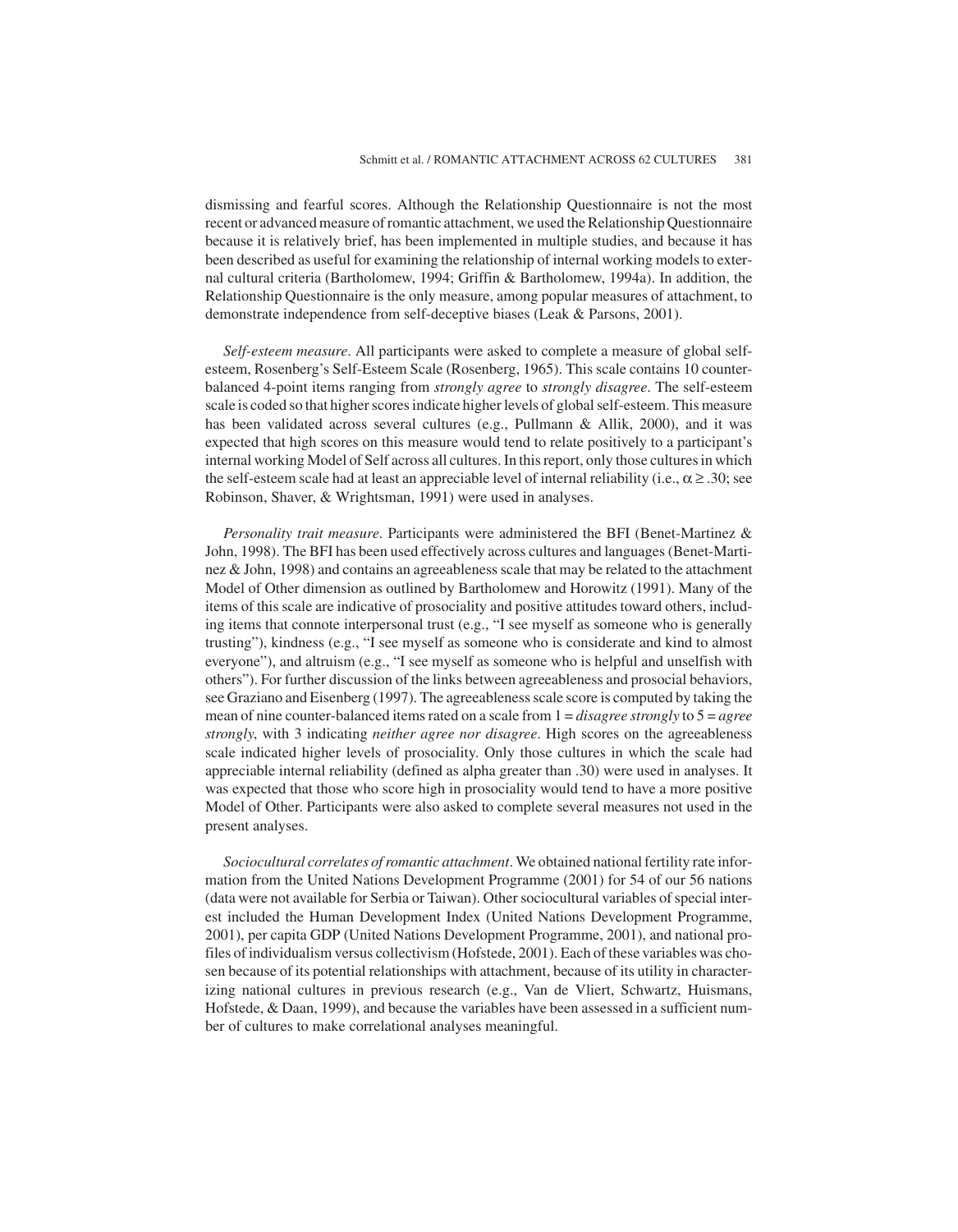dismissing and fearful scores. Although the Relationship Questionnaire is not the most recent or advanced measure of romantic attachment, we used the Relationship Questionnaire because it is relatively brief, has been implemented in multiple studies, and because it has been described as useful for examining the relationship of internal working models to external cultural criteria (Bartholomew, 1994; Griffin & Bartholomew, 1994a). In addition, the Relationship Questionnaire is the only measure, among popular measures of attachment, to demonstrate independence from self-deceptive biases (Leak & Parsons, 2001).

*Self-esteem measure*. All participants were asked to complete a measure of global selfesteem, Rosenberg's Self-Esteem Scale (Rosenberg, 1965). This scale contains 10 counterbalanced 4-point items ranging from *strongly agree* to *strongly disagree*. The self-esteem scale is coded so that higher scores indicate higher levels of global self-esteem. This measure has been validated across several cultures (e.g., Pullmann & Allik, 2000), and it was expected that high scores on this measure would tend to relate positively to a participant's internal working Model of Self across all cultures. In this report, only those cultures in which the self-esteem scale had at least an appreciable level of internal reliability (i.e.,  $\alpha \geq 0.30$ ; see Robinson, Shaver, & Wrightsman, 1991) were used in analyses.

*Personality trait measure*. Participants were administered the BFI (Benet-Martinez & John, 1998). The BFI has been used effectively across cultures and languages (Benet-Martinez & John, 1998) and contains an agreeableness scale that may be related to the attachment Model of Other dimension as outlined by Bartholomew and Horowitz (1991). Many of the items of this scale are indicative of prosociality and positive attitudes toward others, including items that connote interpersonal trust (e.g., "I see myself as someone who is generally trusting"), kindness (e.g., "I see myself as someone who is considerate and kind to almost everyone"), and altruism (e.g., "I see myself as someone who is helpful and unselfish with others"). For further discussion of the links between agreeableness and prosocial behaviors, see Graziano and Eisenberg (1997). The agreeableness scale score is computed by taking the mean of nine counter-balanced items rated on a scale from 1 = *disagree strongly* to 5 = *agree strongly*, with 3 indicating *neither agree nor disagree*. High scores on the agreeableness scale indicated higher levels of prosociality. Only those cultures in which the scale had appreciable internal reliability (defined as alpha greater than .30) were used in analyses. It was expected that those who score high in prosociality would tend to have a more positive Model of Other. Participants were also asked to complete several measures not used in the present analyses.

*Sociocultural correlates of romantic attachment*. We obtained national fertility rate information from the United Nations Development Programme (2001) for 54 of our 56 nations (data were not available for Serbia or Taiwan). Other sociocultural variables of special interest included the Human Development Index (United Nations Development Programme, 2001), per capita GDP (United Nations Development Programme, 2001), and national profiles of individualism versus collectivism (Hofstede, 2001). Each of these variables was chosen because of its potential relationships with attachment, because of its utility in characterizing national cultures in previous research (e.g., Van de Vliert, Schwartz, Huismans, Hofstede, & Daan, 1999), and because the variables have been assessed in a sufficient number of cultures to make correlational analyses meaningful.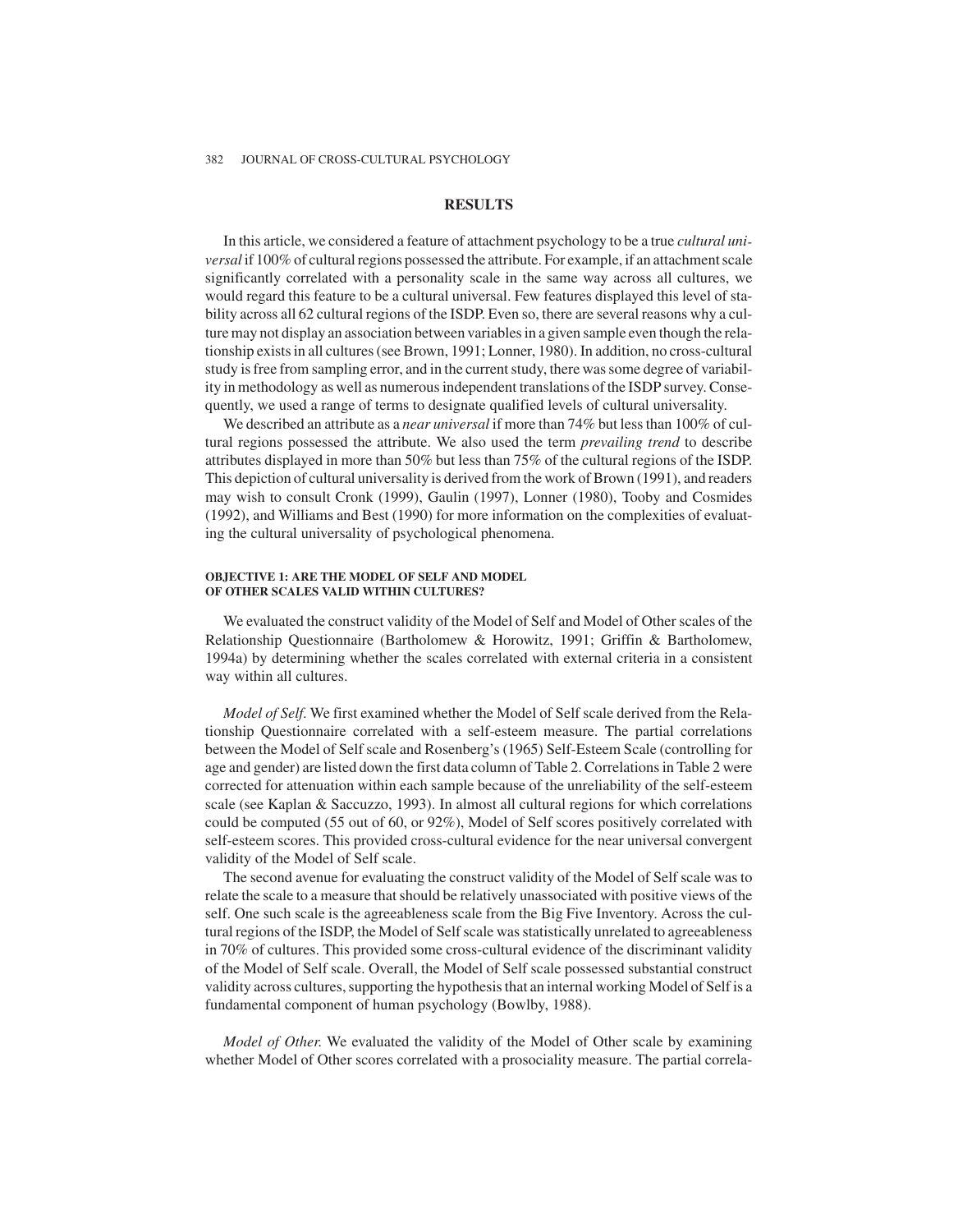# **RESULTS**

In this article, we considered a feature of attachment psychology to be a true *cultural universal* if 100% of cultural regions possessed the attribute. For example, if an attachment scale significantly correlated with a personality scale in the same way across all cultures, we would regard this feature to be a cultural universal. Few features displayed this level of stability across all 62 cultural regions of the ISDP. Even so, there are several reasons why a culture may not display an association between variables in a given sample even though the relationship exists in all cultures (see Brown, 1991; Lonner, 1980). In addition, no cross-cultural study is free from sampling error, and in the current study, there was some degree of variability in methodology as well as numerous independent translations of the ISDP survey. Consequently, we used a range of terms to designate qualified levels of cultural universality.

We described an attribute as a *near universal* if more than 74% but less than 100% of cultural regions possessed the attribute. We also used the term *prevailing trend* to describe attributes displayed in more than 50% but less than 75% of the cultural regions of the ISDP. This depiction of cultural universality is derived from the work of Brown (1991), and readers may wish to consult Cronk (1999), Gaulin (1997), Lonner (1980), Tooby and Cosmides (1992), and Williams and Best (1990) for more information on the complexities of evaluating the cultural universality of psychological phenomena.

# **OBJECTIVE 1: ARE THE MODEL OF SELF AND MODEL OF OTHER SCALES VALID WITHIN CULTURES?**

We evaluated the construct validity of the Model of Self and Model of Other scales of the Relationship Questionnaire (Bartholomew & Horowitz, 1991; Griffin & Bartholomew, 1994a) by determining whether the scales correlated with external criteria in a consistent way within all cultures.

*Model of Self*. We first examined whether the Model of Self scale derived from the Relationship Questionnaire correlated with a self-esteem measure. The partial correlations between the Model of Self scale and Rosenberg's (1965) Self-Esteem Scale (controlling for age and gender) are listed down the first data column of Table 2. Correlations in Table 2 were corrected for attenuation within each sample because of the unreliability of the self-esteem scale (see Kaplan & Saccuzzo, 1993). In almost all cultural regions for which correlations could be computed (55 out of 60, or 92%), Model of Self scores positively correlated with self-esteem scores. This provided cross-cultural evidence for the near universal convergent validity of the Model of Self scale.

The second avenue for evaluating the construct validity of the Model of Self scale was to relate the scale to a measure that should be relatively unassociated with positive views of the self. One such scale is the agreeableness scale from the Big Five Inventory. Across the cultural regions of the ISDP, the Model of Self scale was statistically unrelated to agreeableness in 70% of cultures. This provided some cross-cultural evidence of the discriminant validity of the Model of Self scale. Overall, the Model of Self scale possessed substantial construct validity across cultures, supporting the hypothesis that an internal working Model of Self is a fundamental component of human psychology (Bowlby, 1988).

*Model of Other*. We evaluated the validity of the Model of Other scale by examining whether Model of Other scores correlated with a prosociality measure. The partial correla-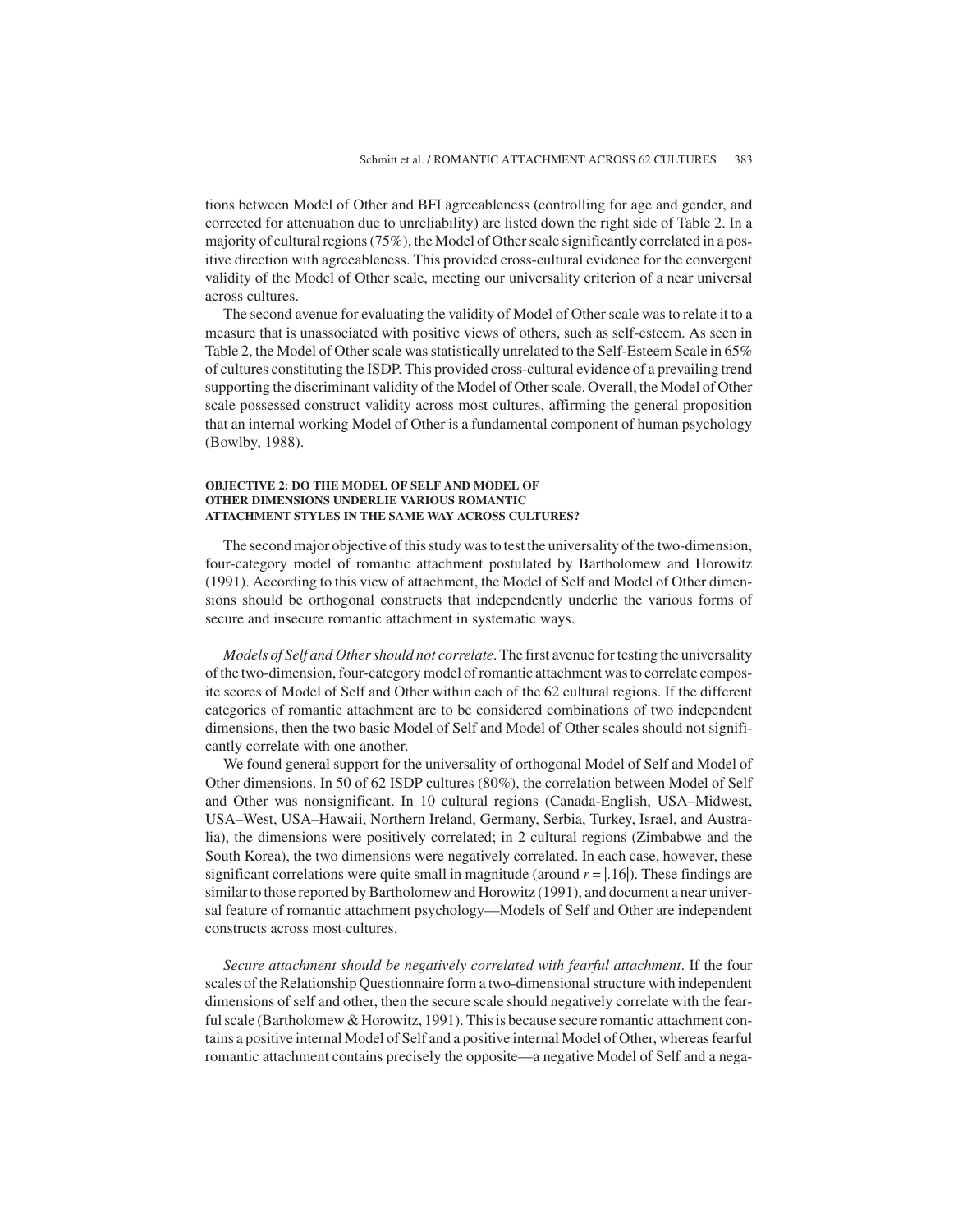tions between Model of Other and BFI agreeableness (controlling for age and gender, and corrected for attenuation due to unreliability) are listed down the right side of Table 2. In a majority of cultural regions (75%), the Model of Other scale significantly correlated in a positive direction with agreeableness. This provided cross-cultural evidence for the convergent validity of the Model of Other scale, meeting our universality criterion of a near universal across cultures.

The second avenue for evaluating the validity of Model of Other scale was to relate it to a measure that is unassociated with positive views of others, such as self-esteem. As seen in Table 2, the Model of Other scale was statistically unrelated to the Self-Esteem Scale in 65% of cultures constituting the ISDP. This provided cross-cultural evidence of a prevailing trend supporting the discriminant validity of the Model of Other scale. Overall, the Model of Other scale possessed construct validity across most cultures, affirming the general proposition that an internal working Model of Other is a fundamental component of human psychology (Bowlby, 1988).

### **OBJECTIVE 2: DO THE MODEL OF SELF AND MODEL OF OTHER DIMENSIONS UNDERLIE VARIOUS ROMANTIC ATTACHMENT STYLES IN THE SAME WAY ACROSS CULTURES?**

The second major objective of this study was to test the universality of the two-dimension, four-category model of romantic attachment postulated by Bartholomew and Horowitz (1991). According to this view of attachment, the Model of Self and Model of Other dimensions should be orthogonal constructs that independently underlie the various forms of secure and insecure romantic attachment in systematic ways.

*Models of Self and Other should not correlate*. The first avenue for testing the universality of the two-dimension, four-category model of romantic attachment was to correlate composite scores of Model of Self and Other within each of the 62 cultural regions. If the different categories of romantic attachment are to be considered combinations of two independent dimensions, then the two basic Model of Self and Model of Other scales should not significantly correlate with one another.

We found general support for the universality of orthogonal Model of Self and Model of Other dimensions. In 50 of 62 ISDP cultures (80%), the correlation between Model of Self and Other was nonsignificant. In 10 cultural regions (Canada-English, USA–Midwest, USA–West, USA–Hawaii, Northern Ireland, Germany, Serbia, Turkey, Israel, and Australia), the dimensions were positively correlated; in 2 cultural regions (Zimbabwe and the South Korea), the two dimensions were negatively correlated. In each case, however, these significant correlations were quite small in magnitude (around  $r = |.16|$ ). These findings are similar to those reported by Bartholomew and Horowitz (1991), and document a near universal feature of romantic attachment psychology—Models of Self and Other are independent constructs across most cultures.

*Secure attachment should be negatively correlated with fearful attachment*. If the four scales of the Relationship Questionnaire form a two-dimensional structure with independent dimensions of self and other, then the secure scale should negatively correlate with the fearful scale (Bartholomew & Horowitz, 1991). This is because secure romantic attachment contains a positive internal Model of Self and a positive internal Model of Other, whereas fearful romantic attachment contains precisely the opposite—a negative Model of Self and a nega-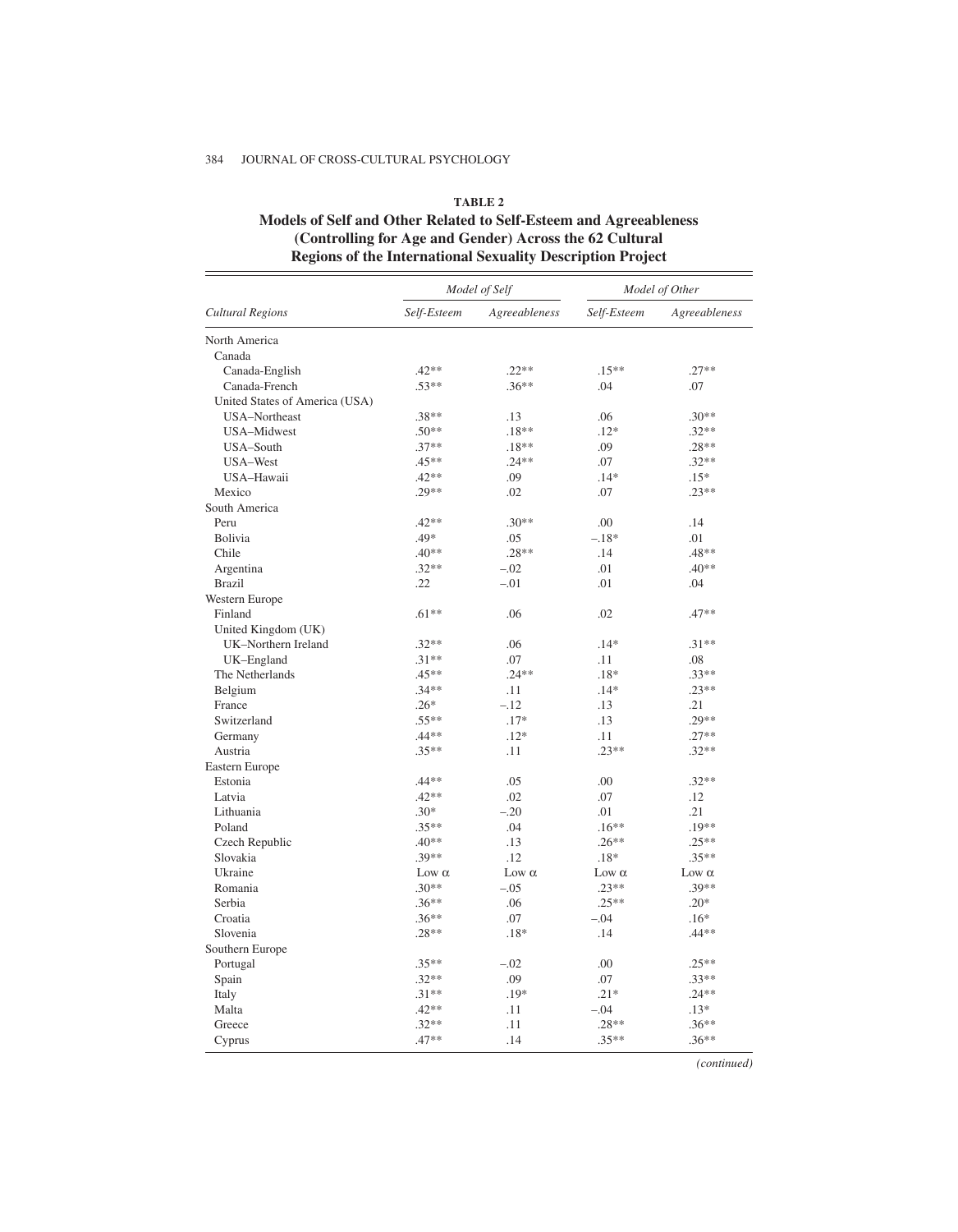# **TABLE 2 Models of Self and Other Related to Self-Esteem and Agreeableness (Controlling for Age and Gender) Across the 62 Cultural Regions of the International Sexuality Description Project**

|                                |              | Model of Self |              | Model of Other |
|--------------------------------|--------------|---------------|--------------|----------------|
| <b>Cultural Regions</b>        | Self-Esteem  | Agreeableness | Self-Esteem  | Agreeableness  |
| North America                  |              |               |              |                |
| Canada                         |              |               |              |                |
| Canada-English                 | $.42**$      | $.22**$       | $.15***$     | $.27**$        |
| Canada-French                  | $.53**$      | $.36**$       | .04          | .07            |
| United States of America (USA) |              |               |              |                |
| <b>USA-Northeast</b>           | $.38**$      | .13           | .06          | $.30**$        |
| USA-Midwest                    | $.50**$      | $.18**$       | $.12*$       | $.32**$        |
| USA-South                      | $.37**$      | $.18**$       | .09          | $.28**$        |
| USA-West                       | $.45**$      | $.24**$       | .07          | $.32**$        |
| USA-Hawaii                     | $.42**$      | .09           | $.14*$       | $.15*$         |
| Mexico                         | $.29**$      | .02           | .07          | $.23**$        |
| South America                  |              |               |              |                |
| Peru                           | $.42**$      | $.30**$       | .00          | .14            |
| <b>Bolivia</b>                 | $.49*$       | .05           | $-.18*$      | .01            |
| Chile                          | $.40**$      | $.28**$       | .14          | .48**          |
| Argentina                      | $.32**$      | $-.02$        | .01          | $.40**$        |
| <b>Brazil</b>                  | .22          | $-.01$        | .01          | .04            |
| Western Europe                 |              |               |              |                |
| Finland                        | $.61**$      | .06           | .02          | $.47**$        |
| United Kingdom (UK)            |              |               |              |                |
| UK-Northern Ireland            | $.32**$      | .06           | $.14*$       | $.31**$        |
| UK-England                     | $.31***$     | .07           | .11          | .08            |
| The Netherlands                | $.45**$      | $.24**$       | $.18*$       | $.33**$        |
| Belgium                        | $.34**$      | .11           | $.14*$       | $.23**$        |
| France                         | $.26*$       | $-.12$        | .13          | .21            |
| Switzerland                    | $.55**$      | $.17*$        | .13          | $.29**$        |
| Germany                        | $.44**$      | $.12*$        | .11          | $.27**$        |
|                                | $.35***$     | .11           | $.23**$      | $.32**$        |
| Austria                        |              |               |              |                |
| Eastern Europe                 |              |               |              |                |
| Estonia                        | $.44**$      | .05           | .00          | $.32**$        |
| Latvia                         | $.42**$      | .02           | .07          | .12            |
| Lithuania                      | $.30*$       | $-.20$        | .01          | .21            |
| Poland                         | $.35**$      | .04           | $.16**$      | $.19**$        |
| Czech Republic                 | $.40**$      | .13           | $.26**$      | $.25**$        |
| Slovakia                       | $.39**$      | .12           | $.18*$       | $.35**$        |
| Ukraine                        | Low $\alpha$ | Low $\alpha$  | Low $\alpha$ | Low $\alpha$   |
| Romania                        | $.30**$      | $-.05$        | $.23**$      | $.39**$        |
| Serbia                         | $.36**$      | .06           | $.25**$      | $.20*$         |
| Croatia                        | $.36**$      | .07           | $-.04$       | $.16*$         |
| Slovenia                       | $.28**$      | $.18*$        | .14          | $.44**$        |
| Southern Europe                |              |               |              |                |
| Portugal                       | $.35**$      | $-.02$        | .00          | $.25**$        |
| Spain                          | $.32**$      | .09           | .07          | $.33**$        |
| Italy                          | $.31***$     | $.19*$        | $.21*$       | $.24**$        |
| Malta                          | $.42**$      | .11           | $-.04$       | $.13*$         |
| Greece                         | $.32**$      | .11           | $.28**$      | $.36**$        |
| Cyprus                         | $.47**$      | .14           | $.35**$      | $.36**$        |

*(continued)*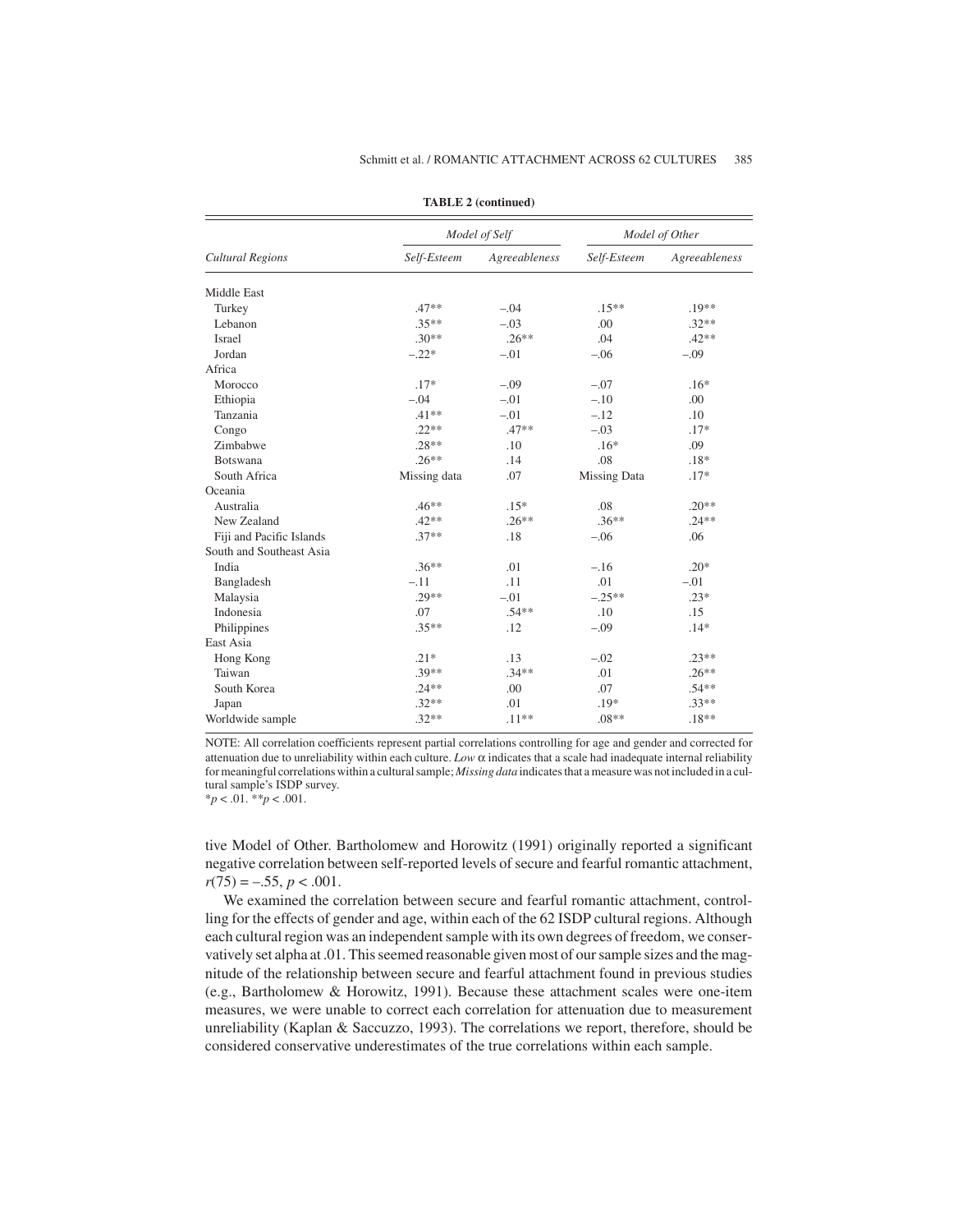|                          |              | Model of Self |              | Model of Other |
|--------------------------|--------------|---------------|--------------|----------------|
| <b>Cultural Regions</b>  | Self-Esteem  | Agreeableness | Self-Esteem  | Agreeableness  |
| Middle East              |              |               |              |                |
| Turkey                   | $.47**$      | $-.04$        | $.15**$      | $.19**$        |
| Lebanon                  | $.35***$     | $-.03$        | .00          | $.32**$        |
| Israel                   | $.30**$      | $.26**$       | .04          | $.42**$        |
| Jordan                   | $-.22*$      | $-.01$        | $-.06$       | $-.09$         |
| Africa                   |              |               |              |                |
| Morocco                  | $.17*$       | $-.09$        | $-.07$       | $.16*$         |
| Ethiopia                 | $-.04$       | $-.01$        | $-.10$       | .00            |
| Tanzania                 | $.41**$      | $-.01$        | $-.12$       | .10            |
| Congo                    | $.22**$      | $.47**$       | $-.03$       | $.17*$         |
| Zimbabwe                 | $.28**$      | .10           | $.16*$       | .09            |
| Botswana                 | $.26**$      | .14           | .08          | $.18*$         |
| South Africa             | Missing data | .07           | Missing Data | $.17*$         |
| Oceania                  |              |               |              |                |
| Australia                | $.46**$      | $.15*$        | .08          | $.20**$        |
| New Zealand              | $.42**$      | $.26**$       | $.36**$      | $.24**$        |
| Fiji and Pacific Islands | $.37**$      | .18           | $-.06$       | .06            |
| South and Southeast Asia |              |               |              |                |
| India                    | $.36**$      | .01           | $-.16$       | $.20*$         |
| Bangladesh               | $-.11$       | .11           | .01          | $-.01$         |
| Malaysia                 | $.29**$      | $-.01$        | $-.25**$     | $.23*$         |
| Indonesia                | .07          | $.54**$       | .10          | .15            |
| Philippines              | $.35***$     | .12           | $-.09$       | $.14*$         |
| East Asia                |              |               |              |                |
| Hong Kong                | $.21*$       | .13           | $-.02$       | $.23**$        |
| Taiwan                   | $.39**$      | $.34***$      | .01          | $.26**$        |
| South Korea              | $.24***$     | .00           | .07          | $.54**$        |
| Japan                    | $.32**$      | .01           | .19*         | $.33**$        |
| Worldwide sample         | $.32**$      | $.11**$       | $.08**$      | $.18**$        |

|  | <b>TABLE 2 (continued)</b> |
|--|----------------------------|
|--|----------------------------|

NOTE: All correlation coefficients represent partial correlations controlling for age and gender and corrected for attenuation due to unreliability within each culture. *Low* α indicates that a scale had inadequate internal reliability for meaningful correlations within a cultural sample; *Missing data* indicates that a measure was not included in a cultural sample's ISDP survey.

 $**p* < .01. ***p* < .001.$ 

tive Model of Other. Bartholomew and Horowitz (1991) originally reported a significant negative correlation between self-reported levels of secure and fearful romantic attachment,  $r(75) = -.55, p < .001.$ 

We examined the correlation between secure and fearful romantic attachment, controlling for the effects of gender and age, within each of the 62 ISDP cultural regions. Although each cultural region was an independent sample with its own degrees of freedom, we conservatively set alpha at .01. This seemed reasonable given most of our sample sizes and the magnitude of the relationship between secure and fearful attachment found in previous studies (e.g., Bartholomew & Horowitz, 1991). Because these attachment scales were one-item measures, we were unable to correct each correlation for attenuation due to measurement unreliability (Kaplan & Saccuzzo, 1993). The correlations we report, therefore, should be considered conservative underestimates of the true correlations within each sample.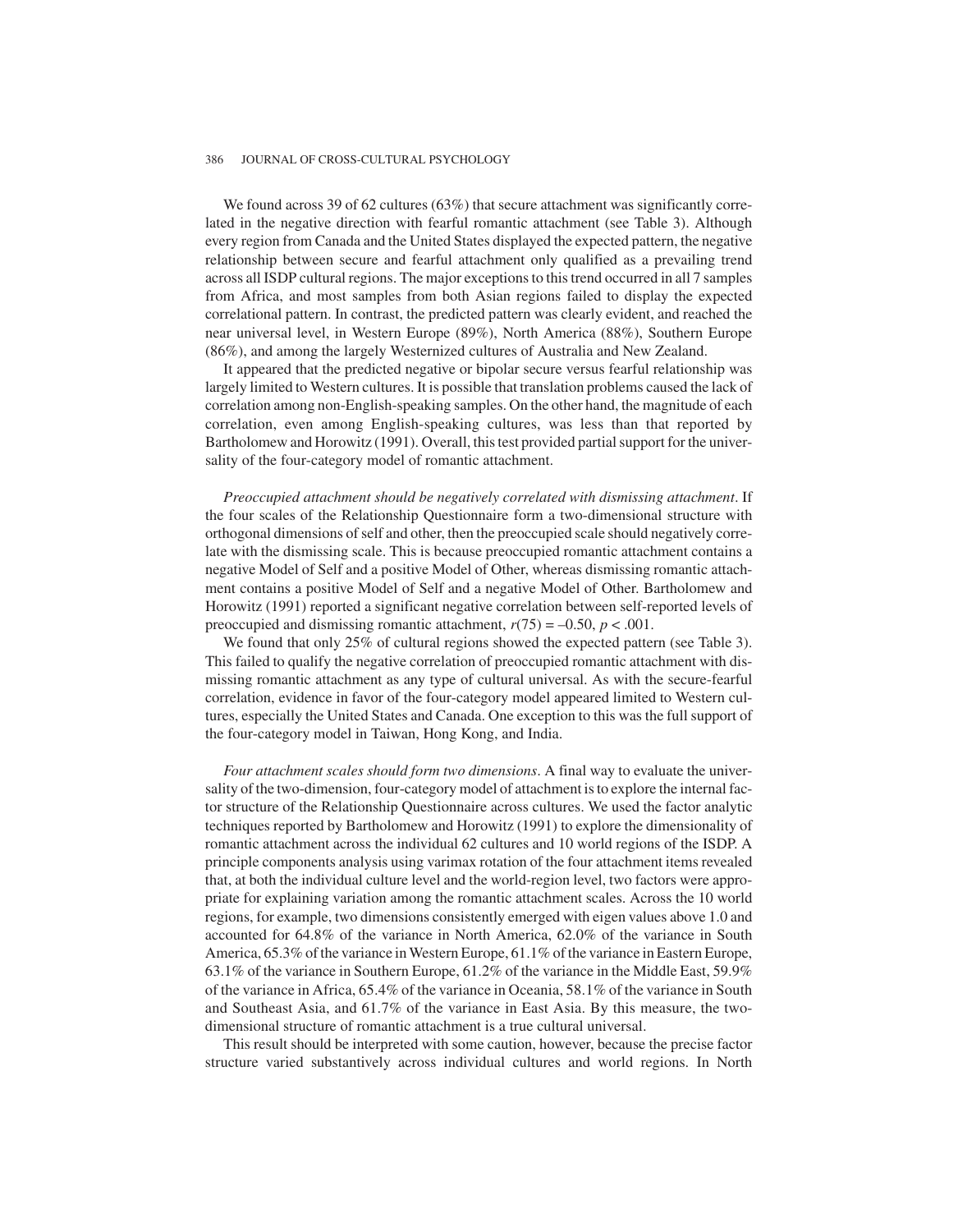We found across 39 of 62 cultures (63%) that secure attachment was significantly correlated in the negative direction with fearful romantic attachment (see Table 3). Although every region from Canada and the United States displayed the expected pattern, the negative relationship between secure and fearful attachment only qualified as a prevailing trend across all ISDP cultural regions. The major exceptions to this trend occurred in all 7 samples from Africa, and most samples from both Asian regions failed to display the expected correlational pattern. In contrast, the predicted pattern was clearly evident, and reached the near universal level, in Western Europe (89%), North America (88%), Southern Europe (86%), and among the largely Westernized cultures of Australia and New Zealand.

It appeared that the predicted negative or bipolar secure versus fearful relationship was largely limited to Western cultures. It is possible that translation problems caused the lack of correlation among non-English-speaking samples. On the other hand, the magnitude of each correlation, even among English-speaking cultures, was less than that reported by Bartholomew and Horowitz (1991). Overall, this test provided partial support for the universality of the four-category model of romantic attachment.

*Preoccupied attachment should be negatively correlated with dismissing attachment*. If the four scales of the Relationship Questionnaire form a two-dimensional structure with orthogonal dimensions of self and other, then the preoccupied scale should negatively correlate with the dismissing scale. This is because preoccupied romantic attachment contains a negative Model of Self and a positive Model of Other, whereas dismissing romantic attachment contains a positive Model of Self and a negative Model of Other. Bartholomew and Horowitz (1991) reported a significant negative correlation between self-reported levels of preoccupied and dismissing romantic attachment,  $r(75) = -0.50$ ,  $p < .001$ .

We found that only 25% of cultural regions showed the expected pattern (see Table 3). This failed to qualify the negative correlation of preoccupied romantic attachment with dismissing romantic attachment as any type of cultural universal. As with the secure-fearful correlation, evidence in favor of the four-category model appeared limited to Western cultures, especially the United States and Canada. One exception to this was the full support of the four-category model in Taiwan, Hong Kong, and India.

*Four attachment scales should form two dimensions*. A final way to evaluate the universality of the two-dimension, four-category model of attachment is to explore the internal factor structure of the Relationship Questionnaire across cultures. We used the factor analytic techniques reported by Bartholomew and Horowitz (1991) to explore the dimensionality of romantic attachment across the individual 62 cultures and 10 world regions of the ISDP. A principle components analysis using varimax rotation of the four attachment items revealed that, at both the individual culture level and the world-region level, two factors were appropriate for explaining variation among the romantic attachment scales. Across the 10 world regions, for example, two dimensions consistently emerged with eigen values above 1.0 and accounted for 64.8% of the variance in North America, 62.0% of the variance in South America, 65.3% of the variance in Western Europe, 61.1% of the variance in Eastern Europe, 63.1% of the variance in Southern Europe, 61.2% of the variance in the Middle East, 59.9% of the variance in Africa, 65.4% of the variance in Oceania, 58.1% of the variance in South and Southeast Asia, and 61.7% of the variance in East Asia. By this measure, the twodimensional structure of romantic attachment is a true cultural universal.

This result should be interpreted with some caution, however, because the precise factor structure varied substantively across individual cultures and world regions. In North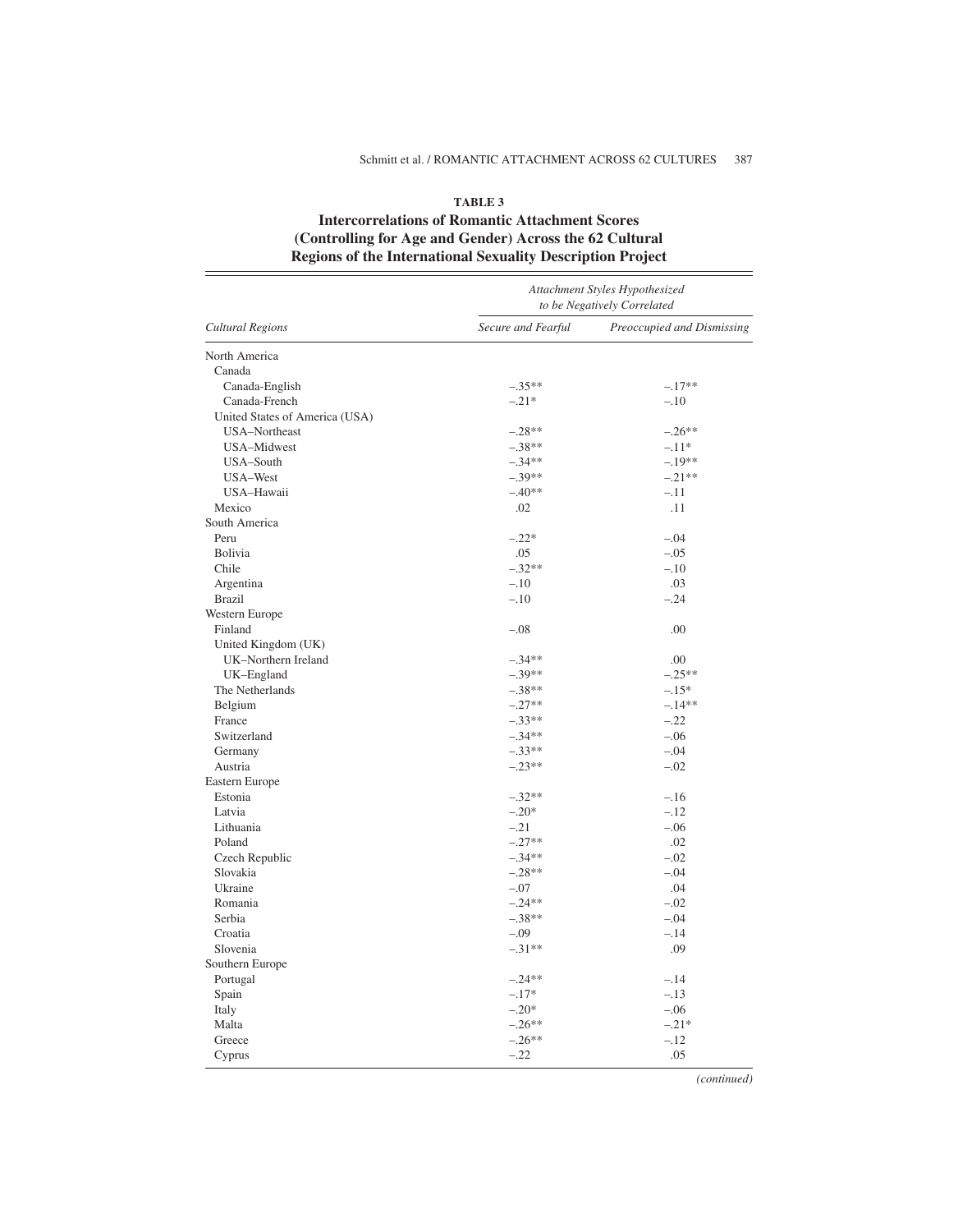# **Regions of the International Sexuality Description Project** *Attachment Styles Hypothesized to be Negatively Correlated Cultural Regions Secure and Fearful Preoccupied and Dismissing* North America Canada Canada-English  $-0.5^{**}$   $-17^{**}$   $-10^{**}$ Canada-French  $-21^*$   $-10$ United States of America (USA) USA–Northeast  $-0.28**$  –  $-0.26**$ USA-Midwest – $38^{**}$  –  $11^*$ <br>USA-South –  $34^{**}$  –  $34^{**}$  –  $19^{**}$ USA–South  $-34**$   $-19**$ <br>USA–West  $-39**$   $-11**$ USA–West  $-0.39**$  –  $-0.21**$ USA–Hawaii  $-40**$  –  $-11$ Mexico  $.02$  .11 South America Peru  $-22^*$   $-04$ Bolivia  $-05$  –  $-05$ Chile  $-0.32**$  –.32<sup>\*\*</sup> –.10  $\text{Argentina}$   $-10$  .03 Brazil  $-10$   $-24$ Western Europe  $-08$  . 00 United Kingdom (UK) UK–Northern Ireland  $-34**$  .00<br>UK–England  $-39**$   $-25**$ UK–England – $.39^{**}$  –  $.25^{**}$  –  $.15^{**}$  –  $.15^{**}$ The Netherlands –  $-38^{**}$  –  $15^{*}$ <br>Belgium –  $27^{**}$  –  $14^{**}$ Belgium  $-27**$  –  $-14**$ France  $-33^{**}$  –.22 Switzerland  $-34**$   $-06$ <br>Germany  $-33**$   $-04$ Germany  $-0.33**$   $-0.4$ Austria  $-23**$   $-02$ Eastern Europe Estonia –  $-32**$  –  $-16$ Latvia  $-20^*$   $-12$  $L$ ithuania  $-0.06$ Poland  $-27**$  .02 Czech Republic  $-34**$  –.02 Slovakia –  $-28**$  –  $-04$ Ukraine  $-07$  .04 Romania  $-24**$   $-02$ Serbia  $-0.38**$  –.04 Croatia –.09 –.14 Slovenia  $-31**$  .09 Southern Europe Portugal  $-24**$  –  $-14$ Spain  $-17^*$   $-13$ Italy  $-20^*$   $-66$ Malta  $-26**$  –  $-11*$ Greece  $-26**$  – 12  $C$ yprus 10.05

# **TABLE 3 Intercorrelations of Romantic Attachment Scores**

**(Controlling for Age and Gender) Across the 62 Cultural**

*(continued)*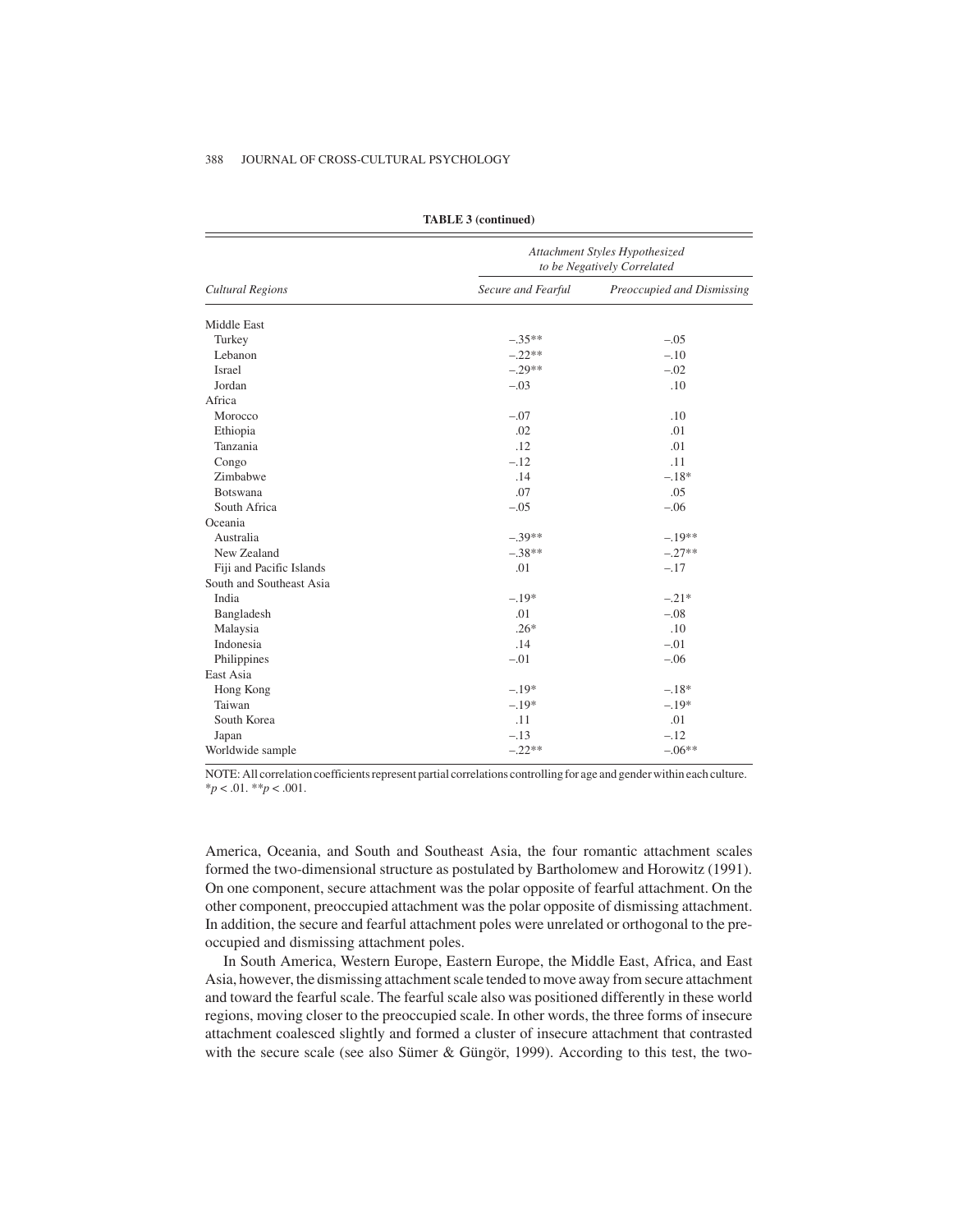| <b>Cultural Regions</b><br>Middle East | Secure and Fearful | Preoccupied and Dismissing |
|----------------------------------------|--------------------|----------------------------|
|                                        |                    |                            |
|                                        |                    |                            |
| Turkey                                 | $-.35**$           | $-.05$                     |
| Lebanon                                | $-.22**$           | $-.10$                     |
| Israel                                 | $-.29**$           | $-.02$                     |
| Jordan                                 | $-.03$             | .10                        |
| Africa                                 |                    |                            |
| Morocco                                | $-.07$             | .10                        |
| Ethiopia                               | .02                | .01                        |
| Tanzania                               | .12                | .01                        |
| Congo                                  | $-.12$             | .11                        |
| Zimbabwe                               | .14                | $-.18*$                    |
| <b>Botswana</b>                        | .07                | .05                        |
| South Africa                           | $-.05$             | $-.06$                     |
| Oceania                                |                    |                            |
| Australia                              | $-.39**$           | $-.19**$                   |
| New Zealand                            | $-.38**$           | $-.27**$                   |
| Fiji and Pacific Islands               | .01                | $-.17$                     |
| South and Southeast Asia               |                    |                            |
| India                                  | $-.19*$            | $-.21*$                    |
| Bangladesh                             | .01                | $-.08$                     |
| Malaysia                               | $.26*$             | .10                        |
| Indonesia                              | .14                | $-.01$                     |
| Philippines                            | $-.01$             | $-.06$                     |
| East Asia                              |                    |                            |
| Hong Kong                              | $-.19*$            | $-.18*$                    |
| Taiwan                                 | $-.19*$            | $-.19*$                    |
| South Korea                            | .11                | .01                        |
| Japan                                  | $-.13$             | $-.12$                     |
| Worldwide sample                       | $-.22**$           | $-.06**$                   |

**TABLE 3 (continued)**

NOTE: All correlation coefficients represent partial correlations controlling for age and gender within each culture. \**p* < .01. \*\**p* < .001.

America, Oceania, and South and Southeast Asia, the four romantic attachment scales formed the two-dimensional structure as postulated by Bartholomew and Horowitz (1991). On one component, secure attachment was the polar opposite of fearful attachment. On the other component, preoccupied attachment was the polar opposite of dismissing attachment. In addition, the secure and fearful attachment poles were unrelated or orthogonal to the preoccupied and dismissing attachment poles.

In South America, Western Europe, Eastern Europe, the Middle East, Africa, and East Asia, however, the dismissing attachment scale tended to move away from secure attachment and toward the fearful scale. The fearful scale also was positioned differently in these world regions, moving closer to the preoccupied scale. In other words, the three forms of insecure attachment coalesced slightly and formed a cluster of insecure attachment that contrasted with the secure scale (see also Sümer & Güngör, 1999). According to this test, the two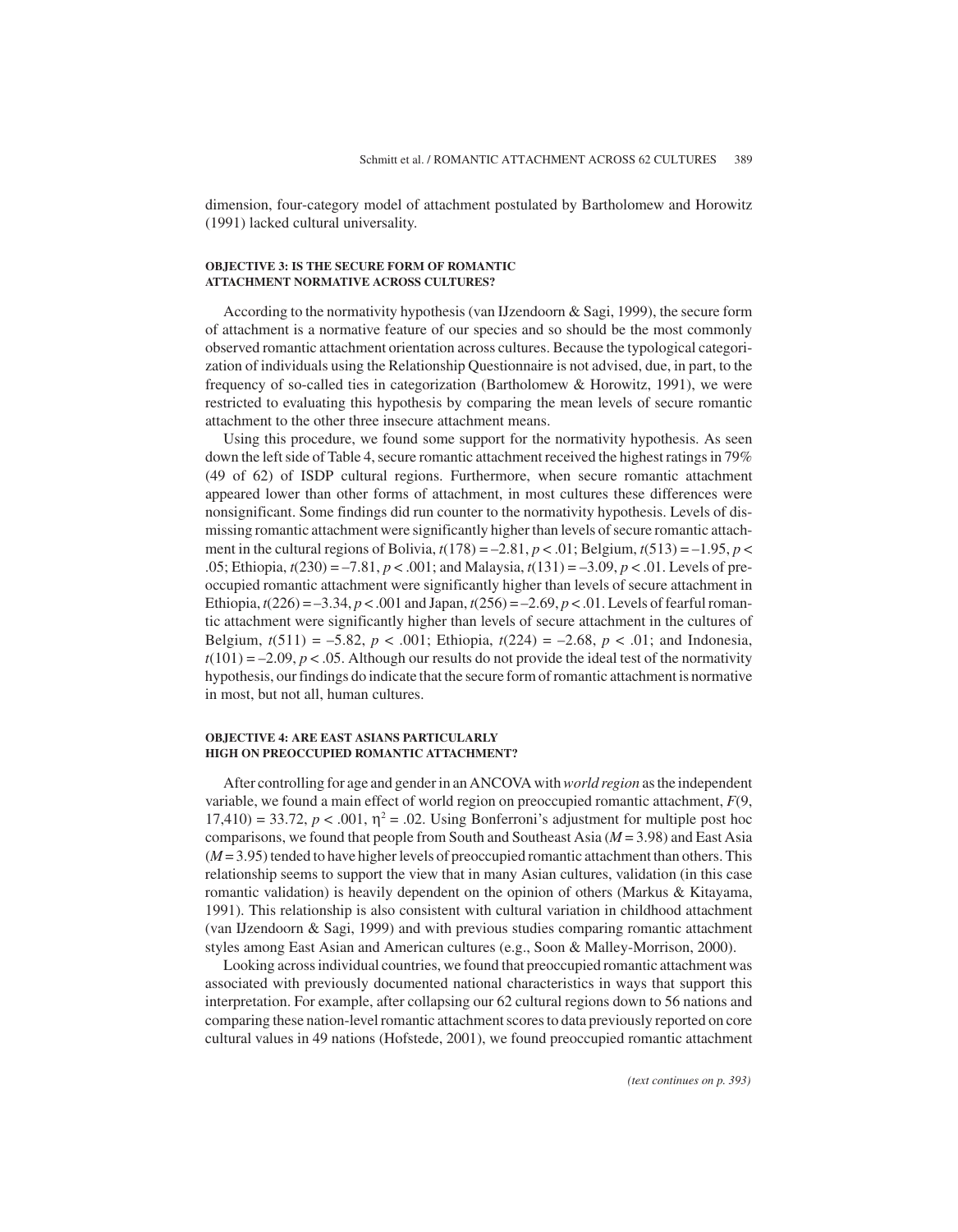dimension, four-category model of attachment postulated by Bartholomew and Horowitz (1991) lacked cultural universality.

# **OBJECTIVE 3: IS THE SECURE FORM OF ROMANTIC ATTACHMENT NORMATIVE ACROSS CULTURES?**

According to the normativity hypothesis (van IJzendoorn & Sagi, 1999), the secure form of attachment is a normative feature of our species and so should be the most commonly observed romantic attachment orientation across cultures. Because the typological categorization of individuals using the Relationship Questionnaire is not advised, due, in part, to the frequency of so-called ties in categorization (Bartholomew & Horowitz, 1991), we were restricted to evaluating this hypothesis by comparing the mean levels of secure romantic attachment to the other three insecure attachment means.

Using this procedure, we found some support for the normativity hypothesis. As seen down the left side of Table 4, secure romantic attachment received the highest ratings in 79% (49 of 62) of ISDP cultural regions. Furthermore, when secure romantic attachment appeared lower than other forms of attachment, in most cultures these differences were nonsignificant. Some findings did run counter to the normativity hypothesis. Levels of dismissing romantic attachment were significantly higher than levels of secure romantic attachment in the cultural regions of Bolivia,  $t(178) = -2.81$ ,  $p < .01$ ; Belgium,  $t(513) = -1.95$ ,  $p <$ .05; Ethiopia, *t*(230) = –7.81, *p* < .001; and Malaysia, *t*(131) = –3.09, *p* < .01. Levels of preoccupied romantic attachment were significantly higher than levels of secure attachment in Ethiopia,  $t(226) = -3.34$ ,  $p < .001$  and Japan,  $t(256) = -2.69$ ,  $p < .01$ . Levels of fearful romantic attachment were significantly higher than levels of secure attachment in the cultures of Belgium,  $t(511) = -5.82$ ,  $p < .001$ ; Ethiopia,  $t(224) = -2.68$ ,  $p < .01$ ; and Indonesia,  $t(101) = -2.09$ ,  $p < .05$ . Although our results do not provide the ideal test of the normativity hypothesis, our findings do indicate that the secure form of romantic attachment is normative in most, but not all, human cultures.

#### **OBJECTIVE 4: ARE EAST ASIANS PARTICULARLY HIGH ON PREOCCUPIED ROMANTIC ATTACHMENT?**

After controlling for age and gender in an ANCOVA with*world region* as the independent variable, we found a main effect of world region on preoccupied romantic attachment, *F*(9, 17,410) = 33.72,  $p < .001$ ,  $\eta^2 = .02$ . Using Bonferroni's adjustment for multiple post hoc comparisons, we found that people from South and Southeast Asia (*M* = 3.98) and East Asia (*M* = 3.95) tended to have higher levels of preoccupied romantic attachment than others. This relationship seems to support the view that in many Asian cultures, validation (in this case romantic validation) is heavily dependent on the opinion of others (Markus & Kitayama, 1991). This relationship is also consistent with cultural variation in childhood attachment (van IJzendoorn & Sagi, 1999) and with previous studies comparing romantic attachment styles among East Asian and American cultures (e.g., Soon & Malley-Morrison, 2000).

Looking across individual countries, we found that preoccupied romantic attachment was associated with previously documented national characteristics in ways that support this interpretation. For example, after collapsing our 62 cultural regions down to 56 nations and comparing these nation-level romantic attachment scores to data previously reported on core cultural values in 49 nations (Hofstede, 2001), we found preoccupied romantic attachment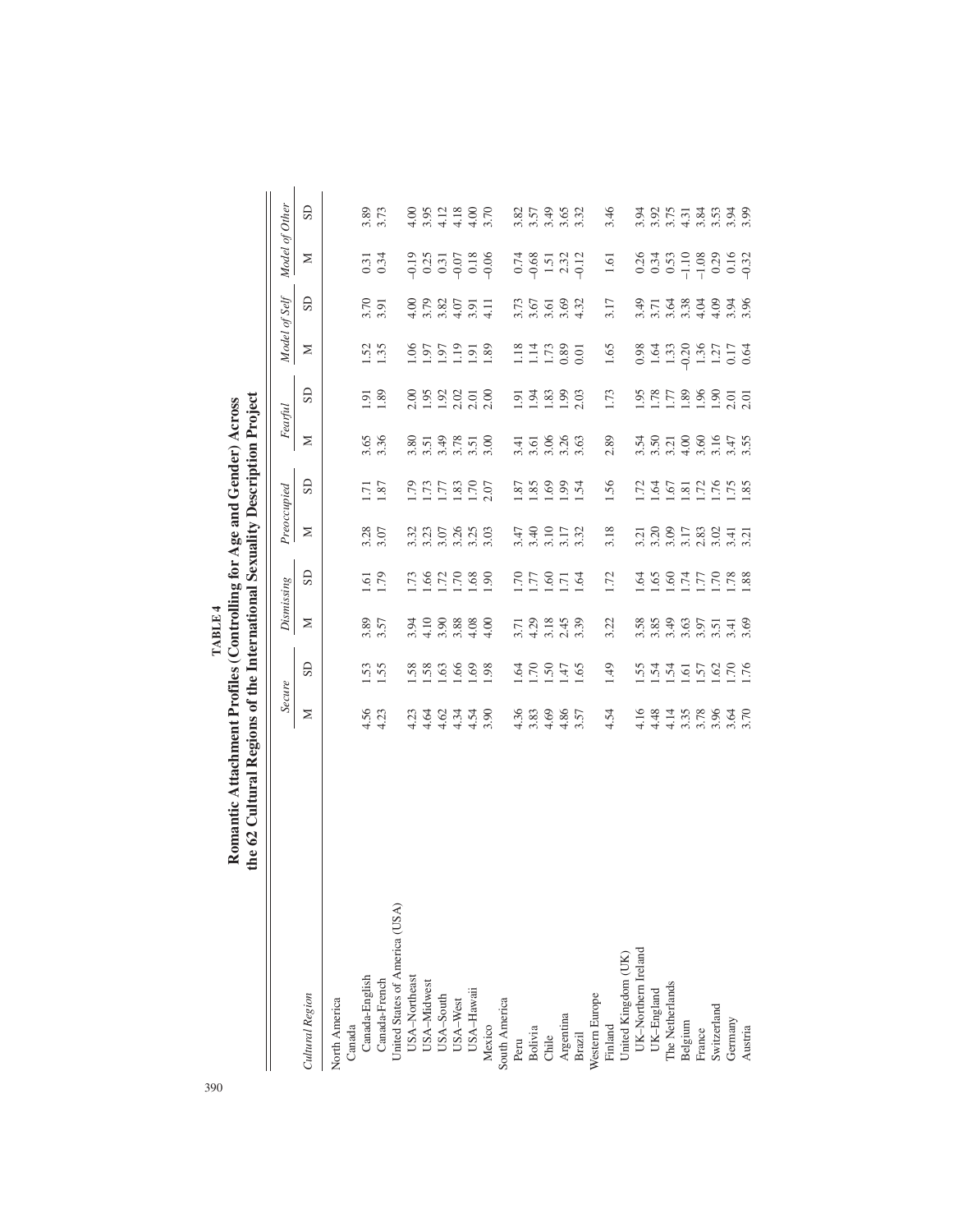|                                | the 62 Cultural Regions of the International Sexuality Description Project |                                     |                                        |                                 |                               |                                                           |                                         |                                      |                                                                              |                                                           |                                                                                                           |                            |
|--------------------------------|----------------------------------------------------------------------------|-------------------------------------|----------------------------------------|---------------------------------|-------------------------------|-----------------------------------------------------------|-----------------------------------------|--------------------------------------|------------------------------------------------------------------------------|-----------------------------------------------------------|-----------------------------------------------------------------------------------------------------------|----------------------------|
|                                | Secure                                                                     |                                     |                                        | Dismissing                      | Preoccupied                   |                                                           |                                         | Fearful                              |                                                                              | Model of Self                                             | Model of Other                                                                                            |                            |
| Cultural Region                | Σ                                                                          | GS                                  | Σ                                      | <b>GS</b>                       | Σ                             | <b>GS</b>                                                 | $\geq$                                  | GS                                   | Σ                                                                            | <b>GS</b>                                                 | $\geq$                                                                                                    | <b>GS</b>                  |
| North America                  |                                                                            |                                     |                                        |                                 |                               |                                                           |                                         |                                      |                                                                              |                                                           |                                                                                                           |                            |
| Canada                         |                                                                            |                                     |                                        |                                 |                               |                                                           |                                         |                                      |                                                                              |                                                           |                                                                                                           |                            |
| Canada-English                 |                                                                            |                                     |                                        |                                 |                               | 1.71                                                      |                                         | 1.91                                 |                                                                              | 3.70                                                      | 0.31                                                                                                      | 3.89                       |
| Canada-French                  | 4.56<br>4.23                                                               | 1.53                                | 3.89<br>3.57                           | 1.61<br>1.79                    | 3.28                          | 1.87                                                      | 3.55<br>3.36                            | 1.89                                 | $1.52$<br>1.35                                                               | 3.91                                                      | 0.34                                                                                                      | 3.73                       |
| United States of America (USA) |                                                                            |                                     |                                        |                                 |                               |                                                           |                                         |                                      |                                                                              |                                                           |                                                                                                           |                            |
|                                |                                                                            |                                     |                                        |                                 |                               |                                                           |                                         | 2.00                                 |                                                                              |                                                           |                                                                                                           | 4.00                       |
| USA-Northeast<br>USA-Midwest   |                                                                            | $\frac{85}{20}$                     |                                        |                                 |                               |                                                           |                                         | 1.95                                 |                                                                              | $\frac{4.00}{3.79}$                                       |                                                                                                           | 3.95                       |
| USA-South                      |                                                                            |                                     |                                        |                                 |                               |                                                           |                                         |                                      |                                                                              |                                                           |                                                                                                           |                            |
| USA-West                       | 4 4 4 4 4 9<br>4 4 4 4 4 9<br>4 4 4 4 4 9                                  | $\frac{6360}{1000}$                 | $3.198880$<br>$4.198880$<br>$4.198880$ | 1.78<br>1.66<br>1.71.88<br>1.91 | 335 883<br>335 883<br>335 335 | $\frac{175}{171}$<br>$\frac{20}{171}$<br>$\frac{20}{171}$ | $3.5198$<br>3.513.75.51<br>3.513.513.51 | $1.92$<br>$2.01$<br>$2.00$           | $\frac{105}{1.5}$<br>$\frac{5}{1.9}$<br>$\frac{10}{1.9}$<br>$\frac{10}{1.8}$ | $3.82$<br>$4.07$<br>$3.91$                                | $-0.19$<br>$0.25$<br>$0.31$<br>$0.07$<br>$0.18$<br>$-0.06$                                                | $4.12$<br>$4.18$<br>$4.00$ |
| USA-Hawaii                     |                                                                            |                                     |                                        |                                 |                               |                                                           |                                         |                                      |                                                                              |                                                           |                                                                                                           |                            |
| Mexico                         |                                                                            |                                     |                                        |                                 |                               |                                                           |                                         |                                      |                                                                              | $\overline{41}$                                           |                                                                                                           | 3.70                       |
| South America                  |                                                                            |                                     |                                        |                                 |                               |                                                           |                                         |                                      |                                                                              |                                                           |                                                                                                           |                            |
| Peru                           |                                                                            |                                     |                                        |                                 |                               |                                                           |                                         | $\overline{1.91}$                    |                                                                              |                                                           |                                                                                                           |                            |
| Bolivia                        |                                                                            | $1.50$<br>$1.50$                    |                                        | LT.1                            |                               |                                                           |                                         | 1.94                                 | 1.18<br>1.14<br>1.73<br>0.89                                                 | 3.73<br>3.67<br>3.69                                      |                                                                                                           | 3.82<br>3.57               |
| Chile                          |                                                                            |                                     |                                        |                                 |                               |                                                           |                                         |                                      |                                                                              |                                                           |                                                                                                           | 3.49                       |
| Argentina<br>Brazil            | $4.8000$<br>$4.80000$<br>$4.8000$                                          | $\overline{147}$                    | 3.71<br>4.29<br>3.18                   | $\frac{60}{171}$                | 3.47<br>3.40<br>3.17          | $1.87$<br>$1.89$<br>$0.9$<br>$0.1$                        | $3.5888$<br>3.3.88                      | $1.83$<br>1.99                       |                                                                              |                                                           | $7480$<br>$-9.51$<br>$-1.32$<br>$-0.12$                                                                   | 3.65                       |
|                                | 3.57                                                                       | 1.65                                | 3.39                                   | 1.64                            | 3.32                          | 1.54                                                      |                                         | 2.03                                 | 0.01                                                                         | 4.32                                                      |                                                                                                           | 3.32                       |
| Western Europe                 |                                                                            |                                     |                                        |                                 |                               |                                                           |                                         |                                      |                                                                              |                                                           |                                                                                                           |                            |
| Finland                        | 4.54                                                                       | 1.49                                | 3.22                                   | 1.72                            | 3.18                          | 1.56                                                      | 2.89                                    | 1.73                                 | 1.65                                                                         | 3.17                                                      | 1.61                                                                                                      | 3.46                       |
| United Kingdom (UK)            |                                                                            |                                     |                                        |                                 |                               |                                                           |                                         |                                      |                                                                              |                                                           |                                                                                                           |                            |
| UK-Northern Ireland            |                                                                            | 1.55                                |                                        | $\vec{e}$                       |                               | 1.72                                                      |                                         |                                      | 0.98                                                                         |                                                           |                                                                                                           | 3.94                       |
| UK-England                     |                                                                            | 1.54                                |                                        |                                 |                               |                                                           |                                         |                                      |                                                                              |                                                           |                                                                                                           |                            |
| The Netherlands                |                                                                            | $-54$                               |                                        |                                 |                               |                                                           |                                         |                                      |                                                                              |                                                           |                                                                                                           |                            |
| Belgium                        |                                                                            | 1.57                                |                                        |                                 |                               |                                                           |                                         |                                      |                                                                              |                                                           |                                                                                                           | $3.75$<br>$3.75$<br>$4.34$ |
| France                         |                                                                            |                                     |                                        |                                 |                               |                                                           |                                         |                                      |                                                                              |                                                           |                                                                                                           |                            |
| Switzerland                    |                                                                            | $rac{6}{1}$ $rac{7}{1}$ $rac{6}{1}$ | 585855546<br>58585546                  | 160777088119011                 |                               | $1.67$<br>$1.78$<br>$1.78$<br>$1.8$<br>$1.8$              |                                         | 1.78<br>1.78 9.9.01<br>1.1.1.90 0.01 | $1.33$<br>$-0.36$<br>$-1.27$<br>$-1.54$<br>$-1.54$                           | 9 7 7 9 8 9 9 9 9<br>9 7 9 8 9 9 9 9 9<br>9 9 9 9 9 9 9 9 | $\begin{array}{c} 0.34 \\ 0.34 \\ 0.53 \\ -1.10 \\ 0.38 \\ 0.39 \\ -1.08 \\ 0.36 \\ -0.32 \\ \end{array}$ | 3.53                       |
| Germany                        |                                                                            |                                     |                                        |                                 |                               |                                                           |                                         |                                      |                                                                              |                                                           |                                                                                                           | 3.94<br>3.99               |
| Austria                        |                                                                            |                                     |                                        |                                 |                               |                                                           |                                         |                                      |                                                                              |                                                           |                                                                                                           |                            |

390**TABLE 4**

 $\label{eq:trans1} \begin{array}{ll} \textsc{rank} & \textsc{rank} \\ \textsc{Rank} & \textsc{R} \\ \textsc{Stmend} \end{array}$  Romantic Attachment Profiles (Controlling for Age and Gender) Across **Romantic Attachment Profiles (Controlling for Age and Gender) Across**

390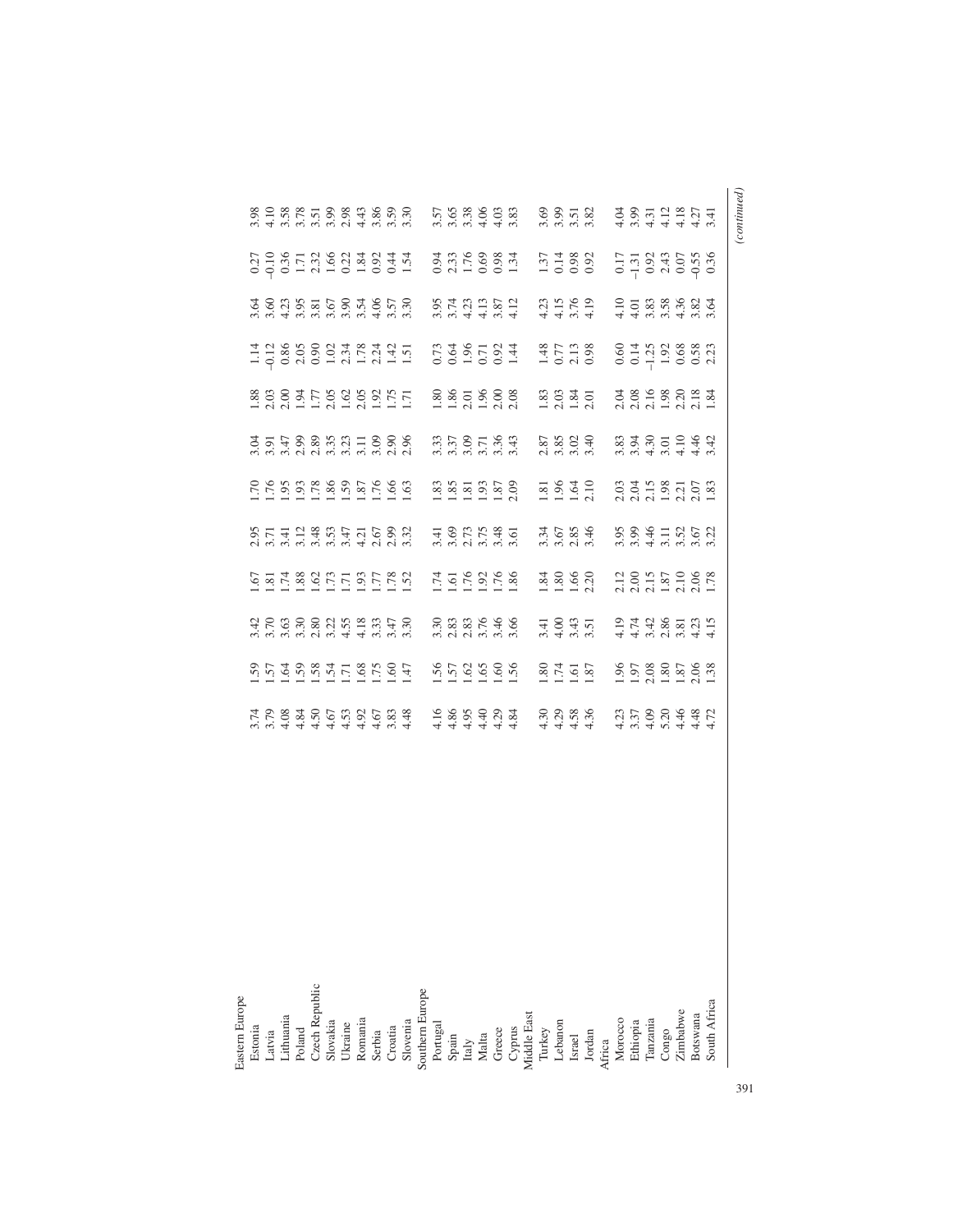| <b>Eastern</b> Europe                                                                                                                                                                                                                                            |                                                          |                                                |                                               |                      |                                          |                                                                          |                                        |                                                  |                                                       |                                                                                                                                                                                                                                |                                                                                                                        |
|------------------------------------------------------------------------------------------------------------------------------------------------------------------------------------------------------------------------------------------------------------------|----------------------------------------------------------|------------------------------------------------|-----------------------------------------------|----------------------|------------------------------------------|--------------------------------------------------------------------------|----------------------------------------|--------------------------------------------------|-------------------------------------------------------|--------------------------------------------------------------------------------------------------------------------------------------------------------------------------------------------------------------------------------|------------------------------------------------------------------------------------------------------------------------|
| Estonia                                                                                                                                                                                                                                                          |                                                          |                                                |                                               |                      |                                          |                                                                          |                                        |                                                  |                                                       |                                                                                                                                                                                                                                |                                                                                                                        |
|                                                                                                                                                                                                                                                                  |                                                          |                                                |                                               |                      |                                          |                                                                          |                                        |                                                  |                                                       |                                                                                                                                                                                                                                |                                                                                                                        |
|                                                                                                                                                                                                                                                                  |                                                          |                                                |                                               |                      |                                          |                                                                          |                                        |                                                  |                                                       |                                                                                                                                                                                                                                |                                                                                                                        |
|                                                                                                                                                                                                                                                                  |                                                          |                                                |                                               |                      |                                          |                                                                          |                                        |                                                  |                                                       |                                                                                                                                                                                                                                |                                                                                                                        |
| Latvia<br>Lithuania<br>Poland<br>Czech Republic<br>Czech Republic                                                                                                                                                                                                |                                                          |                                                |                                               |                      |                                          |                                                                          |                                        |                                                  |                                                       |                                                                                                                                                                                                                                |                                                                                                                        |
|                                                                                                                                                                                                                                                                  |                                                          |                                                |                                               |                      |                                          |                                                                          |                                        |                                                  |                                                       |                                                                                                                                                                                                                                |                                                                                                                        |
| Ukraine                                                                                                                                                                                                                                                          |                                                          |                                                |                                               |                      |                                          |                                                                          |                                        |                                                  |                                                       |                                                                                                                                                                                                                                |                                                                                                                        |
| Romania                                                                                                                                                                                                                                                          |                                                          |                                                |                                               |                      |                                          |                                                                          |                                        |                                                  |                                                       |                                                                                                                                                                                                                                |                                                                                                                        |
| Serbia                                                                                                                                                                                                                                                           |                                                          |                                                |                                               |                      |                                          |                                                                          |                                        |                                                  |                                                       |                                                                                                                                                                                                                                |                                                                                                                        |
| Croatia                                                                                                                                                                                                                                                          |                                                          |                                                |                                               |                      |                                          |                                                                          |                                        |                                                  |                                                       |                                                                                                                                                                                                                                |                                                                                                                        |
|                                                                                                                                                                                                                                                                  |                                                          |                                                |                                               |                      |                                          |                                                                          |                                        |                                                  |                                                       |                                                                                                                                                                                                                                |                                                                                                                        |
|                                                                                                                                                                                                                                                                  |                                                          |                                                |                                               |                      |                                          |                                                                          |                                        |                                                  |                                                       |                                                                                                                                                                                                                                |                                                                                                                        |
|                                                                                                                                                                                                                                                                  |                                                          |                                                |                                               |                      |                                          |                                                                          |                                        |                                                  |                                                       |                                                                                                                                                                                                                                |                                                                                                                        |
|                                                                                                                                                                                                                                                                  |                                                          |                                                |                                               |                      |                                          |                                                                          |                                        |                                                  |                                                       |                                                                                                                                                                                                                                |                                                                                                                        |
|                                                                                                                                                                                                                                                                  |                                                          |                                                |                                               |                      |                                          |                                                                          |                                        |                                                  |                                                       |                                                                                                                                                                                                                                |                                                                                                                        |
|                                                                                                                                                                                                                                                                  |                                                          |                                                |                                               |                      |                                          |                                                                          |                                        |                                                  |                                                       |                                                                                                                                                                                                                                |                                                                                                                        |
|                                                                                                                                                                                                                                                                  |                                                          |                                                |                                               |                      |                                          |                                                                          |                                        |                                                  |                                                       |                                                                                                                                                                                                                                |                                                                                                                        |
| Slovenia<br>Southern Europe<br>Portugal<br>Portugal<br>Spain<br>Middle East<br>Coreco<br>Turkey<br>Lebanon<br>Lebanon<br>Lebanon<br>Middle East<br>Lebanon<br>Middle East<br>Lebanon<br>Middle East<br>Lebanon<br>Middle East<br>Middle East<br>Lebanon<br>Morco |                                                          | $3,30$<br>$3,30$<br>$3,30$<br>$3,46$<br>$3,30$ |                                               |                      |                                          | 1<br>1988 1989 1989 1989 1980 1981<br>1982 1983 1980 1980 1980 1980 1981 |                                        |                                                  |                                                       | $0.5851$ $0.583$ $0.533$ $0.533$ $0.533$ $0.533$ $0.533$ $0.533$ $0.533$ $0.533$ $0.533$ $0.533$ $0.533$ $0.533$ $0.533$ $0.533$ $0.533$ $0.533$ $0.533$ $0.533$ $0.533$ $0.533$ $0.533$ $0.533$ $0.533$ $0.533$ $0.533$ $0.5$ | agaargaangaa raagaa oonia toningritty<br>Situs dan dan dan dan dan dan toning<br>Situs dan dan dan dan dan dan dan dan |
|                                                                                                                                                                                                                                                                  |                                                          |                                                |                                               |                      |                                          |                                                                          |                                        |                                                  |                                                       |                                                                                                                                                                                                                                |                                                                                                                        |
|                                                                                                                                                                                                                                                                  |                                                          |                                                |                                               |                      |                                          |                                                                          |                                        |                                                  |                                                       |                                                                                                                                                                                                                                |                                                                                                                        |
|                                                                                                                                                                                                                                                                  |                                                          |                                                |                                               |                      |                                          |                                                                          |                                        |                                                  |                                                       |                                                                                                                                                                                                                                |                                                                                                                        |
|                                                                                                                                                                                                                                                                  |                                                          |                                                |                                               |                      |                                          |                                                                          |                                        |                                                  |                                                       |                                                                                                                                                                                                                                |                                                                                                                        |
|                                                                                                                                                                                                                                                                  | $1.30$<br>$1.74$<br>$1.61$<br>$1.87$                     | 3.41<br>4.00<br>3.51                           | $1.80$<br>$1.80$<br>$2.30$                    | 3.34<br>3.67<br>3.46 | $1.81$<br>$1.96$<br>$1.61$<br>$2.10$     | 2.87<br>3.85<br>3.02                                                     |                                        | $\frac{1.48}{0.77}$                              |                                                       | $\begin{array}{c} 1.37 \\ 0.14 \\ 0.98 \\ 0.92 \end{array}$                                                                                                                                                                    |                                                                                                                        |
|                                                                                                                                                                                                                                                                  |                                                          |                                                |                                               |                      |                                          |                                                                          |                                        |                                                  |                                                       |                                                                                                                                                                                                                                |                                                                                                                        |
|                                                                                                                                                                                                                                                                  |                                                          |                                                |                                               |                      |                                          |                                                                          |                                        |                                                  |                                                       |                                                                                                                                                                                                                                |                                                                                                                        |
|                                                                                                                                                                                                                                                                  |                                                          |                                                |                                               |                      |                                          |                                                                          |                                        |                                                  |                                                       |                                                                                                                                                                                                                                |                                                                                                                        |
|                                                                                                                                                                                                                                                                  | $1.96$<br>$1.97$<br>$1.80$<br>$1.87$<br>$1.38$<br>$1.38$ | $77488775$<br>$77488775$                       | 2.12<br>2.00<br>2.15<br>2.10<br>2.178<br>1.78 |                      | 2.03<br>2.04 S<br>2.05 2.05<br>2.05 2.05 | 83<br>83 36 5 5 4 4 5<br>8 3 5 5 5 4 5 4 5                               | 2.03<br>2.03<br>2.03<br>2.03<br>2.1.84 | $0.514$<br>$0.141$<br>$0.58$<br>$0.53$<br>$0.53$ | $1.10$<br>$4.58$ $8.88$<br>$4.82$<br>$4.82$<br>$5.64$ | $1,3$<br>$1,3$<br>$0,43$<br>$0,5$<br>$0,5$<br>$0,3$<br>$0,3$<br>$0,3$                                                                                                                                                          |                                                                                                                        |
|                                                                                                                                                                                                                                                                  |                                                          |                                                |                                               |                      |                                          |                                                                          |                                        |                                                  |                                                       |                                                                                                                                                                                                                                |                                                                                                                        |
|                                                                                                                                                                                                                                                                  |                                                          |                                                |                                               |                      |                                          |                                                                          |                                        |                                                  |                                                       |                                                                                                                                                                                                                                |                                                                                                                        |
| Botswana                                                                                                                                                                                                                                                         |                                                          |                                                |                                               |                      |                                          |                                                                          |                                        |                                                  |                                                       |                                                                                                                                                                                                                                |                                                                                                                        |
| South Africa                                                                                                                                                                                                                                                     |                                                          |                                                |                                               |                      |                                          |                                                                          |                                        |                                                  |                                                       |                                                                                                                                                                                                                                |                                                                                                                        |

 $\left( continued\right)$ *(continued)*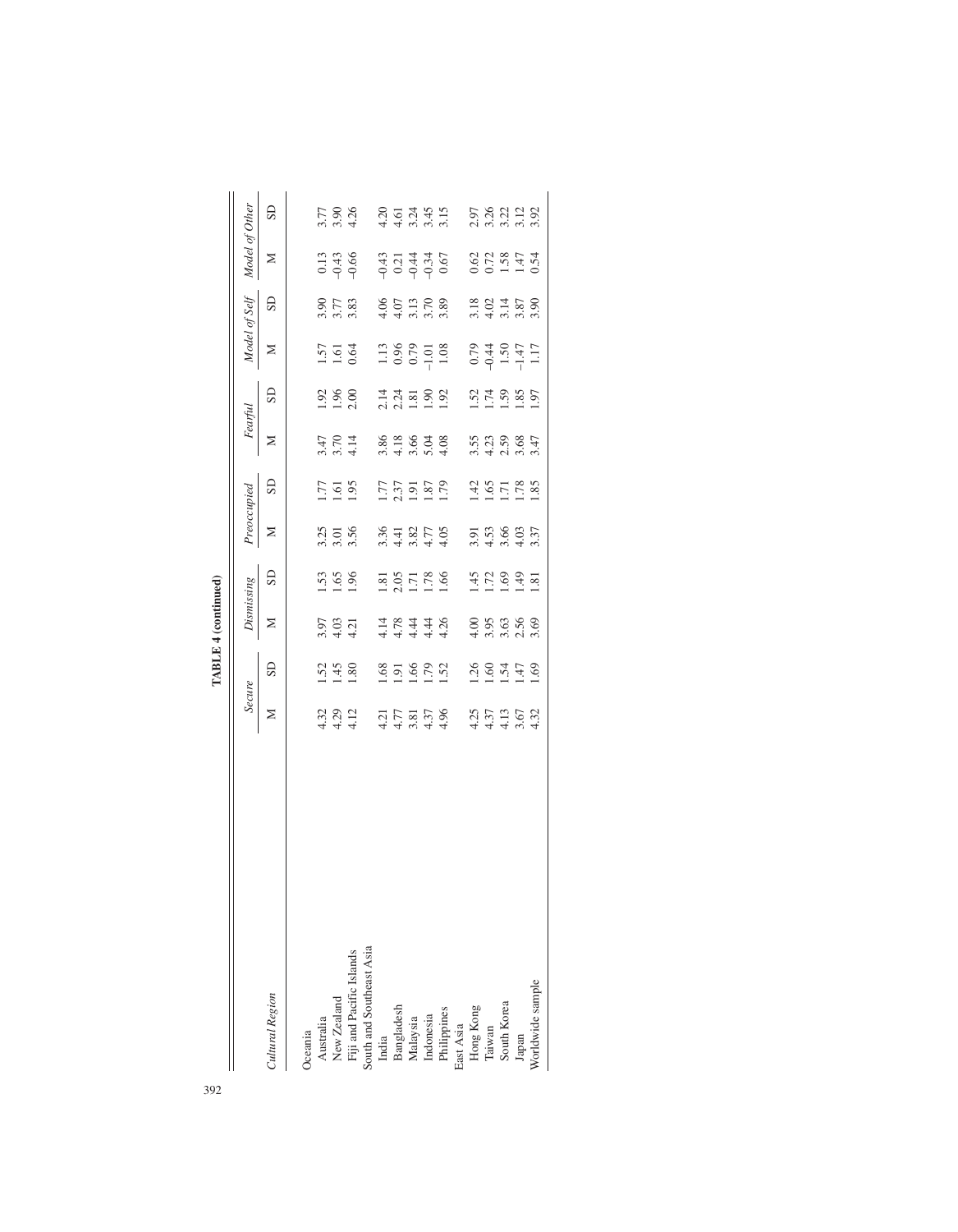|                                             | Secure                                       |                   | Dismissing                                                                                                                                                                                                                                                                                                                                                                                                                                                                                    |                                            | Preoccupied                  |                          | Fearful                |                                                                          |                                                                     | Model of Self                  | Model of Other                           |                      |
|---------------------------------------------|----------------------------------------------|-------------------|-----------------------------------------------------------------------------------------------------------------------------------------------------------------------------------------------------------------------------------------------------------------------------------------------------------------------------------------------------------------------------------------------------------------------------------------------------------------------------------------------|--------------------------------------------|------------------------------|--------------------------|------------------------|--------------------------------------------------------------------------|---------------------------------------------------------------------|--------------------------------|------------------------------------------|----------------------|
| Iultural Region                             | Σ                                            | SD                | Σ                                                                                                                                                                                                                                                                                                                                                                                                                                                                                             | <b>GS</b>                                  | $\geq$                       | <b>GS</b>                | Σ                      | SD                                                                       | $\geq$                                                              | <b>GS</b>                      | Σ                                        | SD                   |
| <b>Ceania</b>                               |                                              |                   |                                                                                                                                                                                                                                                                                                                                                                                                                                                                                               |                                            |                              |                          |                        |                                                                          |                                                                     |                                |                                          |                      |
| Australia                                   |                                              |                   |                                                                                                                                                                                                                                                                                                                                                                                                                                                                                               |                                            |                              |                          |                        |                                                                          |                                                                     |                                |                                          |                      |
| New Zealand<br>Fiji and Pacific Islands     | $4.32$<br>$4.12$<br>$4.12$                   | $\frac{53}{4}$ 50 | $3.97$<br>$4.21$                                                                                                                                                                                                                                                                                                                                                                                                                                                                              | $\frac{53}{1}$ $\frac{5}{1}$ $\frac{8}{1}$ | 3.25<br>3.56                 | $1.708$<br>$-1.55$       | 3.47<br>3.70<br>4.14   | $\frac{0.95}{0.00}$                                                      | $\frac{1.57}{1.61}$                                                 | 3.57<br>3.77<br>3.83           | $0.13$<br>$-0.43$<br>$-0.66$             | 3.77<br>3.90<br>4.26 |
|                                             |                                              |                   |                                                                                                                                                                                                                                                                                                                                                                                                                                                                                               |                                            |                              |                          |                        |                                                                          |                                                                     |                                |                                          |                      |
| outh and Southeast Asia                     |                                              |                   |                                                                                                                                                                                                                                                                                                                                                                                                                                                                                               |                                            |                              |                          |                        |                                                                          |                                                                     |                                |                                          |                      |
|                                             |                                              |                   |                                                                                                                                                                                                                                                                                                                                                                                                                                                                                               |                                            |                              |                          |                        |                                                                          |                                                                     |                                |                                          |                      |
| India<br>Bangladesh<br>Malaysia<br>Malaysia | $717777700$<br>$4777770$                     | 895881            | $\begin{array}{c}\n 4 \\  \text{1} \\  \text{2} \\  \text{3} \\  \text{4} \\  \text{5} \\  \text{6} \\  \text{7} \\  \text{7} \\  \text{8} \\  \text{7} \\  \text{9} \\  \text{1} \\  \text{1} \\  \text{1} \\  \text{1} \\  \text{2} \\  \text{1} \\  \text{2} \\  \text{3} \\  \text{4} \\  \text{5} \\  \text{6} \\  \text{7} \\  \text{9} \\  \text{1} \\  \text{1} \\  \text{1} \\  \text{2} \\  \text{1} \\  \text{2} \\  \text{3} \\  \text{4} \\  \text{5} \\  \text{6} \\  \text{7}$ | 1.81<br>2.05<br>1.71<br>1.66               | 3.32<br>4.32<br>4.53<br>4.15 | 177<br>230<br>187<br>179 | 3.86<br>4.1.66<br>4.08 | 2.14<br>2.21<br>1.90<br>1.92                                             | $\begin{array}{c} 1.13 \\ 0.96 \\ 0.79 \\ 1.08 \\ 1.08 \end{array}$ | 4.06<br>4.07<br>5.13<br>5.89   | $-0.21$<br>$-0.21$<br>$-0.54$<br>$-0.67$ | 2014<br>1914<br>1915 |
|                                             |                                              |                   |                                                                                                                                                                                                                                                                                                                                                                                                                                                                                               |                                            |                              |                          |                        |                                                                          |                                                                     |                                |                                          |                      |
|                                             |                                              |                   |                                                                                                                                                                                                                                                                                                                                                                                                                                                                                               |                                            |                              |                          |                        |                                                                          |                                                                     |                                |                                          |                      |
| Philippines<br>East Asia                    |                                              |                   |                                                                                                                                                                                                                                                                                                                                                                                                                                                                                               |                                            |                              |                          |                        |                                                                          |                                                                     |                                |                                          |                      |
|                                             |                                              |                   |                                                                                                                                                                                                                                                                                                                                                                                                                                                                                               |                                            |                              |                          |                        |                                                                          |                                                                     |                                |                                          |                      |
| Hong Kong                                   |                                              |                   |                                                                                                                                                                                                                                                                                                                                                                                                                                                                                               |                                            |                              |                          |                        |                                                                          |                                                                     |                                |                                          |                      |
| Taiwan                                      |                                              |                   |                                                                                                                                                                                                                                                                                                                                                                                                                                                                                               |                                            |                              |                          |                        |                                                                          |                                                                     |                                |                                          |                      |
| South Korea                                 | $4.37$<br>$4.4.3$<br>$4.3$<br>$4.3$<br>$4.3$ | 28478             | 0.558888                                                                                                                                                                                                                                                                                                                                                                                                                                                                                      | 478942                                     | 5.53<br>4.536<br>4.637       | $\frac{48528}{100}$      |                        | $\frac{22}{11}$<br>$\frac{25}{11}$<br>$\frac{25}{11}$<br>$\frac{25}{11}$ | $0.79$<br>$-0.47$<br>$-1.50$<br>$-1.77$<br>$-1.17$                  | 3.18<br>4.02<br>5.3.87<br>5.90 | $0.78$<br>$0.78$<br>$1.54$<br>$0.54$     | 07882232323          |
| Japan                                       |                                              |                   |                                                                                                                                                                                                                                                                                                                                                                                                                                                                                               |                                            |                              |                          |                        |                                                                          |                                                                     |                                |                                          |                      |
| Vorldwide sample                            |                                              |                   |                                                                                                                                                                                                                                                                                                                                                                                                                                                                                               |                                            |                              |                          |                        |                                                                          |                                                                     |                                |                                          |                      |
|                                             |                                              |                   |                                                                                                                                                                                                                                                                                                                                                                                                                                                                                               |                                            |                              |                          |                        |                                                                          |                                                                     |                                |                                          |                      |

TABLE 4 (continued) **TABLE 4 (continued)**

392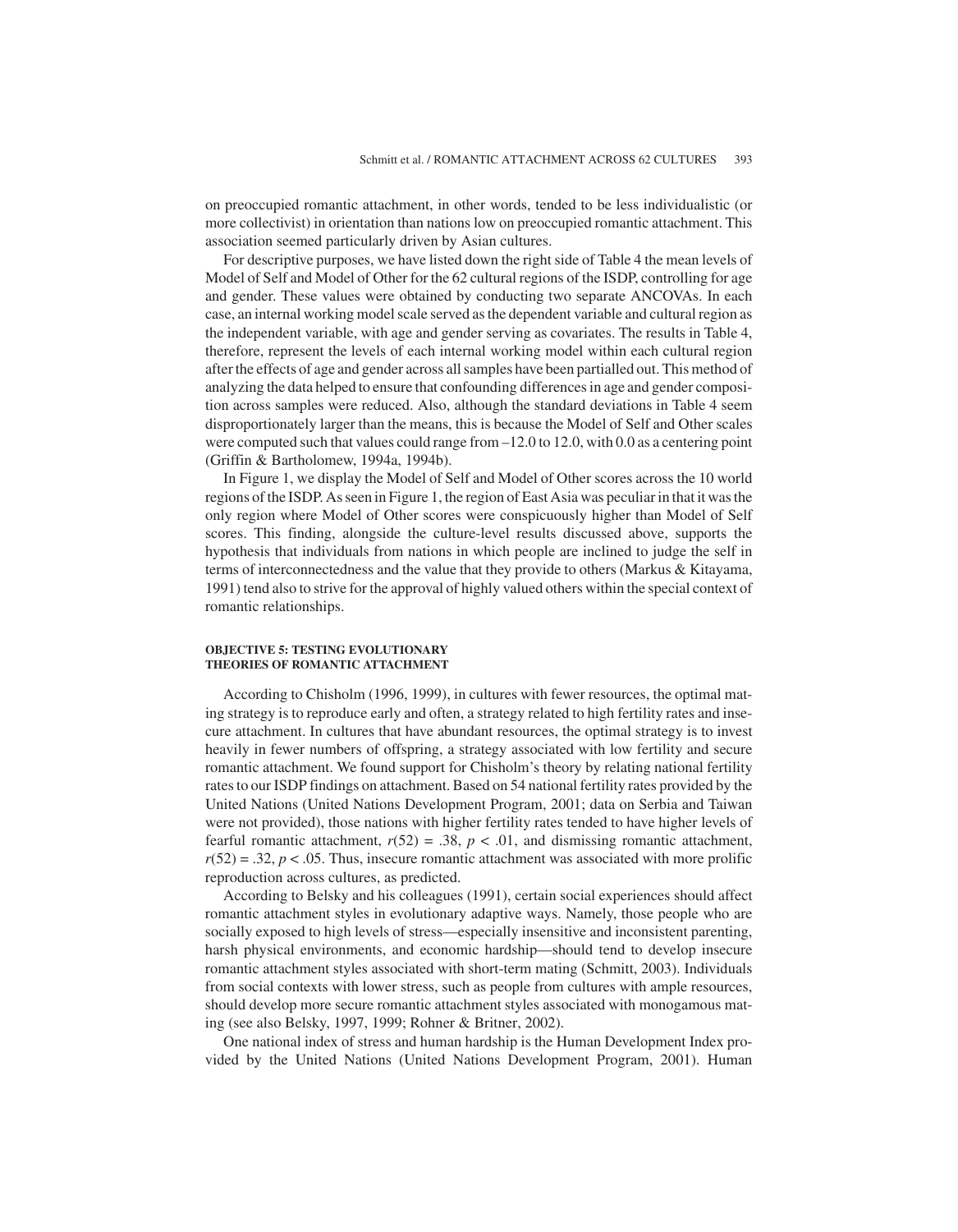on preoccupied romantic attachment, in other words, tended to be less individualistic (or more collectivist) in orientation than nations low on preoccupied romantic attachment. This association seemed particularly driven by Asian cultures.

For descriptive purposes, we have listed down the right side of Table 4 the mean levels of Model of Self and Model of Other for the 62 cultural regions of the ISDP, controlling for age and gender. These values were obtained by conducting two separate ANCOVAs. In each case, an internal working model scale served as the dependent variable and cultural region as the independent variable, with age and gender serving as covariates. The results in Table 4, therefore, represent the levels of each internal working model within each cultural region after the effects of age and gender across all samples have been partialled out. This method of analyzing the data helped to ensure that confounding differences in age and gender composition across samples were reduced. Also, although the standard deviations in Table 4 seem disproportionately larger than the means, this is because the Model of Self and Other scales were computed such that values could range from –12.0 to 12.0, with 0.0 as a centering point (Griffin & Bartholomew, 1994a, 1994b).

In Figure 1, we display the Model of Self and Model of Other scores across the 10 world regions of the ISDP. As seen in Figure 1, the region of East Asia was peculiarin that it was the only region where Model of Other scores were conspicuously higher than Model of Self scores. This finding, alongside the culture-level results discussed above, supports the hypothesis that individuals from nations in which people are inclined to judge the self in terms of interconnectedness and the value that they provide to others (Markus & Kitayama, 1991) tend also to strive for the approval of highly valued others within the special context of romantic relationships.

# **OBJECTIVE 5: TESTING EVOLUTIONARY THEORIES OF ROMANTIC ATTACHMENT**

According to Chisholm (1996, 1999), in cultures with fewer resources, the optimal mating strategy is to reproduce early and often, a strategy related to high fertility rates and insecure attachment. In cultures that have abundant resources, the optimal strategy is to invest heavily in fewer numbers of offspring, a strategy associated with low fertility and secure romantic attachment. We found support for Chisholm's theory by relating national fertility rates to our ISDP findings on attachment. Based on 54 national fertility rates provided by the United Nations (United Nations Development Program, 2001; data on Serbia and Taiwan were not provided), those nations with higher fertility rates tended to have higher levels of fearful romantic attachment,  $r(52) = .38$ ,  $p < .01$ , and dismissing romantic attachment,  $r(52) = .32, p < .05$ . Thus, insecure romantic attachment was associated with more prolific reproduction across cultures, as predicted.

According to Belsky and his colleagues (1991), certain social experiences should affect romantic attachment styles in evolutionary adaptive ways. Namely, those people who are socially exposed to high levels of stress—especially insensitive and inconsistent parenting, harsh physical environments, and economic hardship—should tend to develop insecure romantic attachment styles associated with short-term mating (Schmitt, 2003). Individuals from social contexts with lower stress, such as people from cultures with ample resources, should develop more secure romantic attachment styles associated with monogamous mating (see also Belsky, 1997, 1999; Rohner & Britner, 2002).

One national index of stress and human hardship is the Human Development Index provided by the United Nations (United Nations Development Program, 2001). Human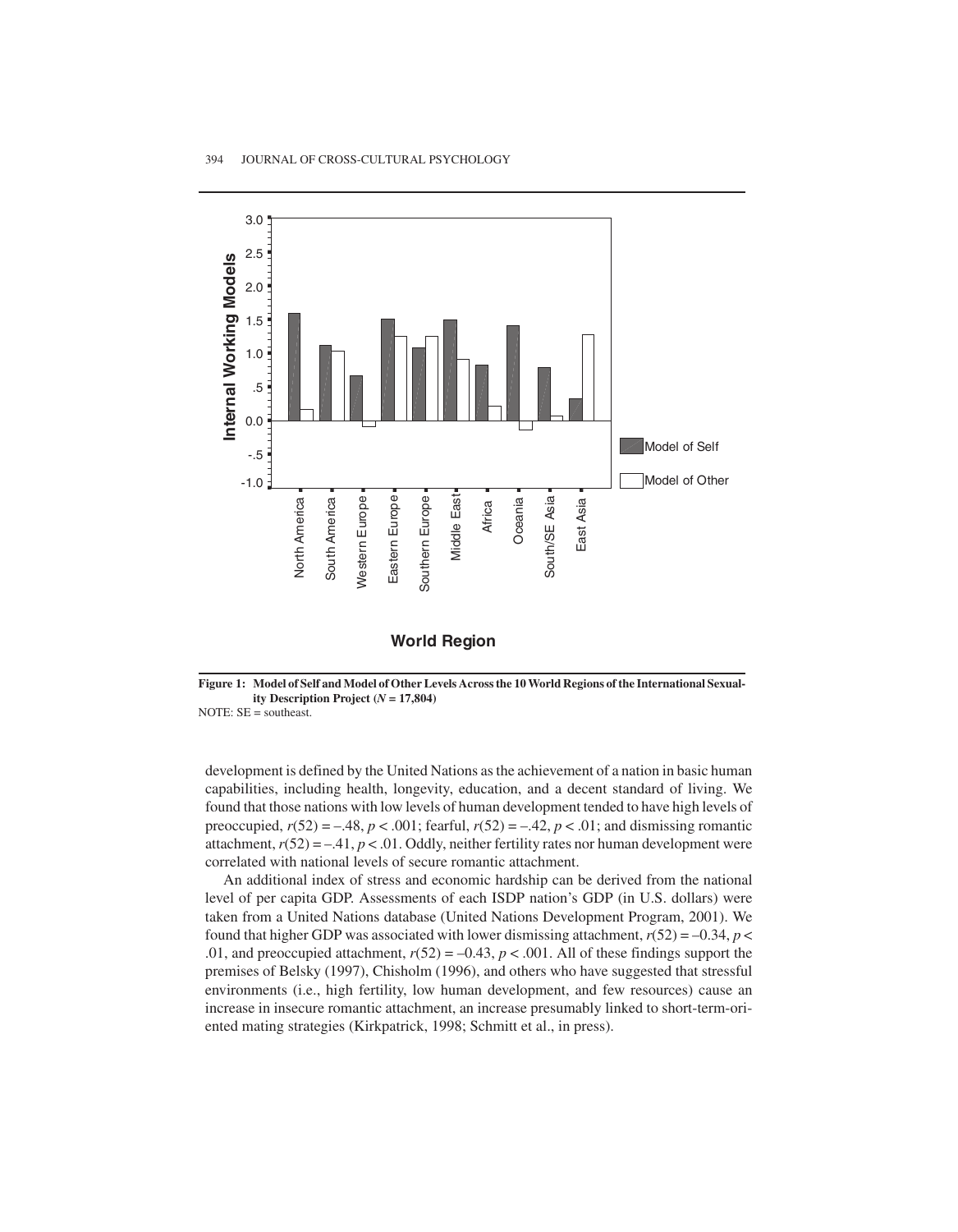

**Figure 1: Model of Self and Model of Other Levels Across the 10 World Regions of the International Sexuality Description Project**  $(N = 17,804)$ NOTE: SE = southeast.

development is defined by the United Nations as the achievement of a nation in basic human capabilities, including health, longevity, education, and a decent standard of living. We found that those nations with low levels of human development tended to have high levels of preoccupied,  $r(52) = -.48$ ,  $p < .001$ ; fearful,  $r(52) = -.42$ ,  $p < .01$ ; and dismissing romantic attachment,  $r(52) = -.41$ ,  $p < .01$ . Oddly, neither fertility rates nor human development were correlated with national levels of secure romantic attachment.

An additional index of stress and economic hardship can be derived from the national level of per capita GDP. Assessments of each ISDP nation's GDP (in U.S. dollars) were taken from a United Nations database (United Nations Development Program, 2001). We found that higher GDP was associated with lower dismissing attachment,  $r(52) = -0.34$ ,  $p <$ .01, and preoccupied attachment,  $r(52) = -0.43$ ,  $p < .001$ . All of these findings support the premises of Belsky (1997), Chisholm (1996), and others who have suggested that stressful environments (i.e., high fertility, low human development, and few resources) cause an increase in insecure romantic attachment, an increase presumably linked to short-term-oriented mating strategies (Kirkpatrick, 1998; Schmitt et al., in press).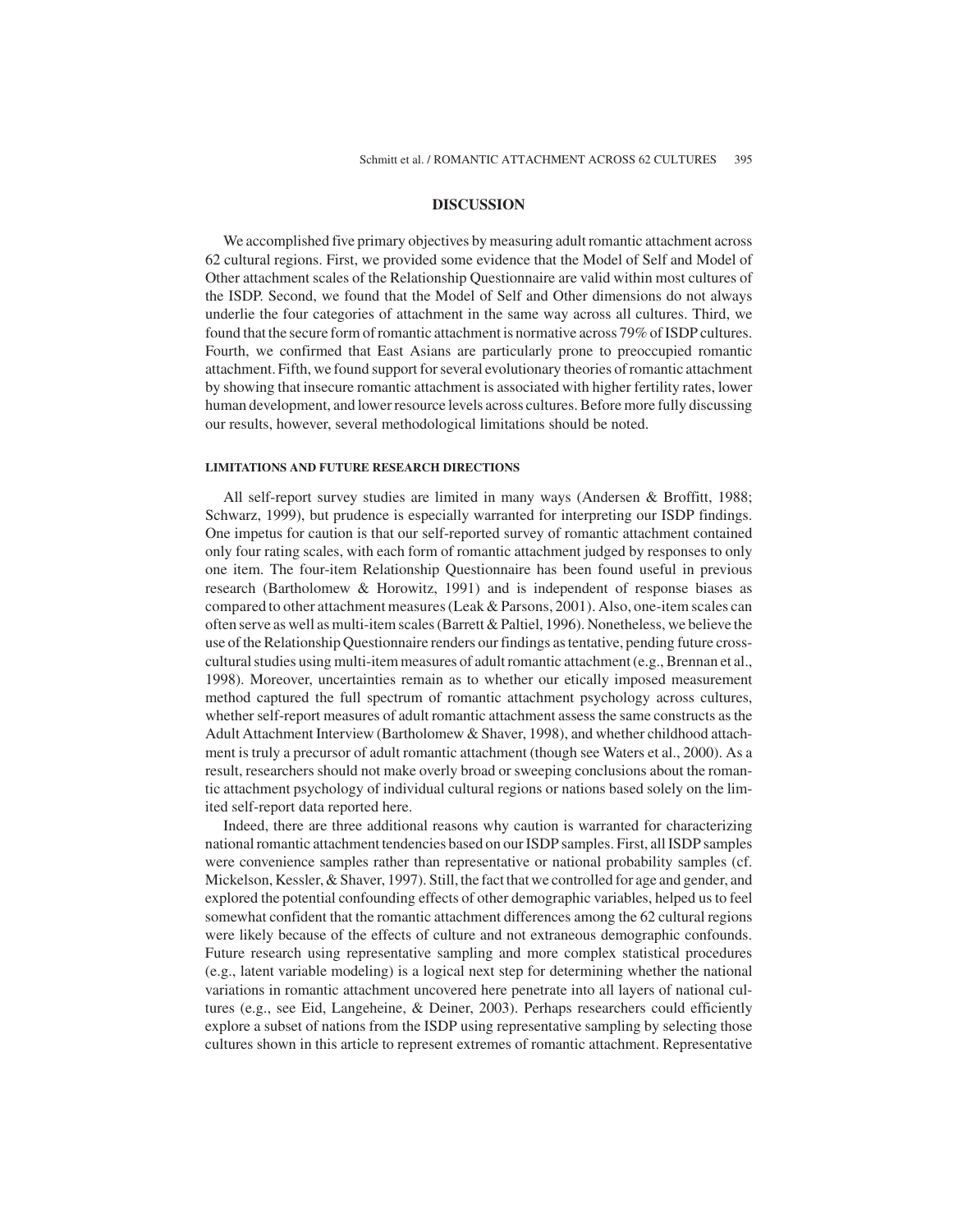# **DISCUSSION**

We accomplished five primary objectives by measuring adult romantic attachment across 62 cultural regions. First, we provided some evidence that the Model of Self and Model of Other attachment scales of the Relationship Questionnaire are valid within most cultures of the ISDP. Second, we found that the Model of Self and Other dimensions do not always underlie the four categories of attachment in the same way across all cultures. Third, we found that the secure form of romantic attachment is normative across 79% of ISDP cultures. Fourth, we confirmed that East Asians are particularly prone to preoccupied romantic attachment. Fifth, we found support for several evolutionary theories ofromantic attachment by showing that insecure romantic attachment is associated with higher fertility rates, lower human development, and lower resource levels across cultures. Before more fully discussing our results, however, several methodological limitations should be noted.

#### **LIMITATIONS AND FUTURE RESEARCH DIRECTIONS**

All self-report survey studies are limited in many ways (Andersen & Broffitt, 1988; Schwarz, 1999), but prudence is especially warranted for interpreting our ISDP findings. One impetus for caution is that our self-reported survey of romantic attachment contained only four rating scales, with each form of romantic attachment judged by responses to only one item. The four-item Relationship Questionnaire has been found useful in previous research (Bartholomew & Horowitz, 1991) and is independent of response biases as compared to other attachment measures (Leak & Parsons, 2001). Also, one-item scales can often serve as well as multi-item scales (Barrett & Paltiel, 1996). Nonetheless, we believe the use of the Relationship Questionnaire renders our findings as tentative, pending future crosscultural studies using multi-item measures of adult romantic attachment(e.g., Brennan et al., 1998). Moreover, uncertainties remain as to whether our etically imposed measurement method captured the full spectrum of romantic attachment psychology across cultures, whether self-report measures of adult romantic attachment assess the same constructs as the Adult Attachment Interview (Bartholomew & Shaver, 1998), and whether childhood attachment is truly a precursor of adult romantic attachment (though see Waters et al., 2000). As a result, researchers should not make overly broad or sweeping conclusions about the romantic attachment psychology of individual cultural regions or nations based solely on the limited self-report data reported here.

Indeed, there are three additional reasons why caution is warranted for characterizing national romantic attachment tendencies based on our ISDP samples. First, all ISDP samples were convenience samples rather than representative or national probability samples (cf. Mickelson, Kessler, & Shaver, 1997). Still, the fact that we controlled for age and gender, and explored the potential confounding effects of other demographic variables, helped us to feel somewhat confident that the romantic attachment differences among the 62 cultural regions were likely because of the effects of culture and not extraneous demographic confounds. Future research using representative sampling and more complex statistical procedures (e.g., latent variable modeling) is a logical next step for determining whether the national variations in romantic attachment uncovered here penetrate into all layers of national cultures (e.g., see Eid, Langeheine, & Deiner, 2003). Perhaps researchers could efficiently explore a subset of nations from the ISDP using representative sampling by selecting those cultures shown in this article to represent extremes of romantic attachment. Representative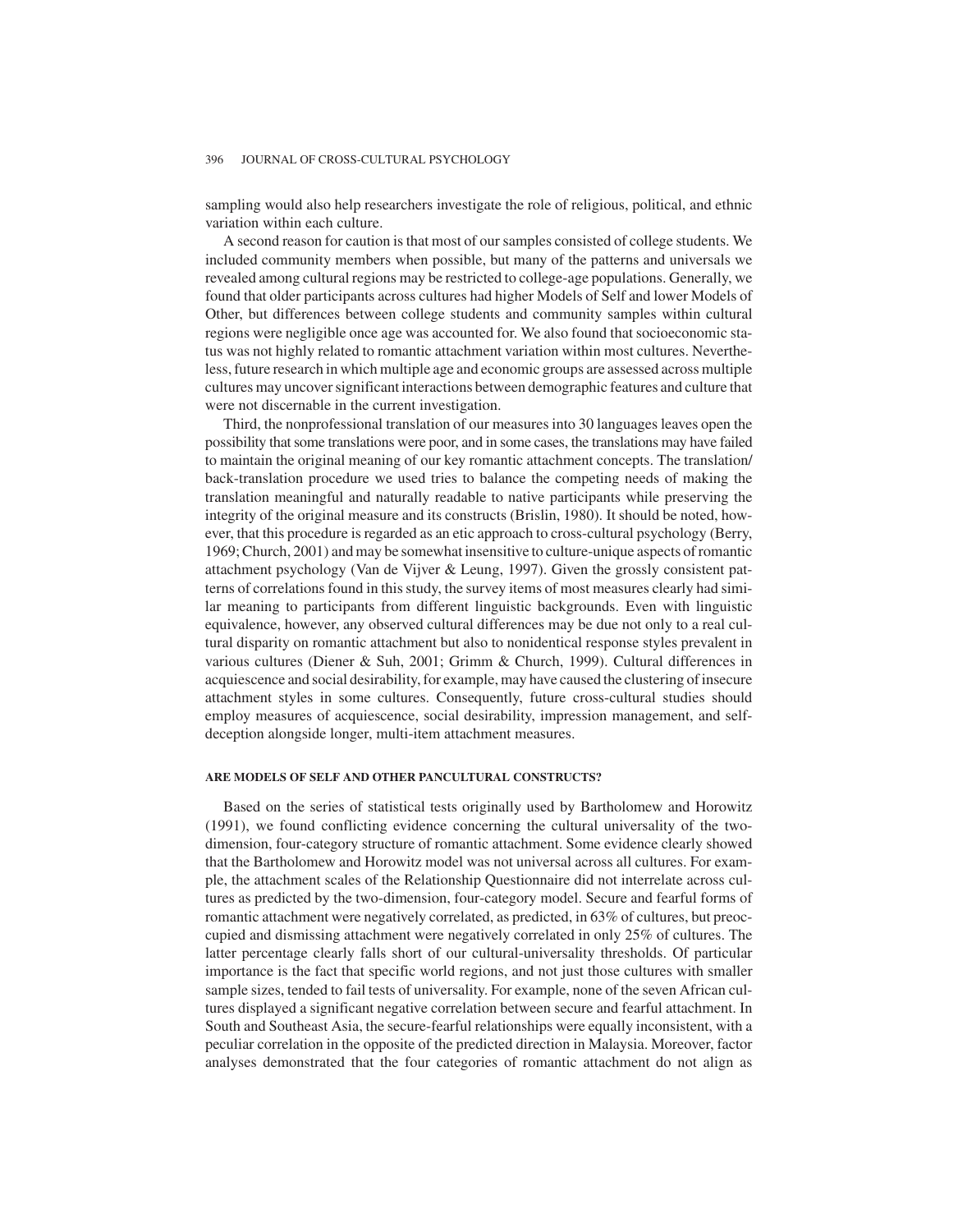sampling would also help researchers investigate the role of religious, political, and ethnic variation within each culture.

A second reason for caution is that most of our samples consisted of college students. We included community members when possible, but many of the patterns and universals we revealed among cultural regions may be restricted to college-age populations. Generally, we found that older participants across cultures had higher Models of Self and lower Models of Other, but differences between college students and community samples within cultural regions were negligible once age was accounted for. We also found that socioeconomic status was not highly related to romantic attachment variation within most cultures. Nevertheless, future research in which multiple age and economic groups are assessed across multiple cultures may uncover significant interactions between demographic features and culture that were not discernable in the current investigation.

Third, the nonprofessional translation of our measures into 30 languages leaves open the possibility that some translations were poor, and in some cases, the translations may have failed to maintain the original meaning of our key romantic attachment concepts. The translation/ back-translation procedure we used tries to balance the competing needs of making the translation meaningful and naturally readable to native participants while preserving the integrity of the original measure and its constructs (Brislin, 1980). It should be noted, however, that this procedure is regarded as an etic approach to cross-cultural psychology (Berry, 1969; Church, 2001) and may be somewhat insensitive to culture-unique aspects of romantic attachment psychology (Van de Vijver & Leung, 1997). Given the grossly consistent patterns of correlations found in this study, the survey items of most measures clearly had similar meaning to participants from different linguistic backgrounds. Even with linguistic equivalence, however, any observed cultural differences may be due not only to a real cultural disparity on romantic attachment but also to nonidentical response styles prevalent in various cultures (Diener & Suh, 2001; Grimm & Church, 1999). Cultural differences in acquiescence and social desirability, for example, may have caused the clustering of insecure attachment styles in some cultures. Consequently, future cross-cultural studies should employ measures of acquiescence, social desirability, impression management, and selfdeception alongside longer, multi-item attachment measures.

# **ARE MODELS OF SELF AND OTHER PANCULTURAL CONSTRUCTS?**

Based on the series of statistical tests originally used by Bartholomew and Horowitz (1991), we found conflicting evidence concerning the cultural universality of the twodimension, four-category structure of romantic attachment. Some evidence clearly showed that the Bartholomew and Horowitz model was not universal across all cultures. For example, the attachment scales of the Relationship Questionnaire did not interrelate across cultures as predicted by the two-dimension, four-category model. Secure and fearful forms of romantic attachment were negatively correlated, as predicted, in 63% of cultures, but preoccupied and dismissing attachment were negatively correlated in only 25% of cultures. The latter percentage clearly falls short of our cultural-universality thresholds. Of particular importance is the fact that specific world regions, and not just those cultures with smaller sample sizes, tended to fail tests of universality. For example, none of the seven African cultures displayed a significant negative correlation between secure and fearful attachment. In South and Southeast Asia, the secure-fearful relationships were equally inconsistent, with a peculiar correlation in the opposite of the predicted direction in Malaysia. Moreover, factor analyses demonstrated that the four categories of romantic attachment do not align as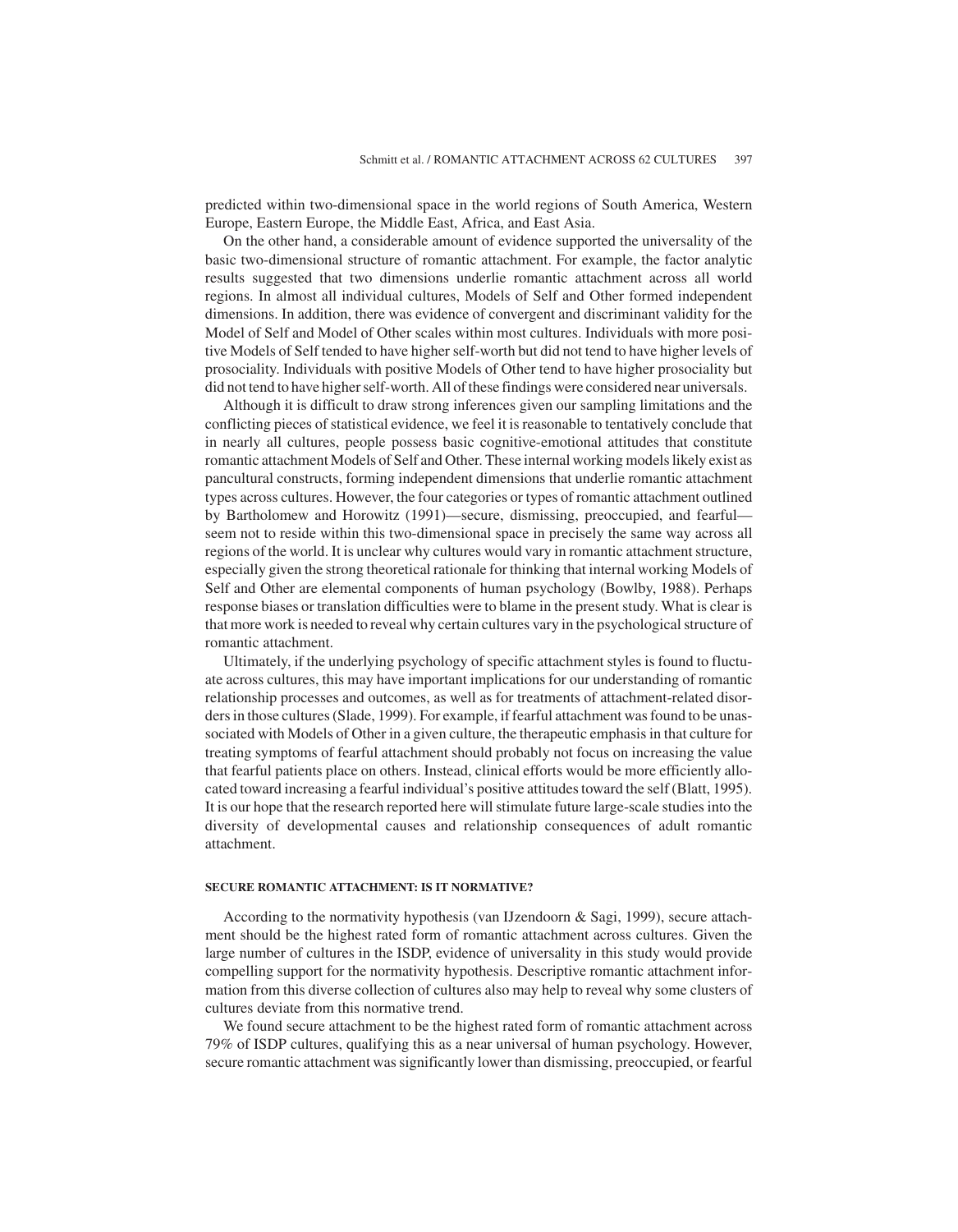predicted within two-dimensional space in the world regions of South America, Western Europe, Eastern Europe, the Middle East, Africa, and East Asia.

On the other hand, a considerable amount of evidence supported the universality of the basic two-dimensional structure of romantic attachment. For example, the factor analytic results suggested that two dimensions underlie romantic attachment across all world regions. In almost all individual cultures, Models of Self and Other formed independent dimensions. In addition, there was evidence of convergent and discriminant validity for the Model of Self and Model of Other scales within most cultures. Individuals with more positive Models of Self tended to have higher self-worth but did not tend to have higher levels of prosociality. Individuals with positive Models of Other tend to have higher prosociality but did not tend to have higher self-worth. All of these findings were considered near universals.

Although it is difficult to draw strong inferences given our sampling limitations and the conflicting pieces of statistical evidence, we feel it is reasonable to tentatively conclude that in nearly all cultures, people possess basic cognitive-emotional attitudes that constitute romantic attachment Models of Self and Other. These internal working models likely exist as pancultural constructs, forming independent dimensions that underlie romantic attachment types across cultures. However, the four categories or types of romantic attachment outlined by Bartholomew and Horowitz (1991)—secure, dismissing, preoccupied, and fearful seem not to reside within this two-dimensional space in precisely the same way across all regions of the world. It is unclear why cultures would vary in romantic attachment structure, especially given the strong theoretical rationale for thinking that internal working Models of Self and Other are elemental components of human psychology (Bowlby, 1988). Perhaps response biases or translation difficulties were to blame in the present study. What is clear is that more work is needed to reveal why certain cultures vary in the psychological structure of romantic attachment.

Ultimately, if the underlying psychology of specific attachment styles is found to fluctuate across cultures, this may have important implications for our understanding of romantic relationship processes and outcomes, as well as for treatments of attachment-related disorders in those cultures (Slade, 1999). For example, if fearful attachment was found to be unassociated with Models of Other in a given culture, the therapeutic emphasis in that culture for treating symptoms of fearful attachment should probably not focus on increasing the value that fearful patients place on others. Instead, clinical efforts would be more efficiently allocated toward increasing a fearful individual's positive attitudes toward the self (Blatt, 1995). It is our hope that the research reported here will stimulate future large-scale studies into the diversity of developmental causes and relationship consequences of adult romantic attachment.

#### **SECURE ROMANTIC ATTACHMENT: IS IT NORMATIVE?**

According to the normativity hypothesis (van IJzendoorn & Sagi, 1999), secure attachment should be the highest rated form of romantic attachment across cultures. Given the large number of cultures in the ISDP, evidence of universality in this study would provide compelling support for the normativity hypothesis. Descriptive romantic attachment information from this diverse collection of cultures also may help to reveal why some clusters of cultures deviate from this normative trend.

We found secure attachment to be the highest rated form of romantic attachment across 79% of ISDP cultures, qualifying this as a near universal of human psychology. However, secure romantic attachment was significantly lower than dismissing, preoccupied, or fearful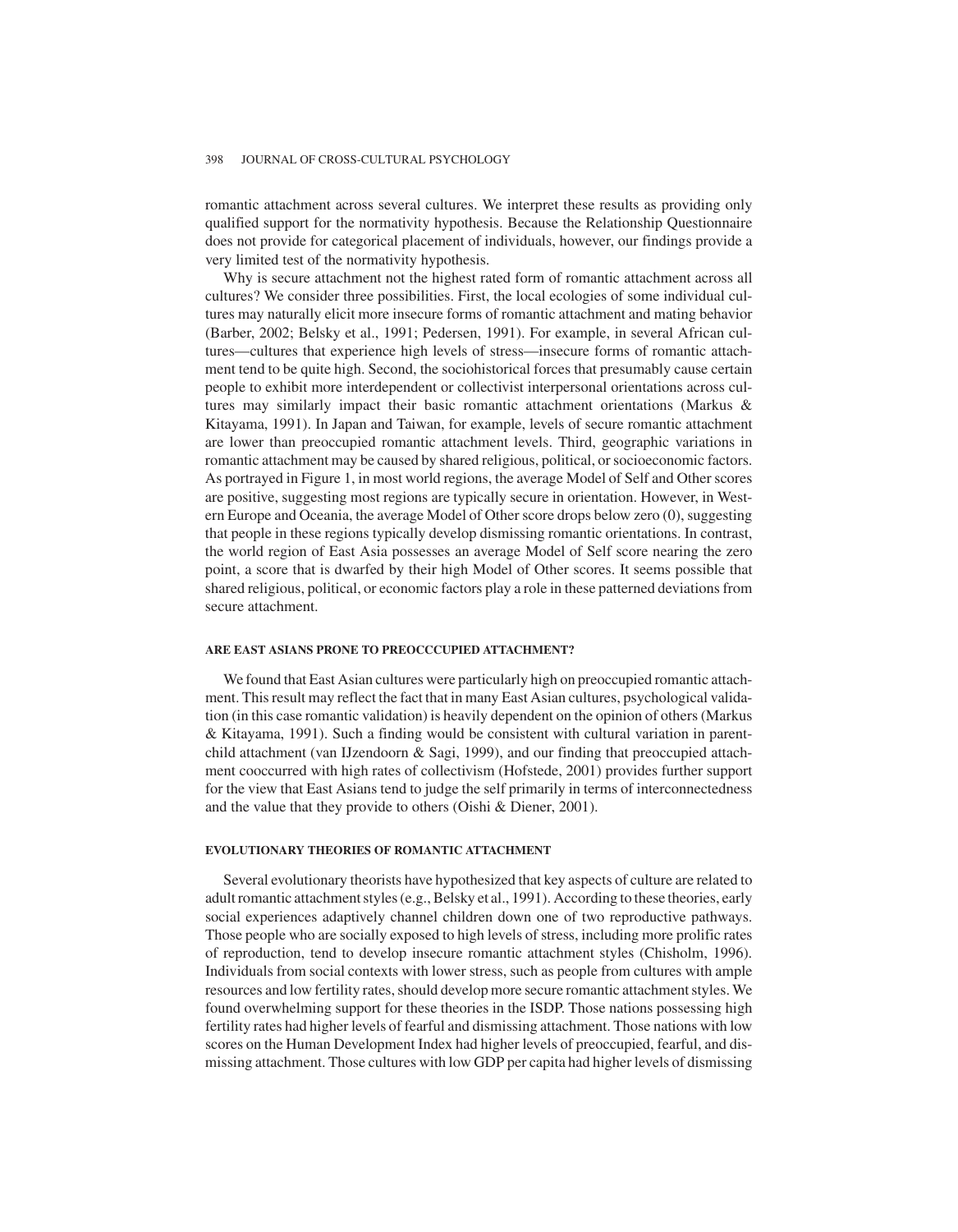romantic attachment across several cultures. We interpret these results as providing only qualified support for the normativity hypothesis. Because the Relationship Questionnaire does not provide for categorical placement of individuals, however, our findings provide a very limited test of the normativity hypothesis.

Why is secure attachment not the highest rated form of romantic attachment across all cultures? We consider three possibilities. First, the local ecologies of some individual cultures may naturally elicit more insecure forms of romantic attachment and mating behavior (Barber, 2002; Belsky et al., 1991; Pedersen, 1991). For example, in several African cultures—cultures that experience high levels of stress—insecure forms of romantic attachment tend to be quite high. Second, the sociohistorical forces that presumably cause certain people to exhibit more interdependent or collectivist interpersonal orientations across cultures may similarly impact their basic romantic attachment orientations (Markus & Kitayama, 1991). In Japan and Taiwan, for example, levels of secure romantic attachment are lower than preoccupied romantic attachment levels. Third, geographic variations in romantic attachment may be caused by shared religious, political, or socioeconomic factors. As portrayed in Figure 1, in most world regions, the average Model of Self and Other scores are positive, suggesting most regions are typically secure in orientation. However, in Western Europe and Oceania, the average Model of Other score drops below zero (0), suggesting that people in these regions typically develop dismissing romantic orientations. In contrast, the world region of East Asia possesses an average Model of Self score nearing the zero point, a score that is dwarfed by their high Model of Other scores. It seems possible that shared religious, political, or economic factors play a role in these patterned deviations from secure attachment.

### **ARE EAST ASIANS PRONE TO PREOCCCUPIED ATTACHMENT?**

We found that East Asian cultures were particularly high on preoccupied romantic attachment. This result may reflect the fact that in many East Asian cultures, psychological validation (in this case romantic validation) is heavily dependent on the opinion of others (Markus & Kitayama, 1991). Such a finding would be consistent with cultural variation in parentchild attachment (van IJzendoorn & Sagi, 1999), and our finding that preoccupied attachment cooccurred with high rates of collectivism (Hofstede, 2001) provides further support for the view that East Asians tend to judge the self primarily in terms of interconnectedness and the value that they provide to others (Oishi & Diener, 2001).

# **EVOLUTIONARY THEORIES OF ROMANTIC ATTACHMENT**

Several evolutionary theorists have hypothesized that key aspects of culture are related to adult romantic attachment styles (e.g., Belsky et al., 1991). According to these theories, early social experiences adaptively channel children down one of two reproductive pathways. Those people who are socially exposed to high levels of stress, including more prolific rates of reproduction, tend to develop insecure romantic attachment styles (Chisholm, 1996). Individuals from social contexts with lower stress, such as people from cultures with ample resources and low fertility rates, should develop more secure romantic attachment styles. We found overwhelming support for these theories in the ISDP. Those nations possessing high fertility rates had higher levels of fearful and dismissing attachment. Those nations with low scores on the Human Development Index had higher levels of preoccupied, fearful, and dismissing attachment. Those cultures with low GDP per capita had higher levels of dismissing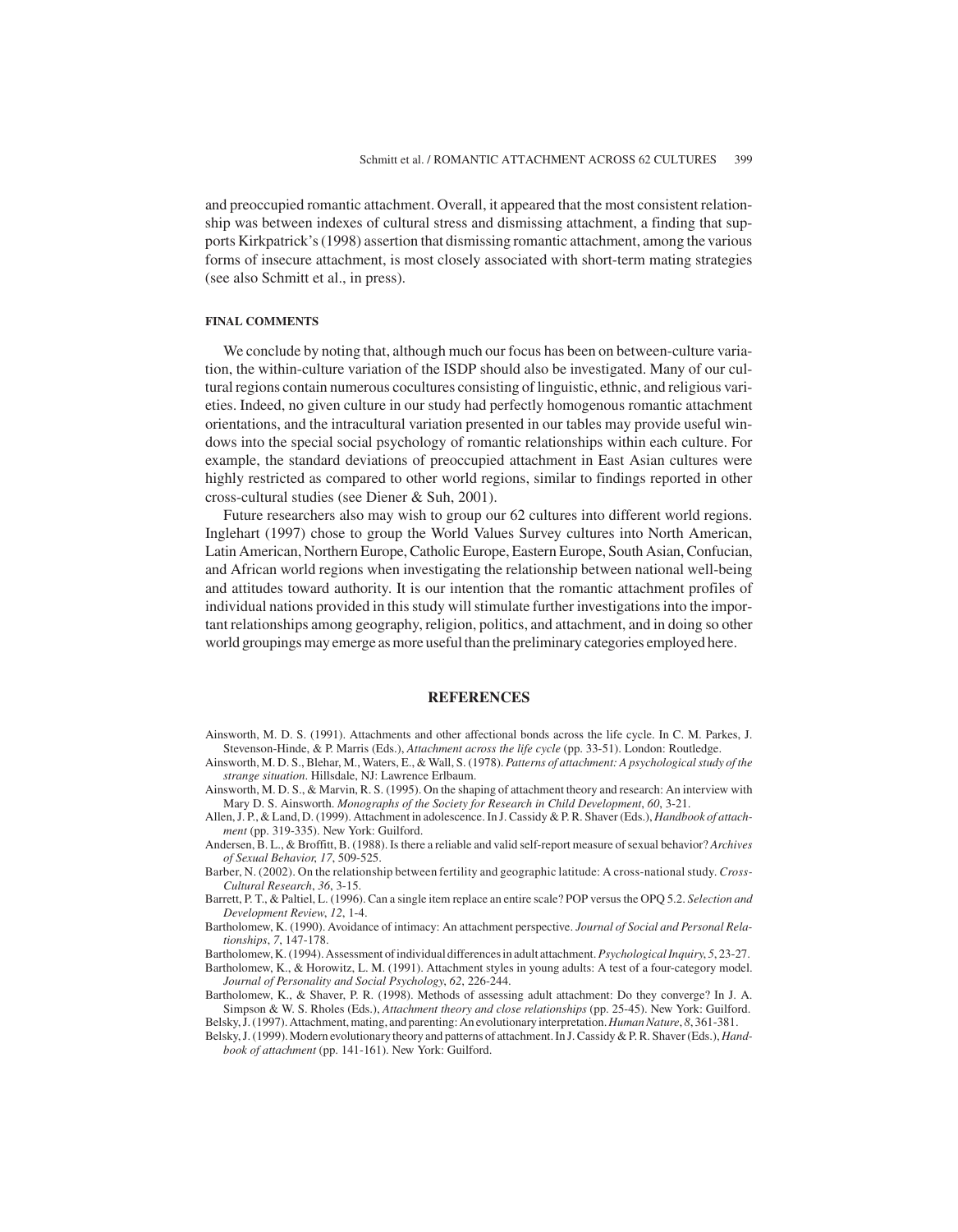and preoccupied romantic attachment. Overall, it appeared that the most consistent relationship was between indexes of cultural stress and dismissing attachment, a finding that supports Kirkpatrick's (1998) assertion that dismissing romantic attachment, among the various forms of insecure attachment, is most closely associated with short-term mating strategies (see also Schmitt et al., in press).

#### **FINAL COMMENTS**

We conclude by noting that, although much our focus has been on between-culture variation, the within-culture variation of the ISDP should also be investigated. Many of our cultural regions contain numerous cocultures consisting of linguistic, ethnic, and religious varieties. Indeed, no given culture in our study had perfectly homogenous romantic attachment orientations, and the intracultural variation presented in our tables may provide useful windows into the special social psychology of romantic relationships within each culture. For example, the standard deviations of preoccupied attachment in East Asian cultures were highly restricted as compared to other world regions, similar to findings reported in other cross-cultural studies (see Diener & Suh, 2001).

Future researchers also may wish to group our 62 cultures into different world regions. Inglehart (1997) chose to group the World Values Survey cultures into North American, Latin American, Northern Europe, Catholic Europe, Eastern Europe, South Asian, Confucian, and African world regions when investigating the relationship between national well-being and attitudes toward authority. It is our intention that the romantic attachment profiles of individual nations provided in this study will stimulate further investigations into the important relationships among geography, religion, politics, and attachment, and in doing so other world groupings may emerge as more useful than the preliminary categories employed here.

# **REFERENCES**

Ainsworth, M. D. S. (1991). Attachments and other affectional bonds across the life cycle. In C. M. Parkes, J. Stevenson-Hinde, & P. Marris (Eds.), *Attachment across the life cycle* (pp. 33-51). London: Routledge.

Ainsworth, M. D. S., Blehar, M., Waters, E., & Wall, S. (1978). *Patterns of attachment: A psychological study of the strange situation*. Hillsdale, NJ: Lawrence Erlbaum.

Ainsworth, M. D. S., & Marvin, R. S. (1995). On the shaping of attachment theory and research: An interview with Mary D. S. Ainsworth. *Monographs of the Society for Research in Child Development*, *60*, 3-21.

Allen, J. P., & Land, D. (1999). Attachment in adolescence. In J. Cassidy & P. R. Shaver (Eds.), *Handbook of attachment* (pp. 319-335). New York: Guilford.

Andersen, B. L., & Broffitt, B. (1988). Is there a reliable and valid self-report measure of sexual behavior? *Archives of Sexual Behavior*, *17*, 509-525.

Barber, N. (2002). On the relationship between fertility and geographic latitude: A cross-national study. *Cross-Cultural Research*, *36*, 3-15.

Barrett, P. T., & Paltiel, L. (1996). Can a single item replace an entire scale? POP versus the OPQ 5.2. *Selection and Development Review*, *12*, 1-4.

Bartholomew, K. (1990). Avoidance of intimacy: An attachment perspective. *Journal of Social and Personal Relationships*, *7*, 147-178.

Bartholomew, K. (1994). Assessment of individual differences in adult attachment.*Psychological Inquiry*, *5*, 23-27.

Bartholomew, K., & Horowitz, L. M. (1991). Attachment styles in young adults: A test of a four-category model. *Journal of Personality and Social Psychology*, *62*, 226-244.

Bartholomew, K., & Shaver, P. R. (1998). Methods of assessing adult attachment: Do they converge? In J. A. Simpson & W. S. Rholes (Eds.), *Attachment theory and close relationships* (pp. 25-45). New York: Guilford.

Belsky, J. (1997). Attachment, mating, and parenting: An evolutionary interpretation.*Human Nature*, *8*, 361-381. Belsky, J. (1999). Modern evolutionary theory and patterns of attachment. In J. Cassidy & P. R. Shaver (Eds.), *Handbook of attachment* (pp. 141-161). New York: Guilford.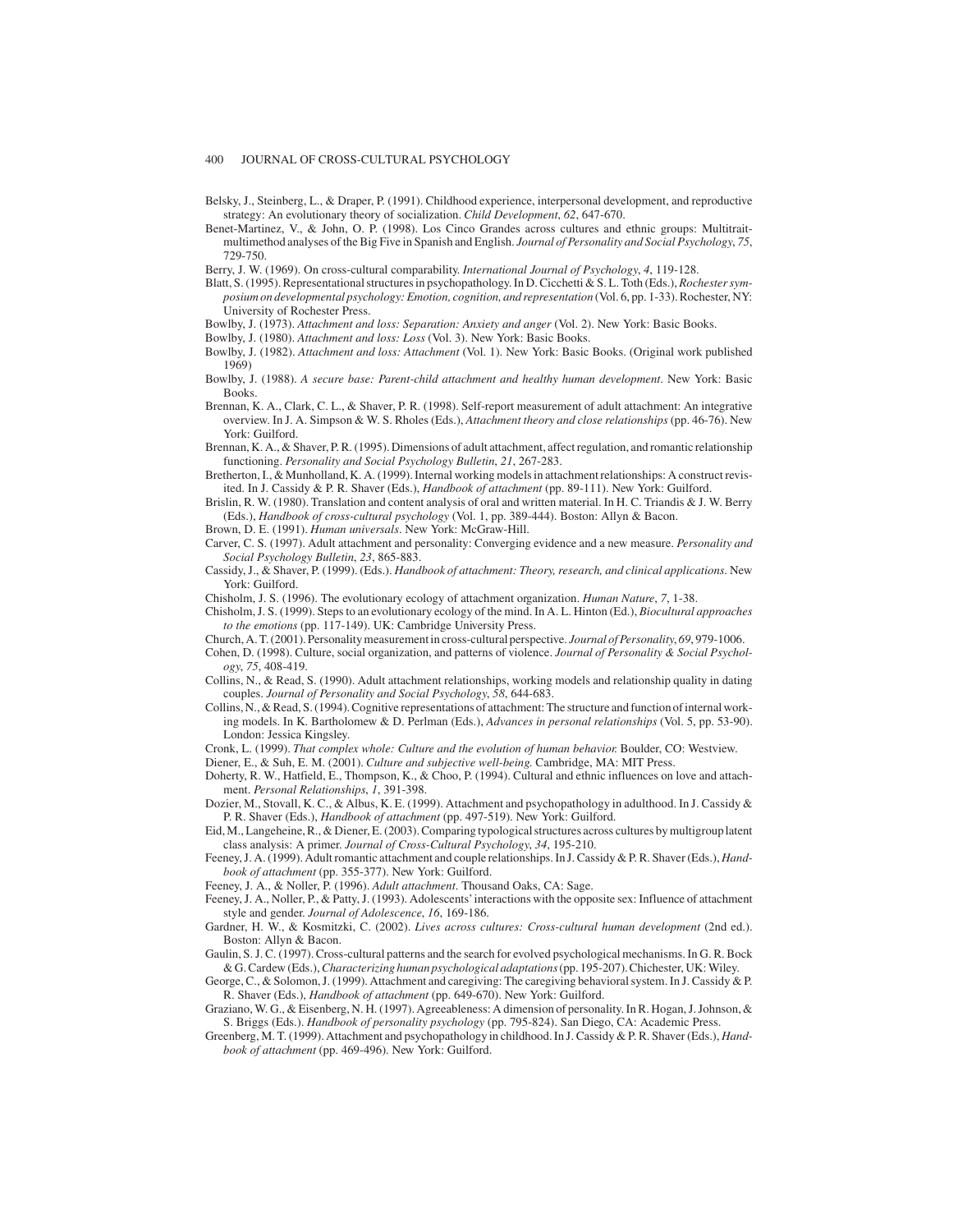- Belsky, J., Steinberg, L., & Draper, P. (1991). Childhood experience, interpersonal development, and reproductive strategy: An evolutionary theory of socialization. *Child Development*, *62*, 647-670.
- Benet-Martinez, V., & John, O. P. (1998). Los Cinco Grandes across cultures and ethnic groups: Multitraitmultimethod analyses of the Big Five in Spanish and English. *Journal of Personality and Social Psychology*, *75*, 729-750.
- Berry, J. W. (1969). On cross-cultural comparability. *International Journal of Psychology*, *4*, 119-128.
- Blatt, S. (1995). Representational structures in psychopathology. In D.Cicchetti & S. L. Toth (Eds.),*Rochester symposium on developmental psychology: Emotion, cognition, and representation* (Vol. 6, pp. 1-33). Rochester, NY: University of Rochester Press.
- Bowlby, J. (1973). *Attachment and loss: Separation: Anxiety and anger* (Vol. 2). New York: Basic Books.
- Bowlby, J. (1980). *Attachment and loss: Loss* (Vol. 3). New York: Basic Books.
- Bowlby, J. (1982). *Attachment and loss: Attachment* (Vol. 1). New York: Basic Books. (Original work published 1969)
- Bowlby, J. (1988). *A secure base: Parent-child attachment and healthy human development*. New York: Basic Books.
- Brennan, K. A., Clark, C. L., & Shaver, P. R. (1998). Self-report measurement of adult attachment: An integrative overview. In J. A. Simpson & W. S. Rholes (Eds.), *Attachment theory and close relationships*(pp. 46-76). New York: Guilford.

Brennan, K. A., & Shaver, P. R. (1995). Dimensions of adult attachment, affect regulation, and romantic relationship functioning. *Personality and Social Psychology Bulletin*, *21*, 267-283.

Bretherton, I., & Munholland, K. A. (1999). Internal working models in attachment relationships: A construct revisited. In J. Cassidy & P. R. Shaver (Eds.), *Handbook of attachment* (pp. 89-111). New York: Guilford.

Brislin, R. W. (1980). Translation and content analysis of oral and written material. In H. C. Triandis & J. W. Berry (Eds.), *Handbook of cross-cultural psychology* (Vol. 1, pp. 389-444). Boston: Allyn & Bacon.

Brown, D. E. (1991). *Human universals*. New York: McGraw-Hill.

Carver, C. S. (1997). Adult attachment and personality: Converging evidence and a new measure. *Personality and Social Psychology Bulletin*, *23*, 865-883.

Cassidy, J., & Shaver, P. (1999). (Eds.). *Handbook of attachment: Theory, research, and clinical applications*. New York: Guilford.

Chisholm, J. S. (1996). The evolutionary ecology of attachment organization. *Human Nature*, *7*, 1-38.

Chisholm, J. S. (1999). Steps to an evolutionary ecology of the mind. In A. L. Hinton (Ed.), *Biocultural approaches to the emotions* (pp. 117-149). UK: Cambridge University Press.

Church, A. T. (2001). Personality measurement in cross-cultural perspective. *Journal of Personality*, *69*, 979-1006.

- Cohen, D. (1998). Culture, social organization, and patterns of violence. *Journal of Personality & Social Psychology*, *75*, 408-419.
- Collins, N., & Read, S. (1990). Adult attachment relationships, working models and relationship quality in dating couples. *Journal of Personality and Social Psychology*, *58*, 644-683.
- Collins, N., & Read, S. (1994). Cognitive representations of attachment:The structure and function of internal working models. In K. Bartholomew & D. Perlman (Eds.), *Advances in personal relationships* (Vol. 5, pp. 53-90). London: Jessica Kingsley.

Cronk, L. (1999). *That complex whole: Culture and the evolution of human behavior*. Boulder, CO: Westview.

Diener, E., & Suh, E. M. (2001). *Culture and subjective well-being*. Cambridge, MA: MIT Press.

Doherty, R. W., Hatfield, E., Thompson, K., & Choo, P. (1994). Cultural and ethnic influences on love and attachment. *Personal Relationships*, *1*, 391-398.

Dozier, M., Stovall, K. C., & Albus, K. E. (1999). Attachment and psychopathology in adulthood. In J. Cassidy & P. R. Shaver (Eds.), *Handbook of attachment* (pp. 497-519). New York: Guilford.

Eid, M., Langeheine, R., & Diener, E. (2003). Comparing typological structures across cultures by multigroup latent class analysis: A primer. *Journal of Cross-Cultural Psychology*, *34*, 195-210.

Feeney, J. A. (1999). Adult romantic attachment and couple relationships. In J. Cassidy & P. R. Shaver (Eds.), *Handbook of attachment* (pp. 355-377). New York: Guilford.

Feeney, J. A., & Noller, P. (1996). *Adult attachment*. Thousand Oaks, CA: Sage.

Feeney, J. A., Noller, P., & Patty, J. (1993). Adolescents'interactions with the opposite sex: Influence of attachment style and gender. *Journal of Adolescence*, *16*, 169-186.

Gardner, H. W., & Kosmitzki, C. (2002). *Lives across cultures: Cross-cultural human development* (2nd ed.). Boston: Allyn & Bacon.

Gaulin, S. J. C. (1997). Cross-cultural patterns and the search for evolved psychological mechanisms. In G. R. Bock & G. Cardew (Eds.),*Characterizing human psychological adaptations*(pp. 195-207).Chichester, UK: Wiley.

George, C., & Solomon, J. (1999). Attachment and caregiving: The caregiving behavioral system. In J. Cassidy & P. R. Shaver (Eds.), *Handbook of attachment* (pp. 649-670). New York: Guilford.

- Graziano, W. G., & Eisenberg, N. H. (1997). Agreeableness: A dimension of personality. In R. Hogan, J. Johnson, & S. Briggs (Eds.). *Handbook of personality psychology* (pp. 795-824). San Diego, CA: Academic Press.
- Greenberg, M. T. (1999). Attachment and psychopathology in childhood. In J. Cassidy & P. R. Shaver (Eds.), *Handbook of attachment* (pp. 469-496). New York: Guilford.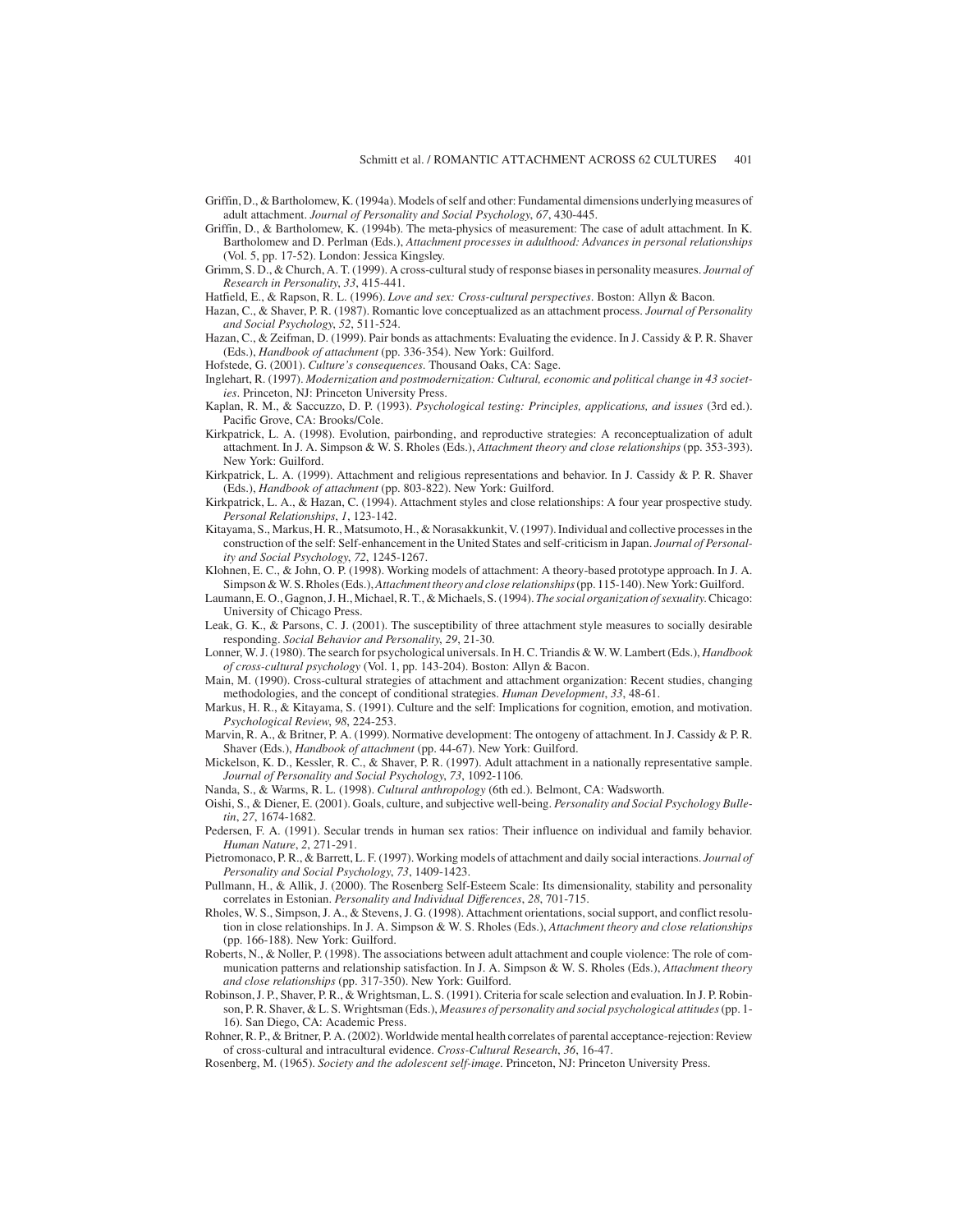- Griffin, D., & Bartholomew, K. (1994a). Models of self and other: Fundamental dimensions underlying measures of adult attachment. *Journal of Personality and Social Psychology*, *67*, 430-445.
- Griffin, D., & Bartholomew, K. (1994b). The meta-physics of measurement: The case of adult attachment. In K. Bartholomew and D. Perlman (Eds.), *Attachment processes in adulthood: Advances in personal relationships* (Vol. 5, pp. 17-52). London: Jessica Kingsley.
- Grimm, S. D., & Church, A. T. (1999). A cross-cultural study of response biases in personality measures. *Journal of Research in Personality*, *33*, 415-441.
- Hatfield, E., & Rapson, R. L. (1996). *Love and sex: Cross-cultural perspectives*. Boston: Allyn & Bacon.
- Hazan, C., & Shaver, P. R. (1987). Romantic love conceptualized as an attachment process. *Journal of Personality and Social Psychology*, *52*, 511-524.
- Hazan, C., & Zeifman, D. (1999). Pair bonds as attachments: Evaluating the evidence. In J. Cassidy & P. R. Shaver (Eds.), *Handbook of attachment* (pp. 336-354). New York: Guilford.

Hofstede, G. (2001). *Culture's consequences*. Thousand Oaks, CA: Sage.

- Inglehart, R. (1997). *Modernization and postmodernization: Cultural, economic and political change in 43 societies*. Princeton, NJ: Princeton University Press.
- Kaplan, R. M., & Saccuzzo, D. P. (1993). *Psychological testing: Principles, applications, and issues* (3rd ed.). Pacific Grove, CA: Brooks/Cole.
- Kirkpatrick, L. A. (1998). Evolution, pairbonding, and reproductive strategies: A reconceptualization of adult attachment. In J. A. Simpson & W. S. Rholes (Eds.), *Attachment theory and close relationships* (pp. 353-393). New York: Guilford.
- Kirkpatrick, L. A. (1999). Attachment and religious representations and behavior. In J. Cassidy & P. R. Shaver (Eds.), *Handbook of attachment* (pp. 803-822). New York: Guilford.
- Kirkpatrick, L. A., & Hazan, C. (1994). Attachment styles and close relationships: A four year prospective study. *Personal Relationships*, *1*, 123-142.
- Kitayama, S., Markus, H. R., Matsumoto, H., & Norasakkunkit, V. (1997). Individual and collective processes in the construction of the self: Self-enhancement in the United States and self-criticism in Japan. *Journal of Personality and Social Psychology*, *72*, 1245-1267.
- Klohnen, E. C., & John, O. P. (1998). Working models of attachment: A theory-based prototype approach. In J. A. Simpson & W. S. Rholes (Eds.), *Attachment theory and close relationships* (pp. 115-140). New York: Guilford.
- Laumann, E. O., Gagnon, J. H., Michael, R. T., & Michaels, S. (1994).*The social organization of sexuality*. Chicago: University of Chicago Press.
- Leak, G. K., & Parsons, C. J. (2001). The susceptibility of three attachment style measures to socially desirable responding. *Social Behavior and Personality*, *29*, 21-30.
- Lonner, W. J. (1980). The search for psychological universals. In H. C. Triandis & W. W. Lambert (Eds.), *Handbook of cross-cultural psychology* (Vol. 1, pp. 143-204). Boston: Allyn & Bacon.
- Main, M. (1990). Cross-cultural strategies of attachment and attachment organization: Recent studies, changing methodologies, and the concept of conditional strategies. *Human Development*, *33*, 48-61.
- Markus, H. R., & Kitayama, S. (1991). Culture and the self: Implications for cognition, emotion, and motivation. *Psychological Review*, *98*, 224-253.
- Marvin, R. A., & Britner, P. A. (1999). Normative development: The ontogeny of attachment. In J. Cassidy & P. R. Shaver (Eds.), *Handbook of attachment* (pp. 44-67). New York: Guilford.
- Mickelson, K. D., Kessler, R. C., & Shaver, P. R. (1997). Adult attachment in a nationally representative sample. *Journal of Personality and Social Psychology*, *73*, 1092-1106.

Nanda, S., & Warms, R. L. (1998). *Cultural anthropology* (6th ed.). Belmont, CA: Wadsworth.

- Oishi, S., & Diener, E. (2001). Goals, culture, and subjective well-being. *Personality and Social Psychology Bulletin*, *27*, 1674-1682.
- Pedersen, F. A. (1991). Secular trends in human sex ratios: Their influence on individual and family behavior. *Human Nature*, *2*, 271-291.
- Pietromonaco, P. R., & Barrett, L. F. (1997). Working models of attachment and daily social interactions. *Journal of Personality and Social Psychology*, *73*, 1409-1423.
- Pullmann, H., & Allik, J. (2000). The Rosenberg Self-Esteem Scale: Its dimensionality, stability and personality correlates in Estonian. *Personality and Individual Differences*, *28*, 701-715.
- Rholes, W. S., Simpson, J. A., & Stevens, J. G. (1998). Attachment orientations, social support, and conflict resolution in close relationships. In J. A. Simpson & W. S. Rholes (Eds.), *Attachment theory and close relationships* (pp. 166-188). New York: Guilford.
- Roberts, N., & Noller, P. (1998). The associations between adult attachment and couple violence: The role of communication patterns and relationship satisfaction. In J. A. Simpson & W. S. Rholes (Eds.), *Attachment theory and close relationships* (pp. 317-350). New York: Guilford.
- Robinson, J. P., Shaver, P. R., & Wrightsman, L. S. (1991). Criteria for scale selection and evaluation. In J. P. Robinson, P. R. Shaver, & L. S. Wrightsman (Eds.), *Measures of personality and social psychological attitudes*(pp. 1- 16). San Diego, CA: Academic Press.
- Rohner, R. P., & Britner, P. A. (2002). Worldwide mental health correlates of parental acceptance-rejection: Review of cross-cultural and intracultural evidence. *Cross-Cultural Research*, *36*, 16-47.
- Rosenberg, M. (1965). *Society and the adolescent self-image*. Princeton, NJ: Princeton University Press.